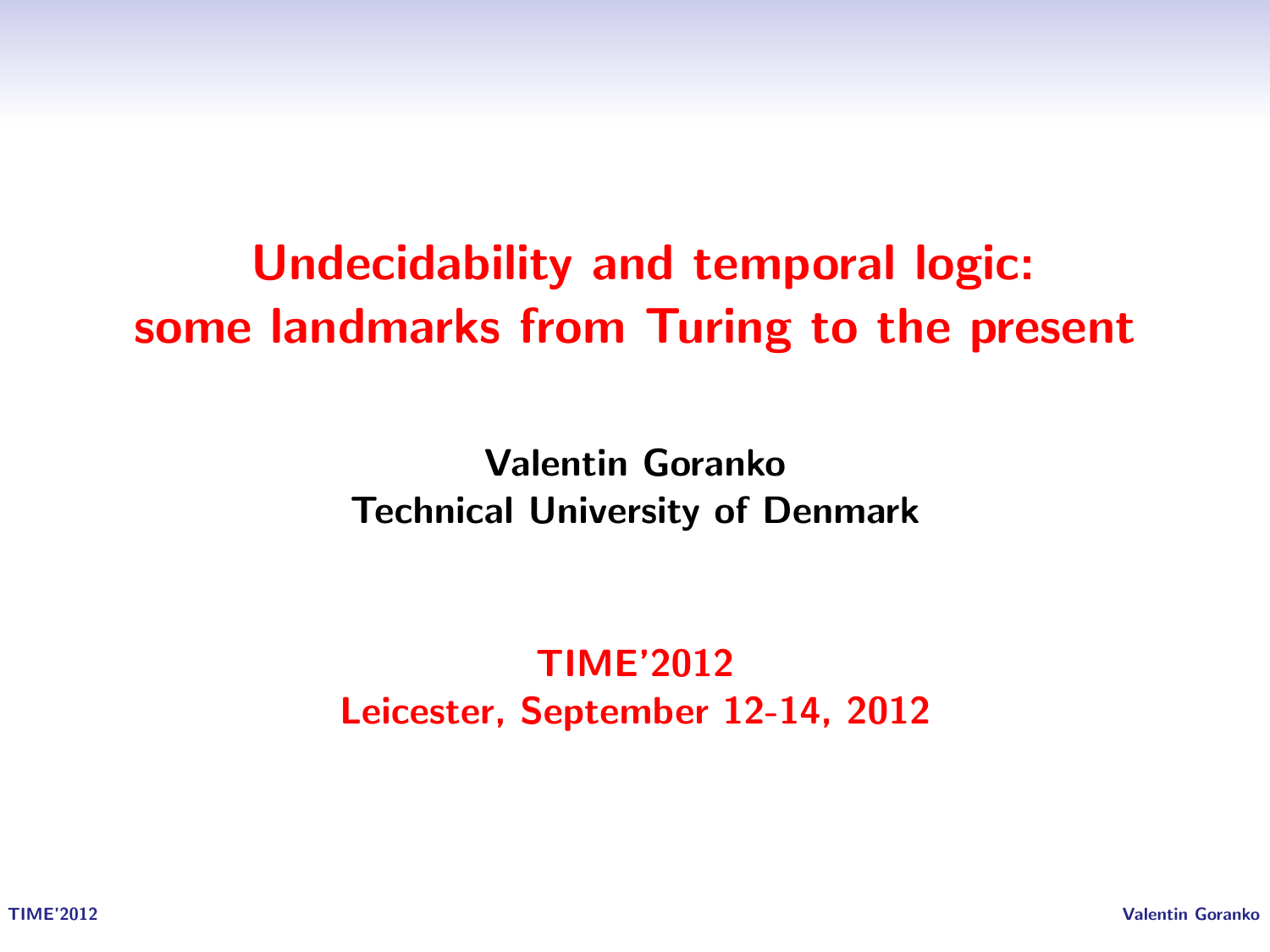# Undecidability and temporal logic: some landmarks from Turing to the present

Valentin Goranko Technical University of Denmark

TIME'2012 Leicester, September 12-14, 2012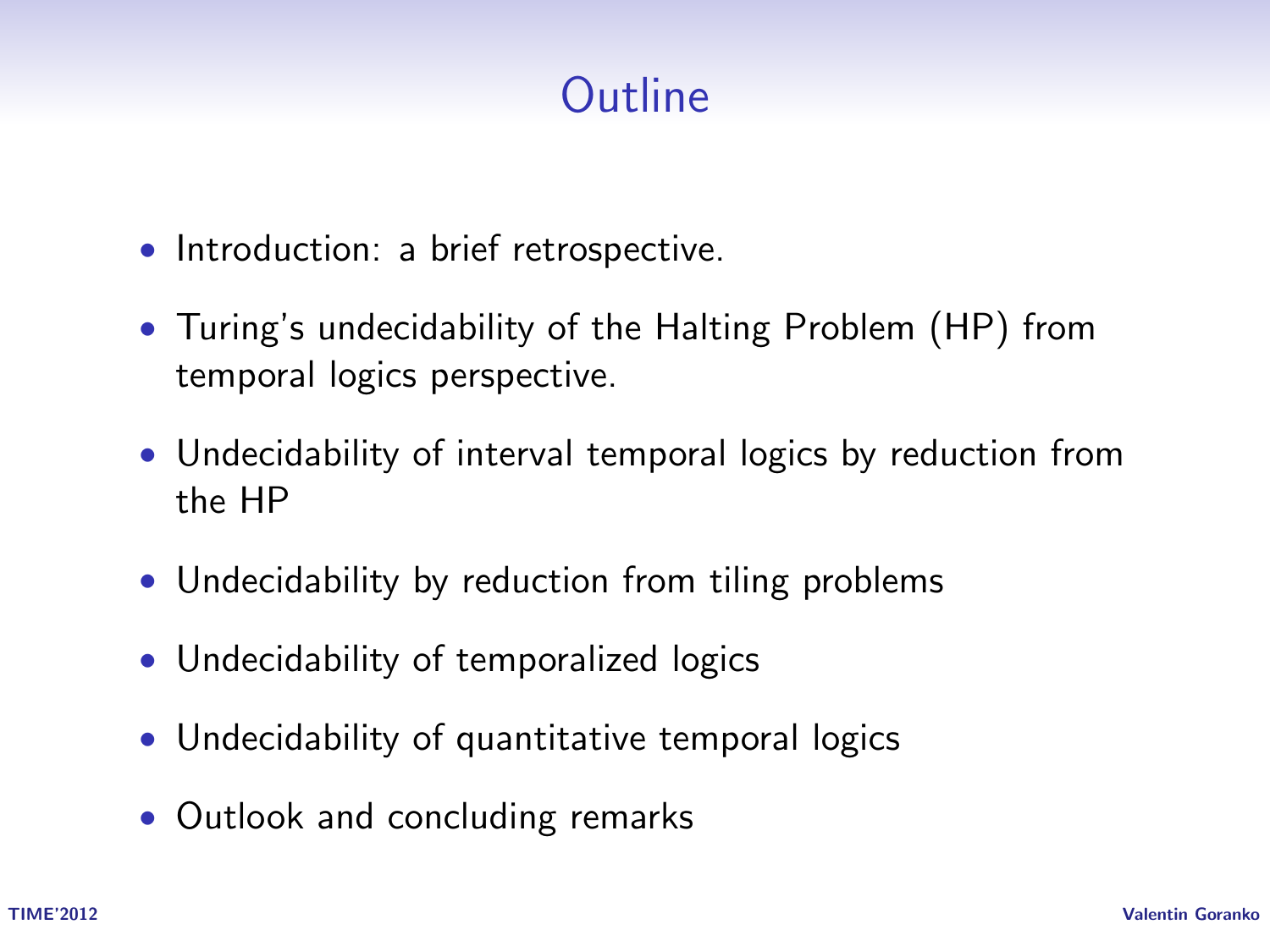# **Outline**

- Introduction: a brief retrospective.
- Turing's undecidability of the Halting Problem (HP) from temporal logics perspective.
- Undecidability of interval temporal logics by reduction from the HP
- Undecidability by reduction from tiling problems
- Undecidability of temporalized logics
- Undecidability of quantitative temporal logics
- Outlook and concluding remarks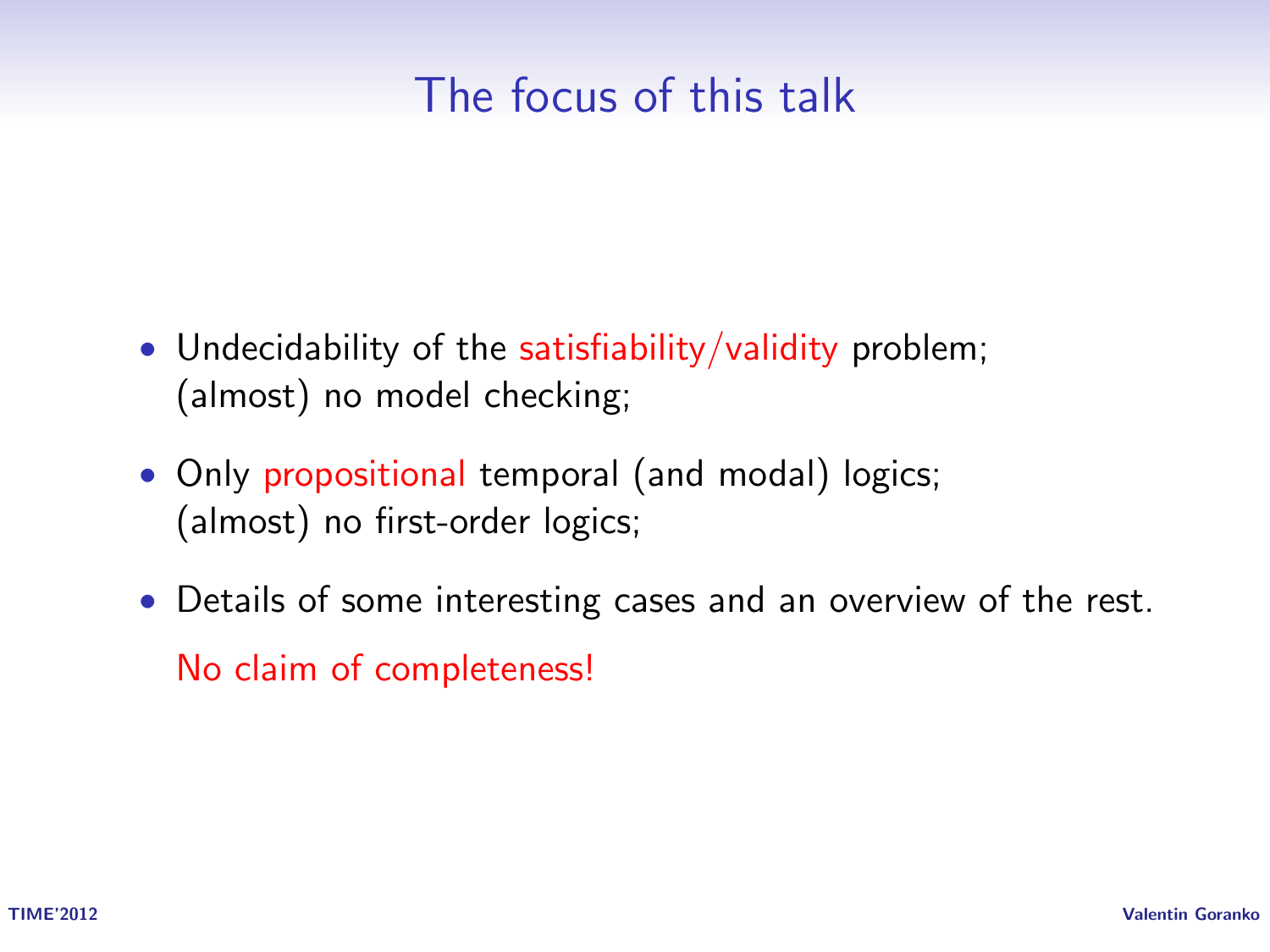## The focus of this talk

- Undecidability of the satisfiability/validity problem; (almost) no model checking;
- Only propositional temporal (and modal) logics; (almost) no first-order logics;
- Details of some interesting cases and an overview of the rest. No claim of completeness!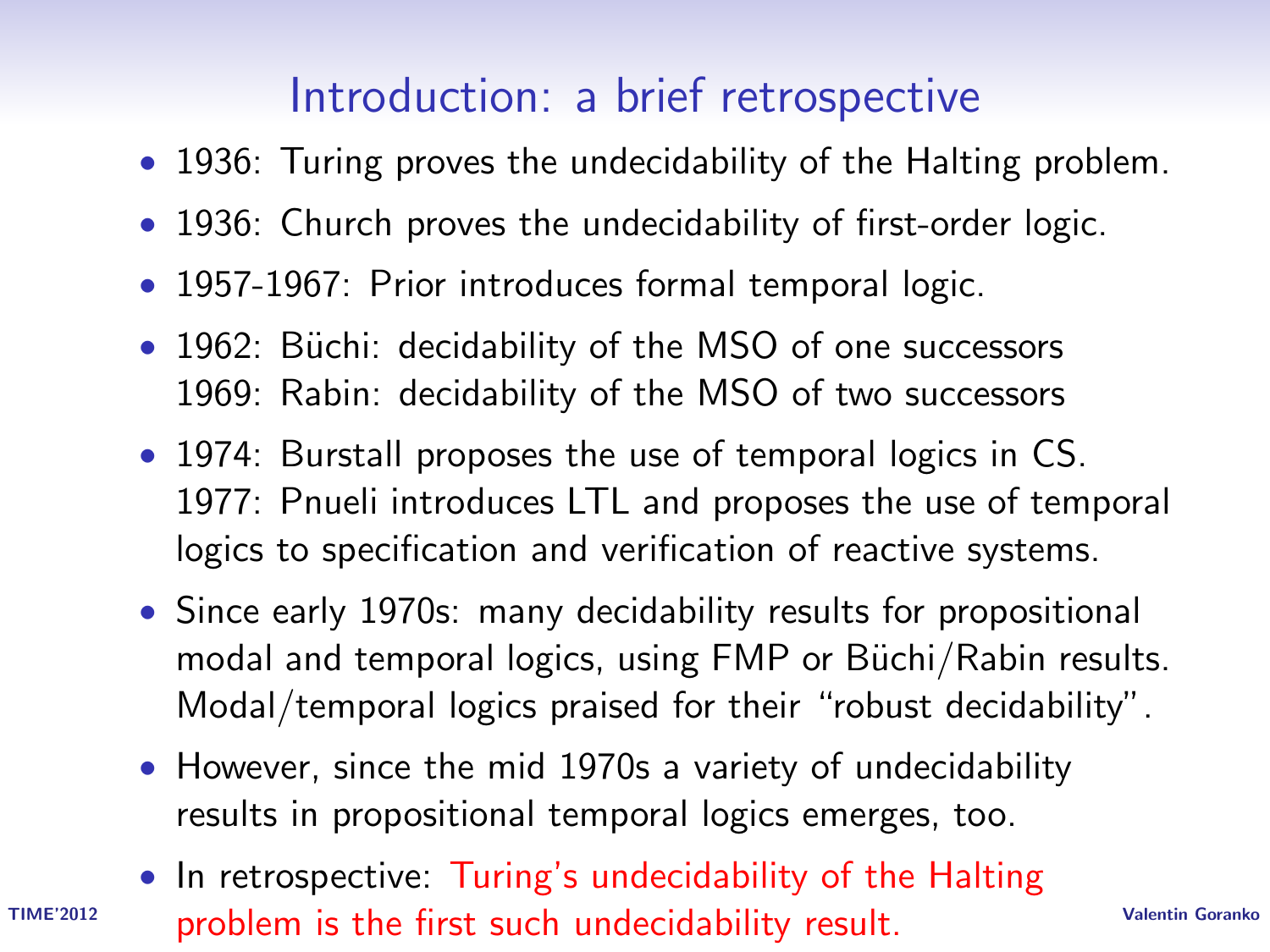# Introduction: a brief retrospective

- 1936: Turing proves the undecidability of the Halting problem.
- 1936: Church proves the undecidability of first-order logic.
- 1957-1967: Prior introduces formal temporal logic.
- 1962: Büchi: decidability of the MSO of one successors 1969: Rabin: decidability of the MSO of two successors
- 1974: Burstall proposes the use of temporal logics in CS. 1977: Pnueli introduces LTL and proposes the use of temporal logics to specification and verification of reactive systems.
- Since early 1970s: many decidability results for propositional modal and temporal logics, using FMP or Büchi/Rabin results. Modal/temporal logics praised for their "robust decidability".
- However, since the mid 1970s a variety of undecidability results in propositional temporal logics emerges, too.
- TIME'2012 **problem is the first such undecidability result**. Valentin Goranko • In retrospective: Turing's undecidability of the Halting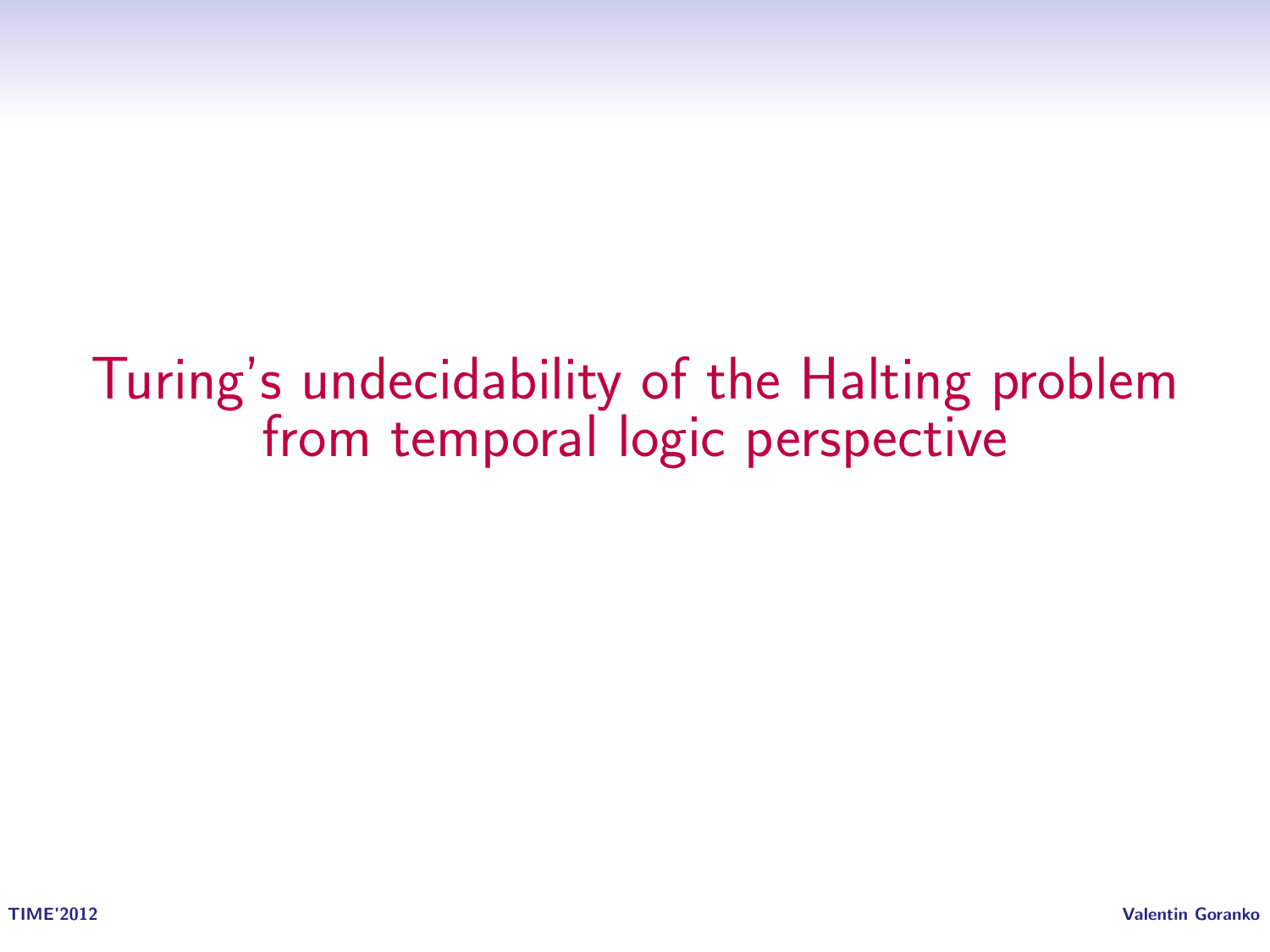Turing's undecidability of the Halting problem from temporal logic perspective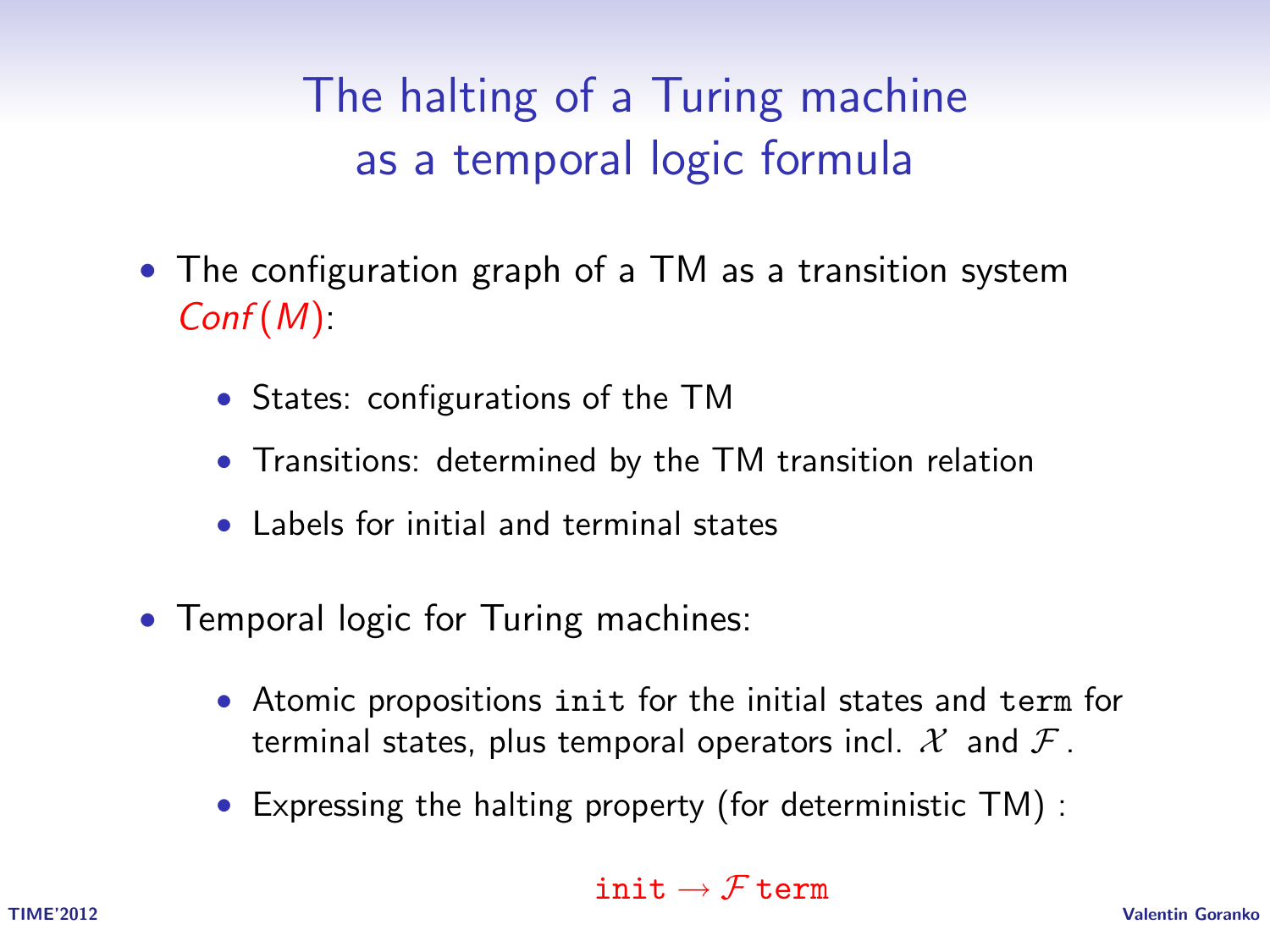The halting of a Turing machine as a temporal logic formula

- The configuration graph of a TM as a transition system  $Conf(M)$ :
	- States: configurations of the TM
	- Transitions: determined by the TM transition relation
	- Labels for initial and terminal states
- Temporal logic for Turing machines:
	- Atomic propositions init for the initial states and term for terminal states, plus temporal operators incl.  $\mathcal{X}$  and  $\mathcal{F}$ .
	- Expressing the halting property (for deterministic TM) :

#### init  $\rightarrow$  F term

TIME'2012 Valentin Goranko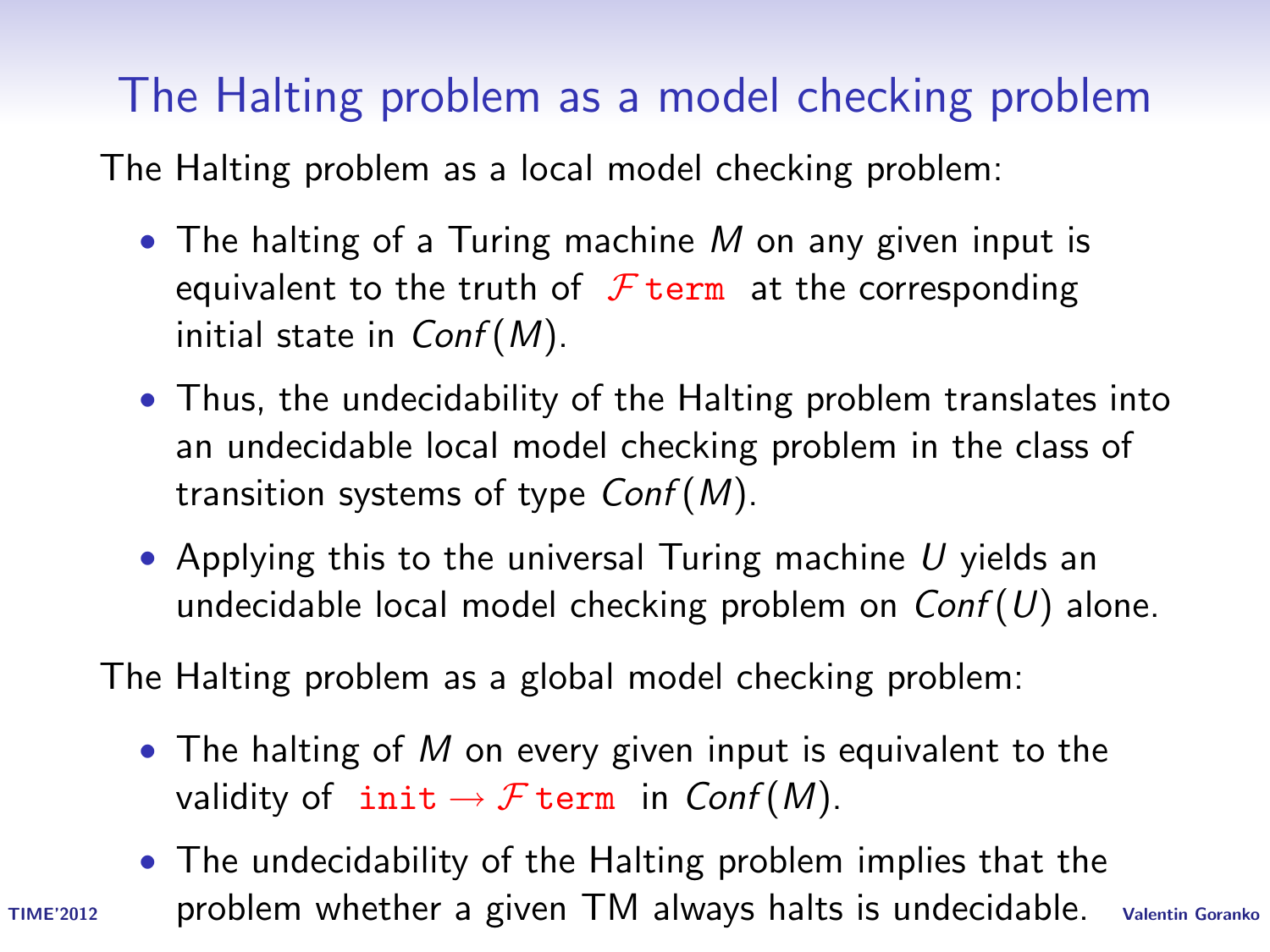# The Halting problem as a model checking problem

The Halting problem as a local model checking problem:

- The halting of a Turing machine M on any given input is equivalent to the truth of  $\mathcal F$  term at the corresponding initial state in  $Conf(M)$ .
- Thus, the undecidability of the Halting problem translates into an undecidable local model checking problem in the class of transition systems of type  $Conf(M)$ .
- Applying this to the universal Turing machine  $U$  yields an undecidable local model checking problem on  $Conf(U)$  alone.

The Halting problem as a global model checking problem:

- The halting of  $M$  on every given input is equivalent to the validity of  $\text{init} \rightarrow \mathcal{F} \text{term}$  in  $\text{Conf}(M)$ .
- TIME'2012 Valentin Goranko problem whether a given TM always halts is undecidable.• The undecidability of the Halting problem implies that the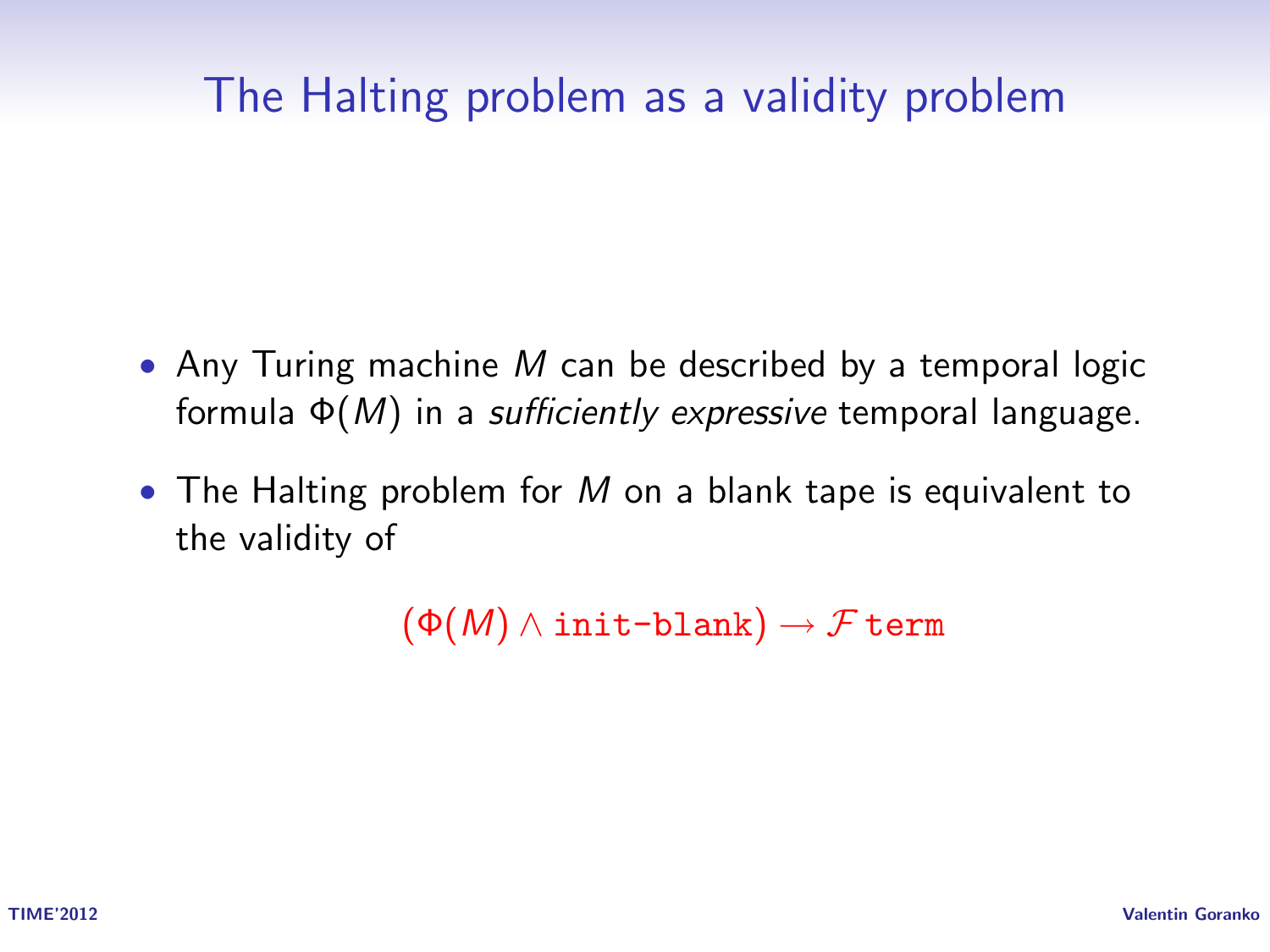#### The Halting problem as a validity problem

- Any Turing machine M can be described by a temporal logic formula  $\Phi(M)$  in a *sufficiently expressive* temporal language.
- The Halting problem for M on a blank tape is equivalent to the validity of

 $(\Phi(M) \wedge \text{init-blank}) \rightarrow \mathcal{F}$  term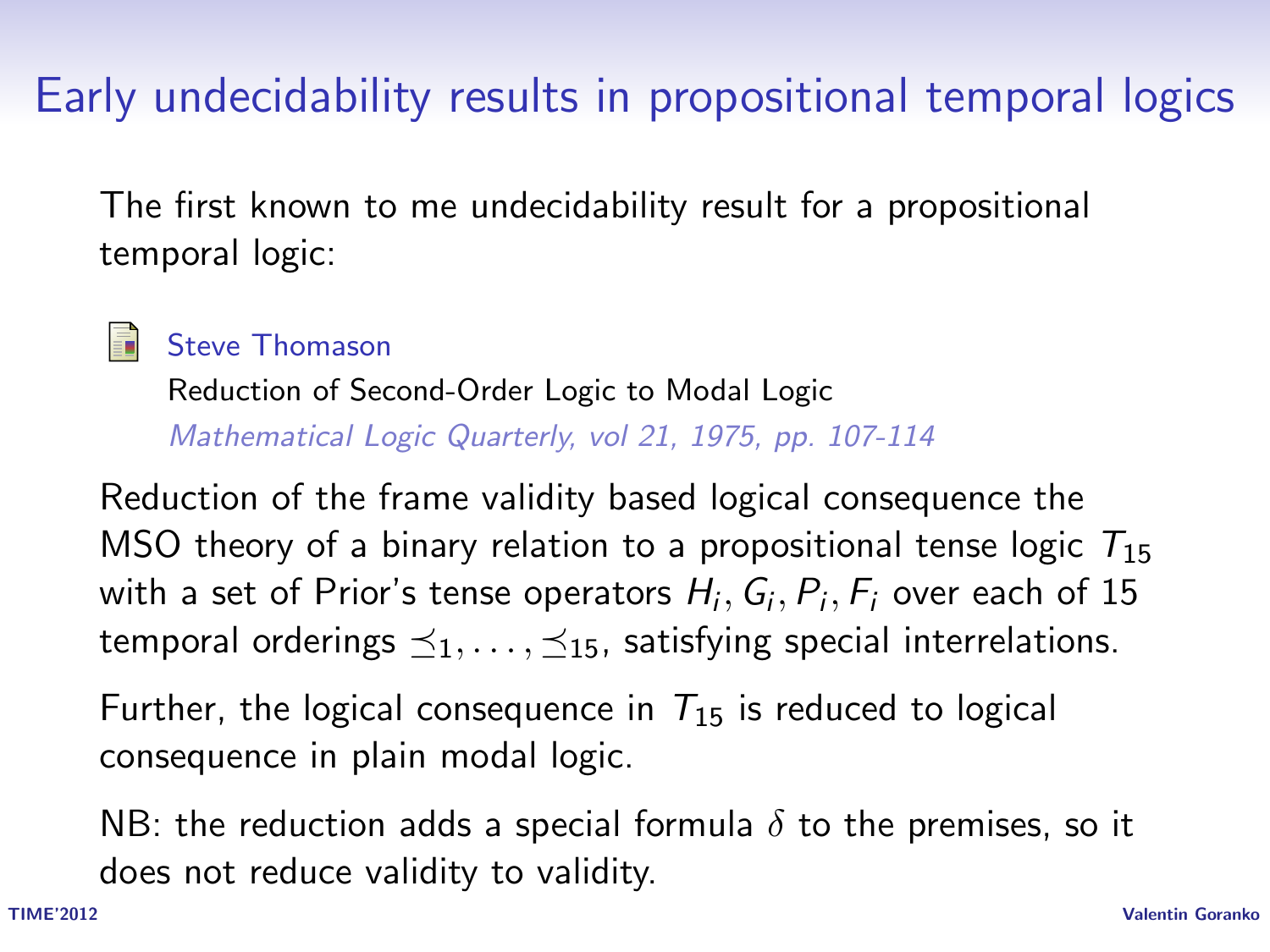## Early undecidability results in propositional temporal logics

The first known to me undecidability result for a propositional temporal logic:



Steve Thomason

Reduction of Second-Order Logic to Modal Logic Mathematical Logic Quarterly, vol 21, 1975, pp. 107-114

Reduction of the frame validity based logical consequence the MSO theory of a binary relation to a propositional tense logic  $T_{15}$ with a set of Prior's tense operators  $H_i,G_i,P_i,F_i$  over each of 15 temporal orderings  $\preceq_1, \ldots, \preceq_{15}$ , satisfying special interrelations.

Further, the logical consequence in  $T_{15}$  is reduced to logical consequence in plain modal logic.

NB: the reduction adds a special formula  $\delta$  to the premises, so it does not reduce validity to validity.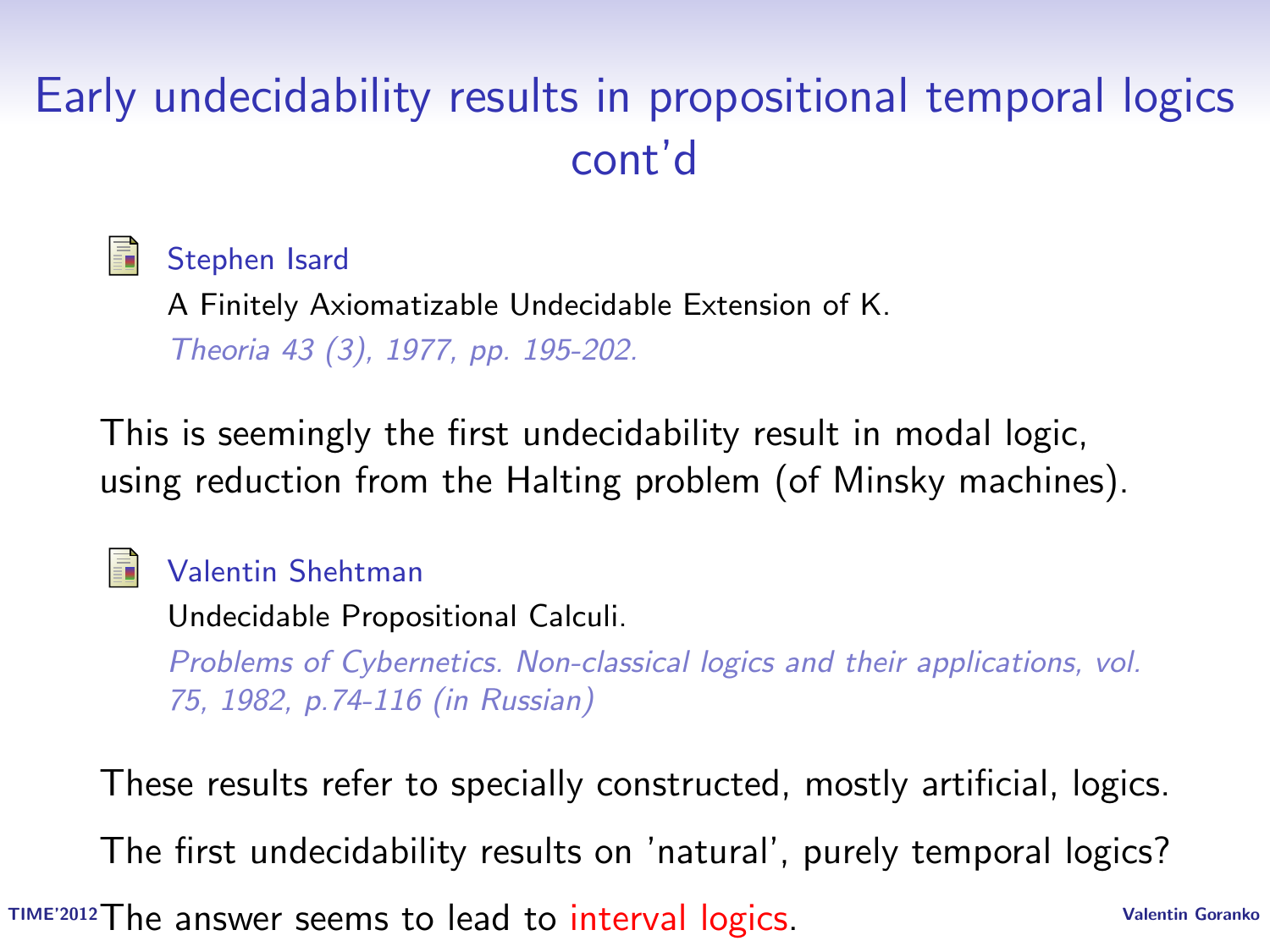# Early undecidability results in propositional temporal logics cont'd

Stephen Isard

A Finitely Axiomatizable Undecidable Extension of K. Theoria 43 (3), 1977, pp. 195-202.

This is seemingly the first undecidability result in modal logic, using reduction from the Halting problem (of Minsky machines).

#### Valentin Shehtman

螶

Undecidable Propositional Calculi.

Problems of Cybernetics. Non-classical logics and their applications, vol. 75, 1982, p.74-116 (in Russian)

TIME'2012 The answer seems to lead to interval logics. The Collectin Goranko These results refer to specially constructed, mostly artificial, logics. The first undecidability results on 'natural', purely temporal logics?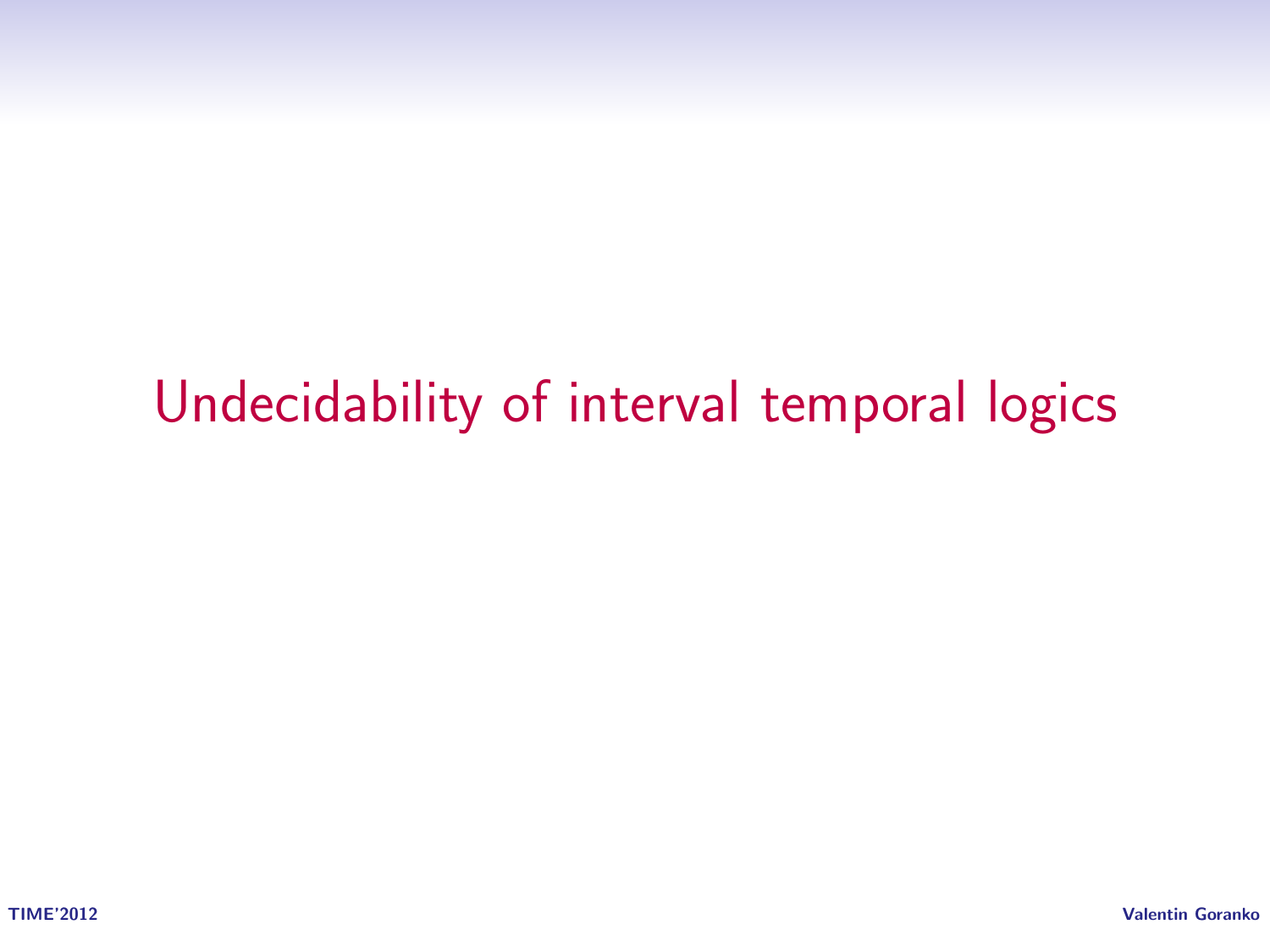# Undecidability of interval temporal logics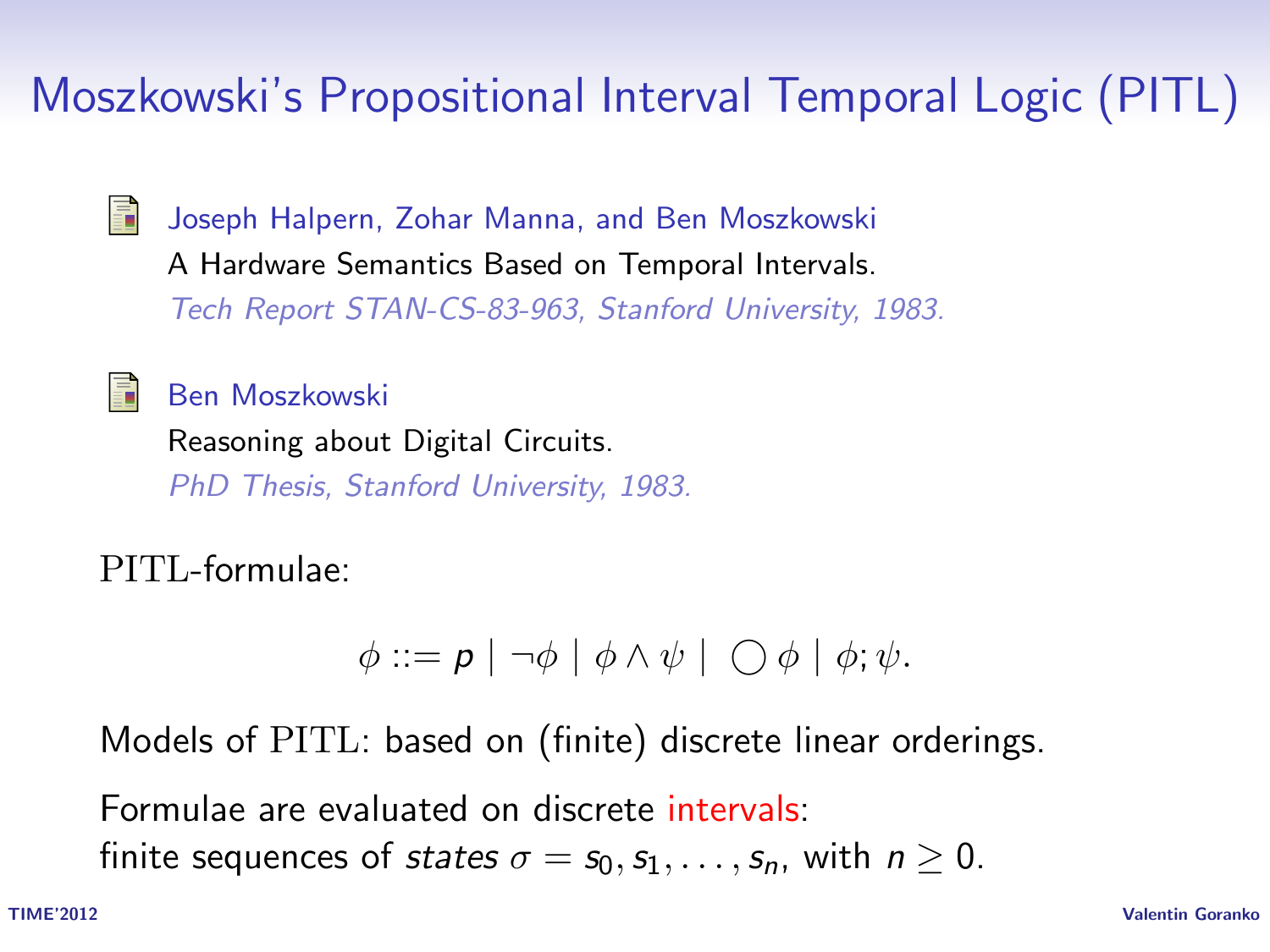# Moszkowski's Propositional Interval Temporal Logic (PITL)

畐

Joseph Halpern, Zohar Manna, and Ben Moszkowski A Hardware Semantics Based on Temporal Intervals. Tech Report STAN-CS-83-963, Stanford University, 1983.

#### 螶

Ben Moszkowski

Reasoning about Digital Circuits. PhD Thesis, Stanford University, 1983.

PITL-formulae:

$$
\phi ::= p | \neg \phi | \phi \land \psi | \bigcirc \phi | \phi; \psi.
$$

Models of PITL: based on (finite) discrete linear orderings.

Formulae are evaluated on discrete intervals: finite sequences of states  $\sigma = s_0, s_1, \ldots, s_n$ , with  $n > 0$ .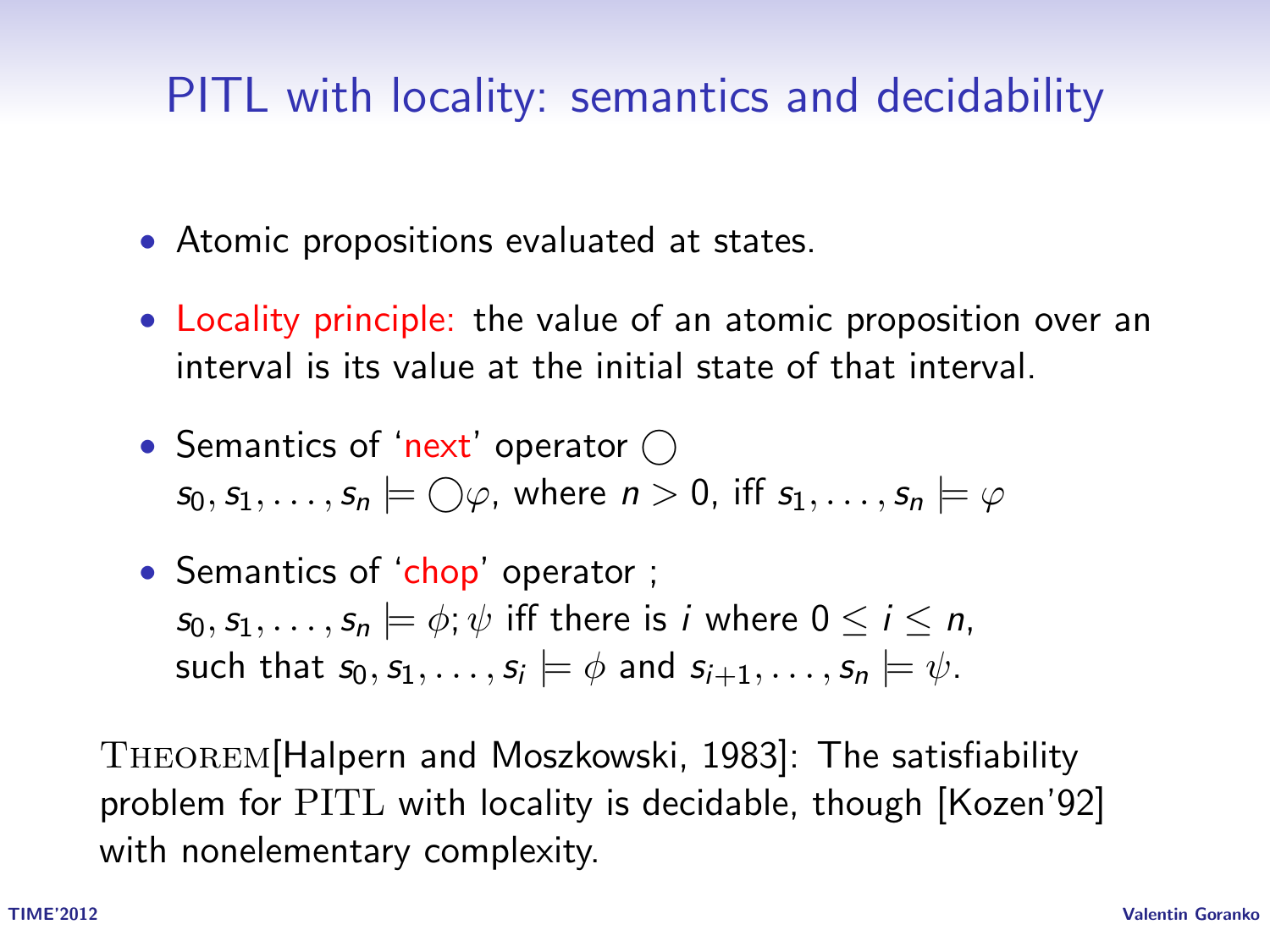## PITL with locality: semantics and decidability

- Atomic propositions evaluated at states.
- Locality principle: the value of an atomic proposition over an interval is its value at the initial state of that interval.
- Semantics of 'next' operator  $\bigcap$  $s_0, s_1, \ldots, s_n \models \bigcirc \varphi$ , where  $n > 0$ , iff  $s_1, \ldots, s_n \models \varphi$
- Semantics of 'chop' operator;  $s_0, s_1, \ldots, s_n \models \phi; \psi$  iff there is *i* where  $0 \le i \le n$ , such that  $s_0, s_1, \ldots, s_i \models \phi$  and  $s_{i+1}, \ldots, s_n \models \psi$ .

Theorem[Halpern and Moszkowski, 1983]: The satisfiability problem for PITL with locality is decidable, though [Kozen'92] with nonelementary complexity.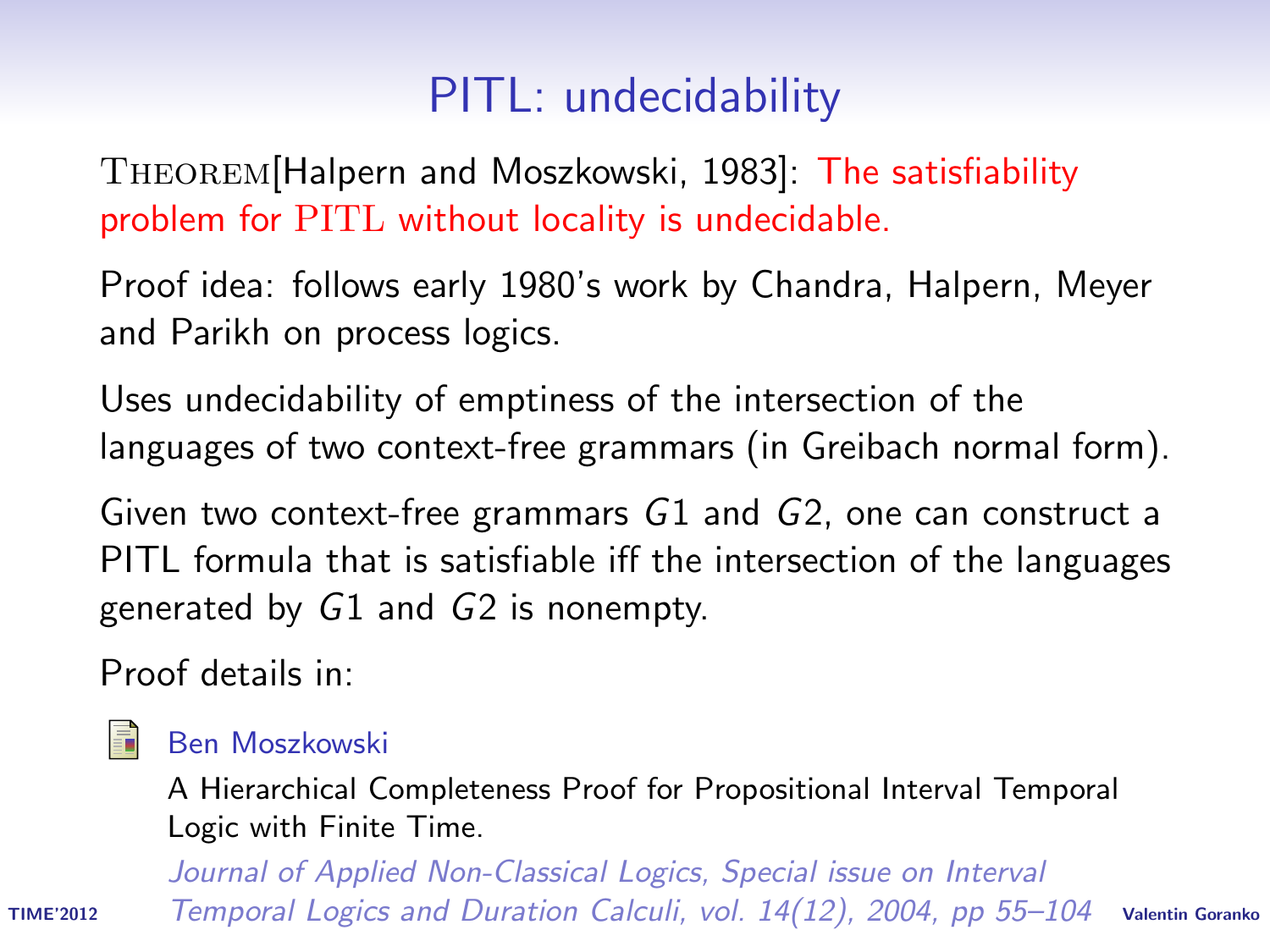# PITL: undecidability

Theorem[Halpern and Moszkowski, 1983]: The satisfiability problem for PITL without locality is undecidable.

Proof idea: follows early 1980's work by Chandra, Halpern, Meyer and Parikh on process logics.

Uses undecidability of emptiness of the intersection of the languages of two context-free grammars (in Greibach normal form).

Given two context-free grammars G1 and G2, one can construct a PITL formula that is satisfiable iff the intersection of the languages generated by G1 and G2 is nonempty.

Proof details in:



#### Ben Moszkowski

A Hierarchical Completeness Proof for Propositional Interval Temporal Logic with Finite Time.

TIME<sup>2012</sup> Temporal Logics and Duration Calculi, vol. 14(12), 2004, pp 55–104 valentin Goranko Journal of Applied Non-Classical Logics, Special issue on Interval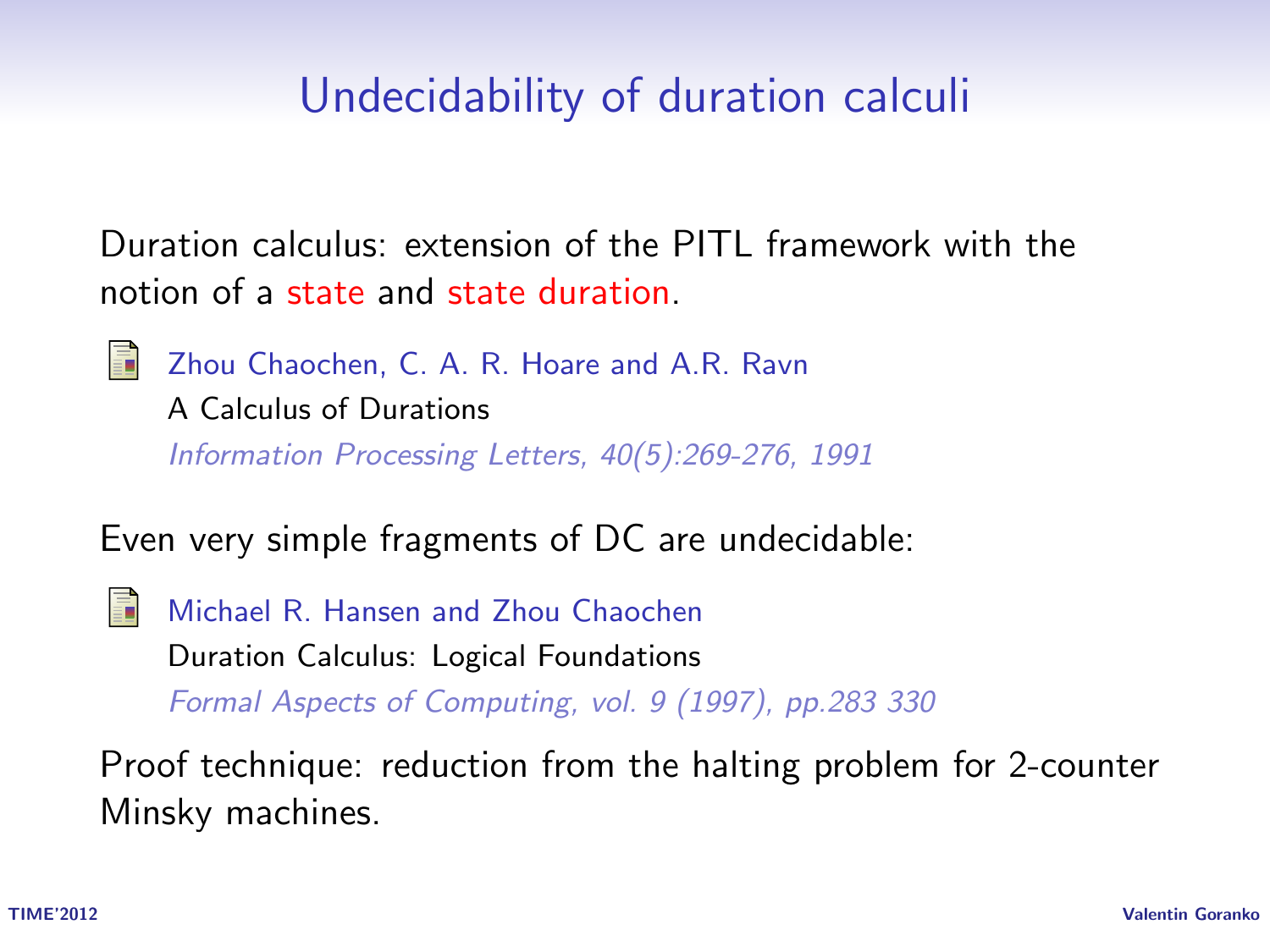## Undecidability of duration calculi

Duration calculus: extension of the PITL framework with the notion of a state and state duration.

Zhou Chaochen, C. A. R. Hoare and A.R. Ravn A Calculus of Durations Information Processing Letters, 40(5):269-276, 1991

Even very simple fragments of DC are undecidable:

譶 Michael R. Hansen and Zhou Chaochen Duration Calculus: Logical Foundations Formal Aspects of Computing, vol. 9 (1997), pp.283 330

Proof technique: reduction from the halting problem for 2-counter Minsky machines.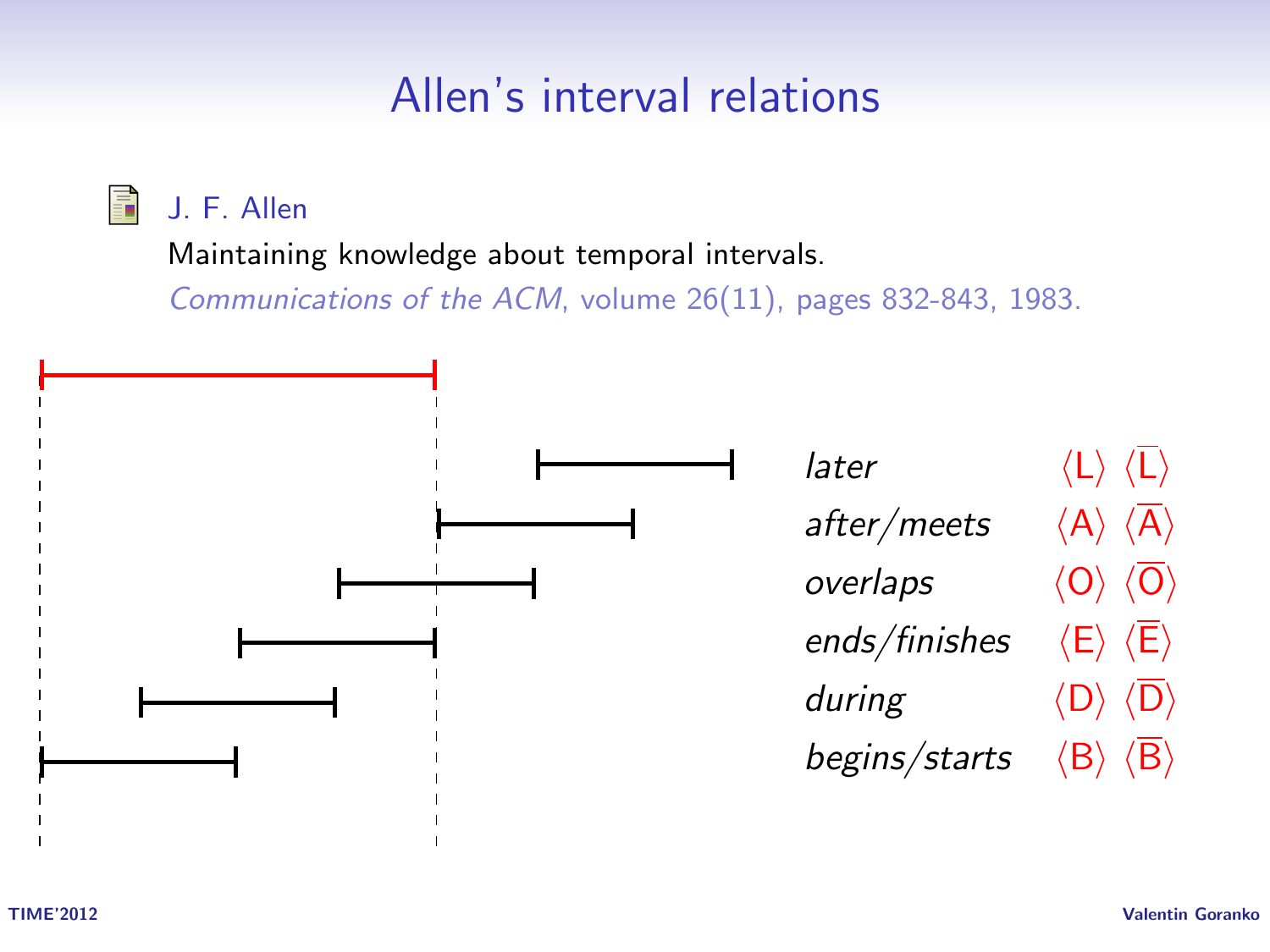## Allen's interval relations

J. F. Allen F.

Maintaining knowledge about temporal intervals.

Communications of the ACM, volume 26(11), pages 832-843, 1983.

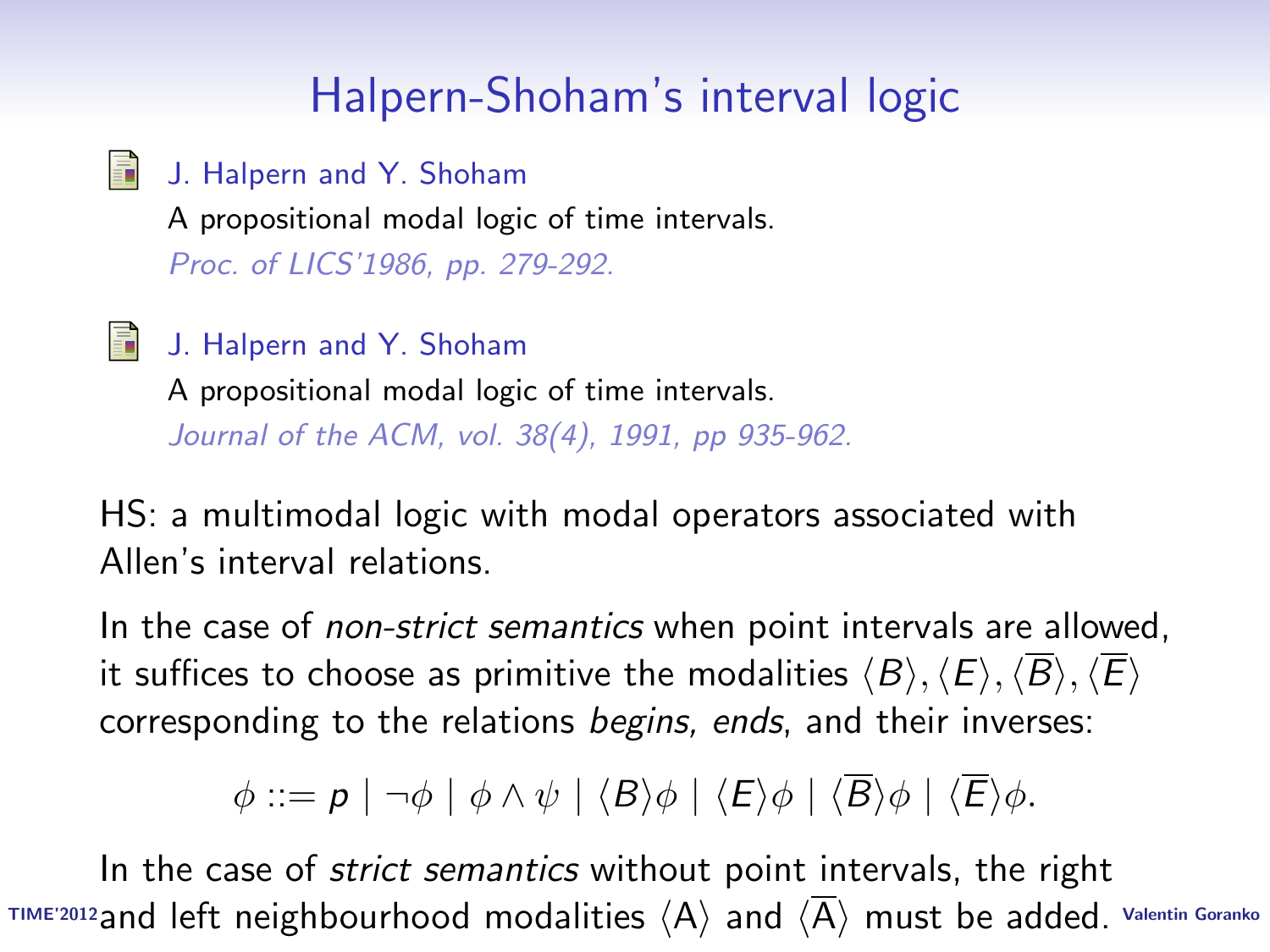# Halpern-Shoham's interval logic

- E. J. Halpern and Y. Shoham A propositional modal logic of time intervals. Proc. of LICS'1986, pp. 279-292.
- Ħ J. Halpern and Y. Shoham

A propositional modal logic of time intervals. Journal of the ACM, vol. 38(4), 1991, pp 935-962.

HS: a multimodal logic with modal operators associated with Allen's interval relations.

In the case of *non-strict semantics* when point intervals are allowed, it suffices to choose as primitive the modalities  $\langle B \rangle$ ,  $\langle E \rangle$ ,  $\langle \overline{B} \rangle$ ,  $\langle \overline{E} \rangle$ corresponding to the relations begins, ends, and their inverses:

 $\phi ::= p \mid \neg \phi \mid \phi \land \psi \mid \langle B \rangle \phi \mid \langle E \rangle \phi \mid \langle \overline{B} \rangle \phi \mid \langle \overline{E} \rangle \phi.$ 

TIME'2012 and left neighbourhood modalities  $\langle$ A $\rangle$  and  $\langle$ A $\rangle$  must be added. Valentin Goranko In the case of *strict semantics* without point intervals, the right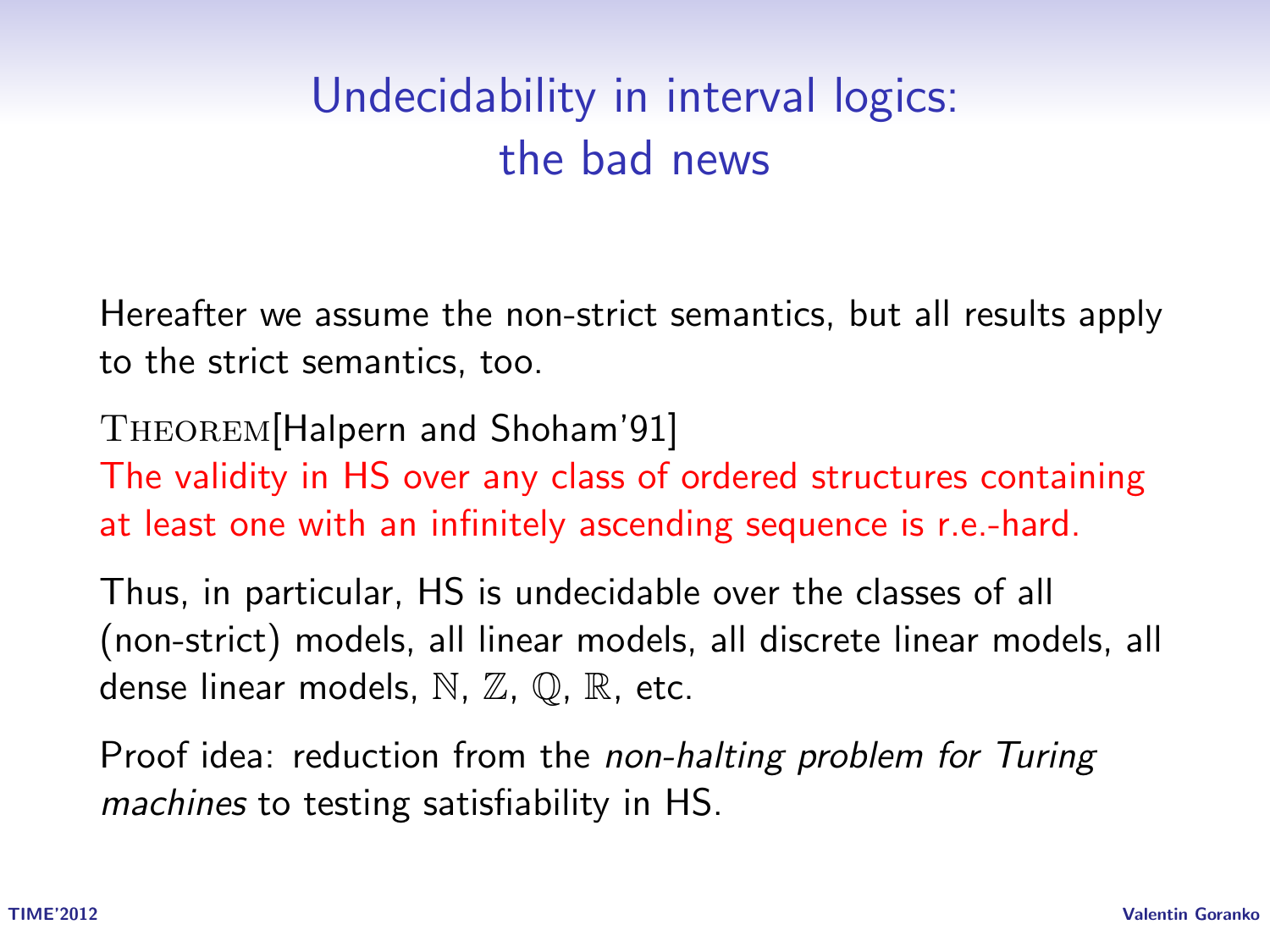# Undecidability in interval logics: the bad news

Hereafter we assume the non-strict semantics, but all results apply to the strict semantics, too.

Theorem[Halpern and Shoham'91] The validity in HS over any class of ordered structures containing at least one with an infinitely ascending sequence is r.e.-hard.

Thus, in particular, HS is undecidable over the classes of all (non-strict) models, all linear models, all discrete linear models, all dense linear models,  $\mathbb N$ ,  $\mathbb Z$ ,  $\mathbb Q$ ,  $\mathbb R$ , etc.

Proof idea: reduction from the non-halting problem for Turing machines to testing satisfiability in HS.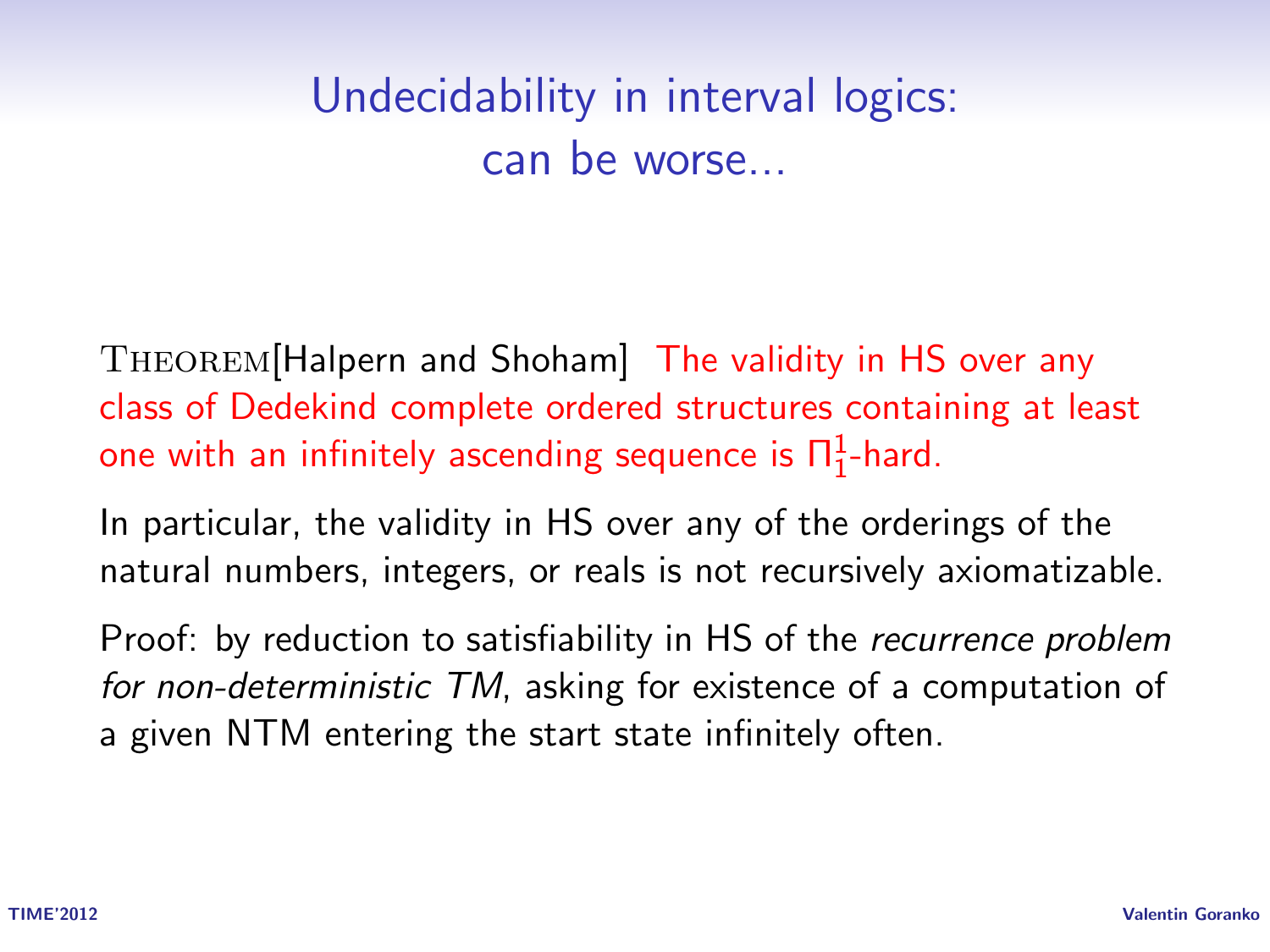# Undecidability in interval logics: can be worse...

Theorem[Halpern and Shoham] The validity in HS over any class of Dedekind complete ordered structures containing at least one with an infinitely ascending sequence is  $\Pi^1_1$ -hard.

In particular, the validity in HS over any of the orderings of the natural numbers, integers, or reals is not recursively axiomatizable.

Proof: by reduction to satisfiability in HS of the *recurrence problem* for non-deterministic TM, asking for existence of a computation of a given NTM entering the start state infinitely often.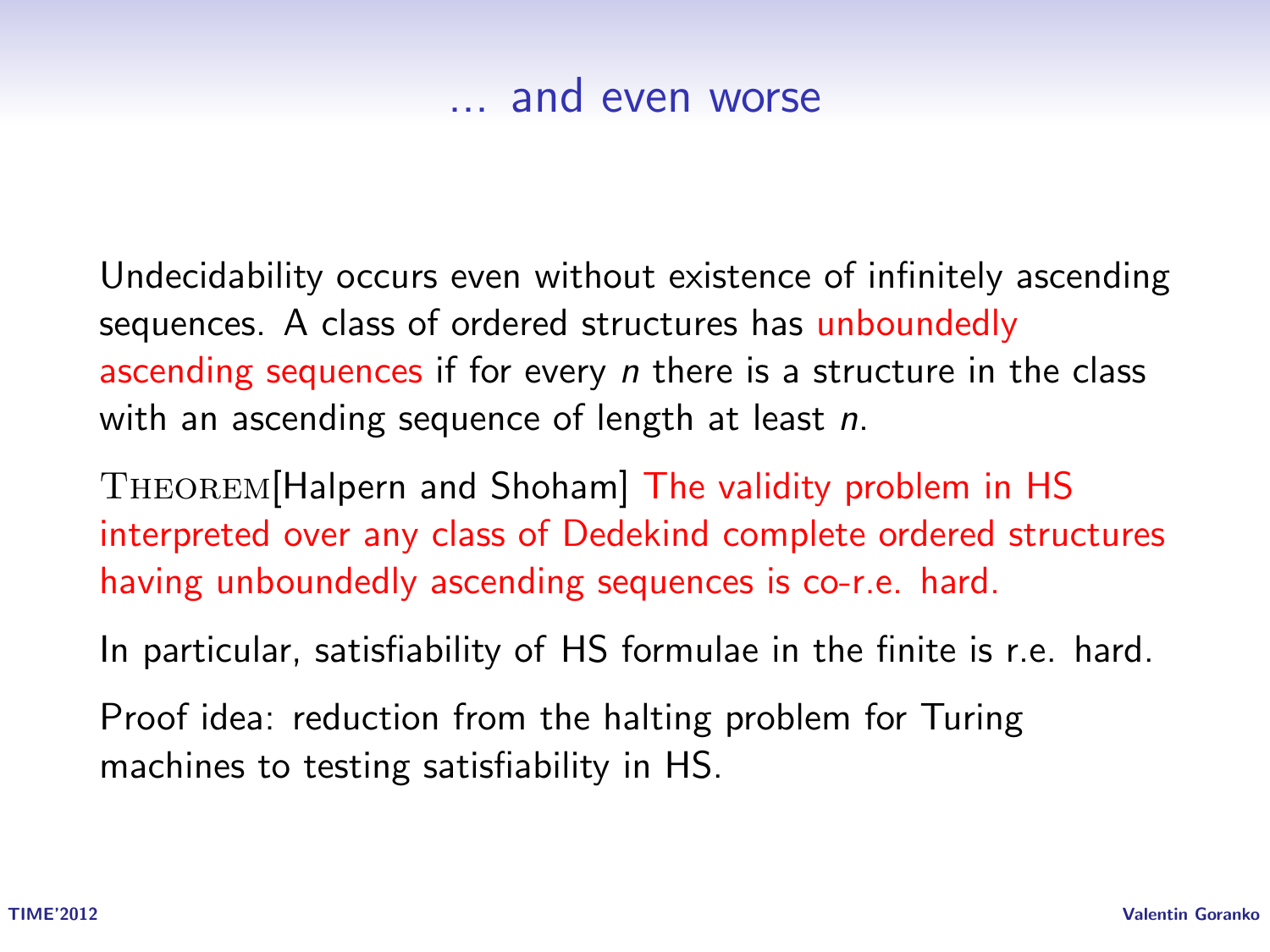#### ... and even worse

Undecidability occurs even without existence of infinitely ascending sequences. A class of ordered structures has unboundedly ascending sequences if for every *n* there is a structure in the class with an ascending sequence of length at least n.

Theorem[Halpern and Shoham] The validity problem in HS interpreted over any class of Dedekind complete ordered structures having unboundedly ascending sequences is co-r.e. hard.

In particular, satisfiability of HS formulae in the finite is r.e. hard.

Proof idea: reduction from the halting problem for Turing machines to testing satisfiability in HS.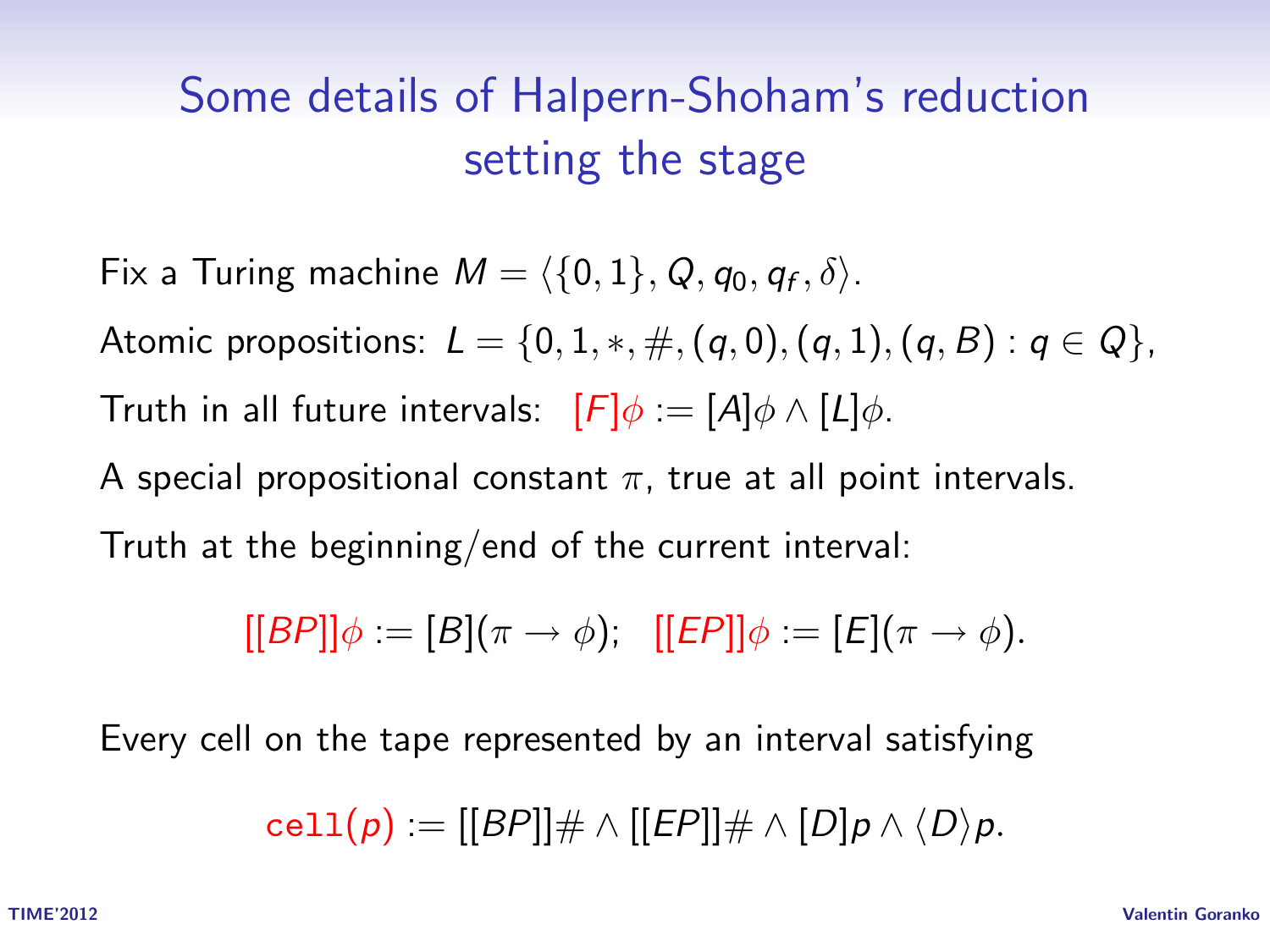# Some details of Halpern-Shoham's reduction setting the stage

Fix a Turing machine  $M = \langle \{0, 1\}, Q, q_0, q_f, \delta \rangle$ . Atomic propositions:  $L = \{0, 1, *, \#, (q, 0), (q, 1), (q, B) : q \in Q\},\$ Truth in all future intervals:  $[F]\phi := [A]\phi \wedge [L]\phi$ . A special propositional constant  $\pi$ , true at all point intervals. Truth at the beginning/end of the current interval:

 $[[BP]]\phi := [B](\pi \to \phi);$   $[[EP]]\phi := [E](\pi \to \phi).$ 

Every cell on the tape represented by an interval satisfying

 $cell(p) = |[BP]| \# \wedge |[EP]| \# \wedge [D] p \wedge \langle D \rangle p.$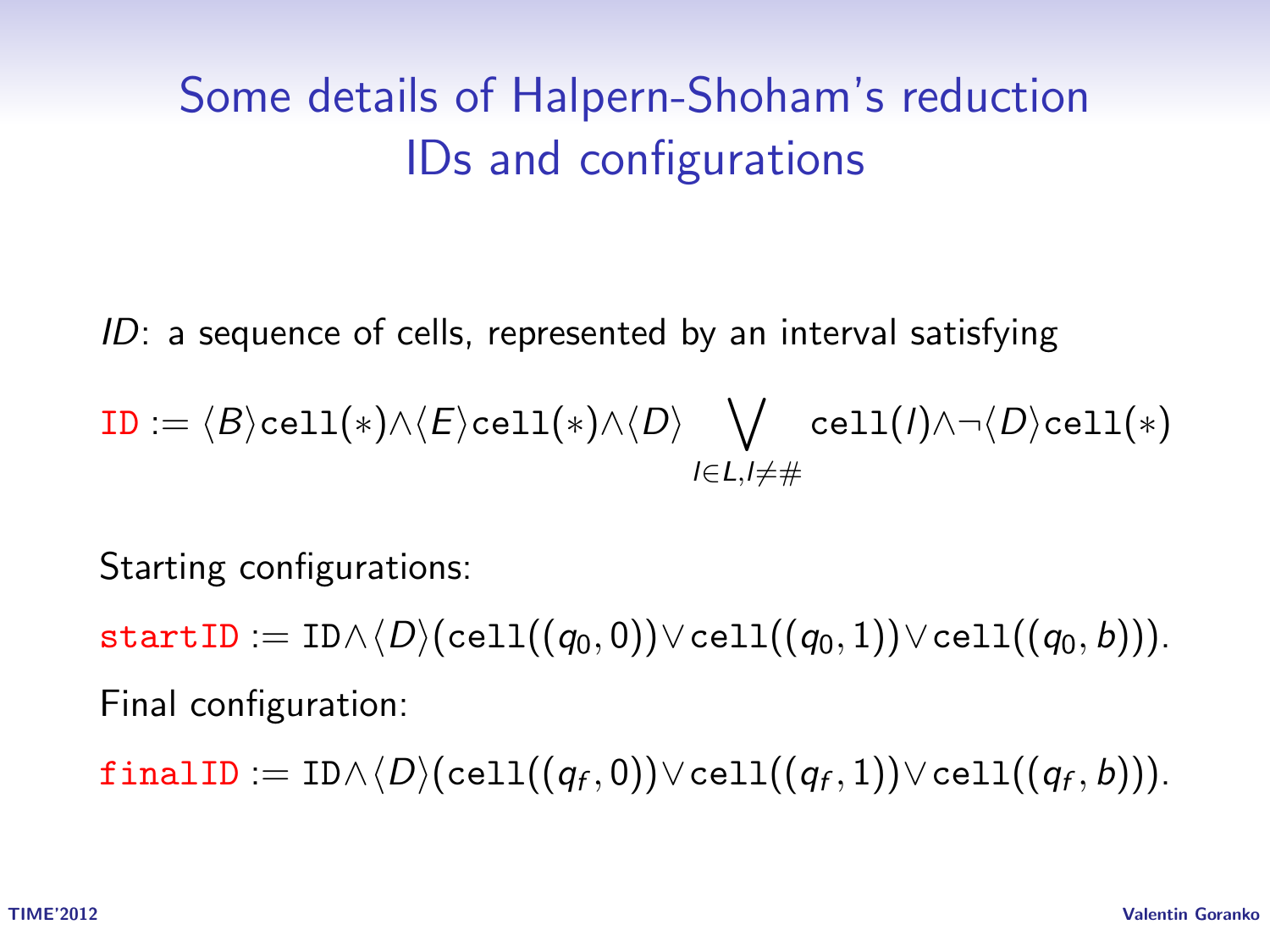# Some details of Halpern-Shoham's reduction IDs and configurations

ID: a sequence of cells, represented by an interval satisfying

$$
\mathtt{ID} := \langle B \rangle \mathtt{cell}(\ast) \land \langle E \rangle \mathtt{cell}(\ast) \land \langle D \rangle \bigvee_{l \in L, l \neq \#} \mathtt{cell}(l) \land \lnot \langle D \rangle \mathtt{cell}(\ast)
$$

Starting configurations:

startID := ID $\wedge \langle D \rangle$ (cell $((q_0, 0)) \vee$ cell $((q_0, 1)) \vee$ cell $((q_0, b))$ ). Final configuration:

 $\texttt{finalID} := \texttt{ID} \wedge \langle D \rangle (\texttt{cell}((q_f, 0)) \vee \texttt{cell}((q_f, 1)) \vee \texttt{cell}((q_f, b))).$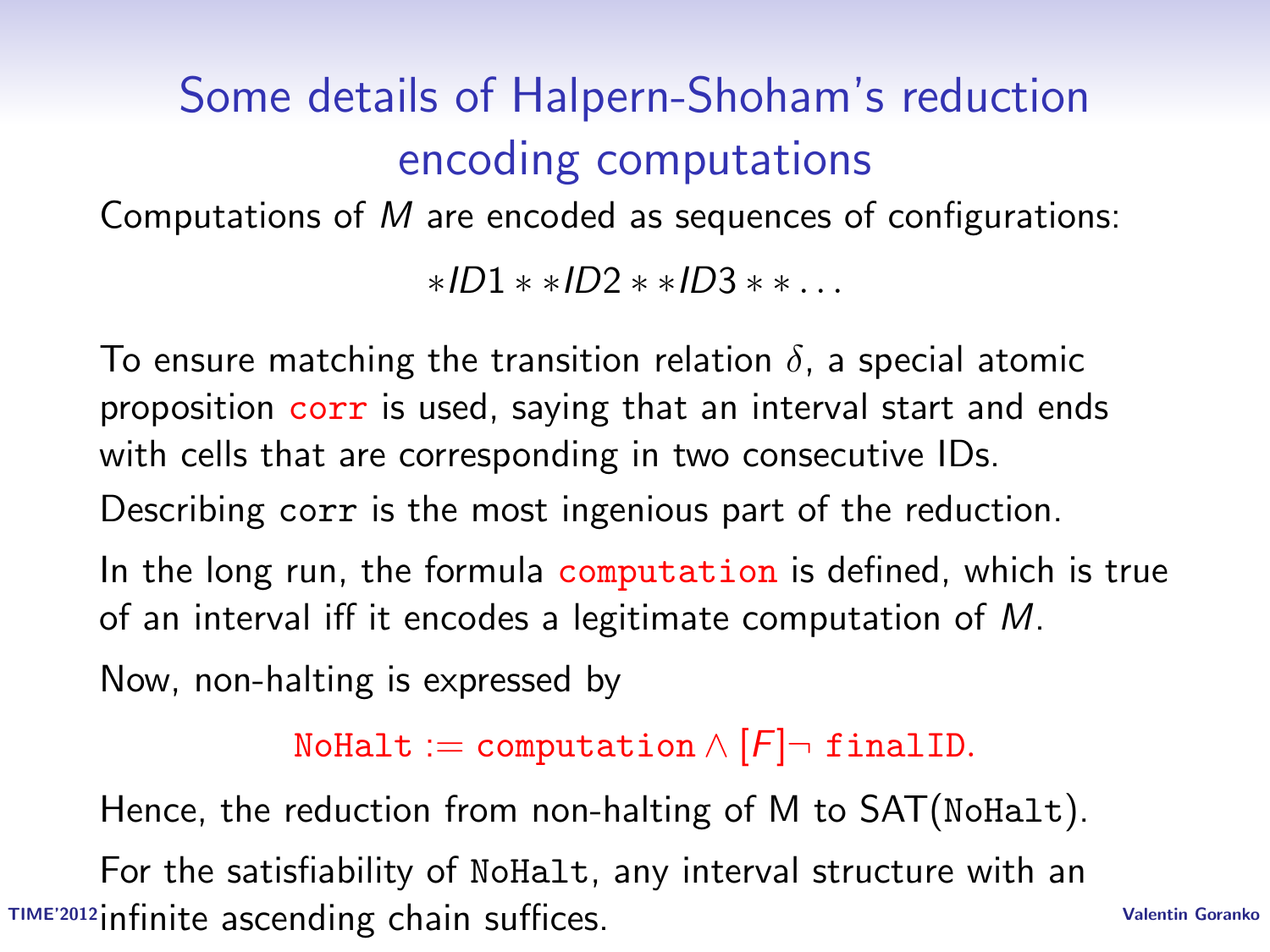# Some details of Halpern-Shoham's reduction encoding computations

Computations of M are encoded as sequences of configurations:

∗ID1 ∗ ∗ID2 ∗ ∗ID3 ∗ ∗ . . .

To ensure matching the transition relation  $\delta$ , a special atomic proposition corr is used, saying that an interval start and ends with cells that are corresponding in two consecutive IDs.

Describing corr is the most ingenious part of the reduction.

In the long run, the formula computation is defined, which is true of an interval iff it encodes a legitimate computation of M.

Now, non-halting is expressed by

NoHalt := computation  $\wedge$   $[F]$   $\neg$  final ID.

Hence, the reduction from non-halting of M to SAT(NoHalt).

TIME'2012 infinite ascending chain suffices. The comparison of the Valentin Goranko For the satisfiability of NoHalt, any interval structure with an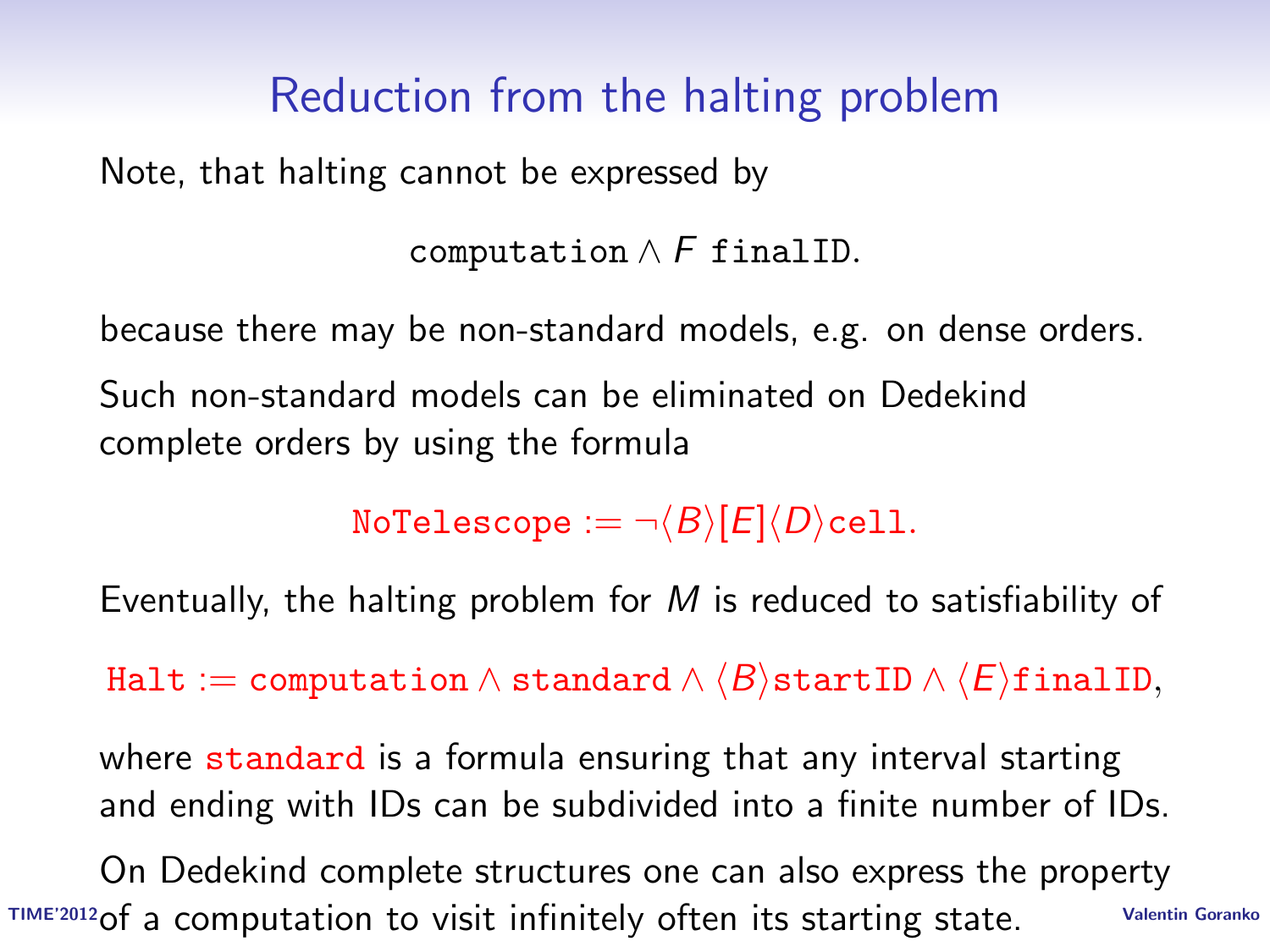## Reduction from the halting problem

Note, that halting cannot be expressed by

```
computation \wedge F finalID.
```
because there may be non-standard models, e.g. on dense orders. Such non-standard models can be eliminated on Dedekind complete orders by using the formula

NoTelescope :=  $\neg \langle B \rangle$ [E] $\langle D \rangle$ cell.

Eventually, the halting problem for  $M$  is reduced to satisfiability of

Halt := computation  $\land$  standard  $\land$   $\langle B \rangle$ startID  $\land$   $\langle E \rangle$ finalID,

where standard is a formula ensuring that any interval starting and ending with IDs can be subdivided into a finite number of IDs.

TIME'2012 of a computation to visit infinitely often its starting state. Valentin Goranko On Dedekind complete structures one can also express the property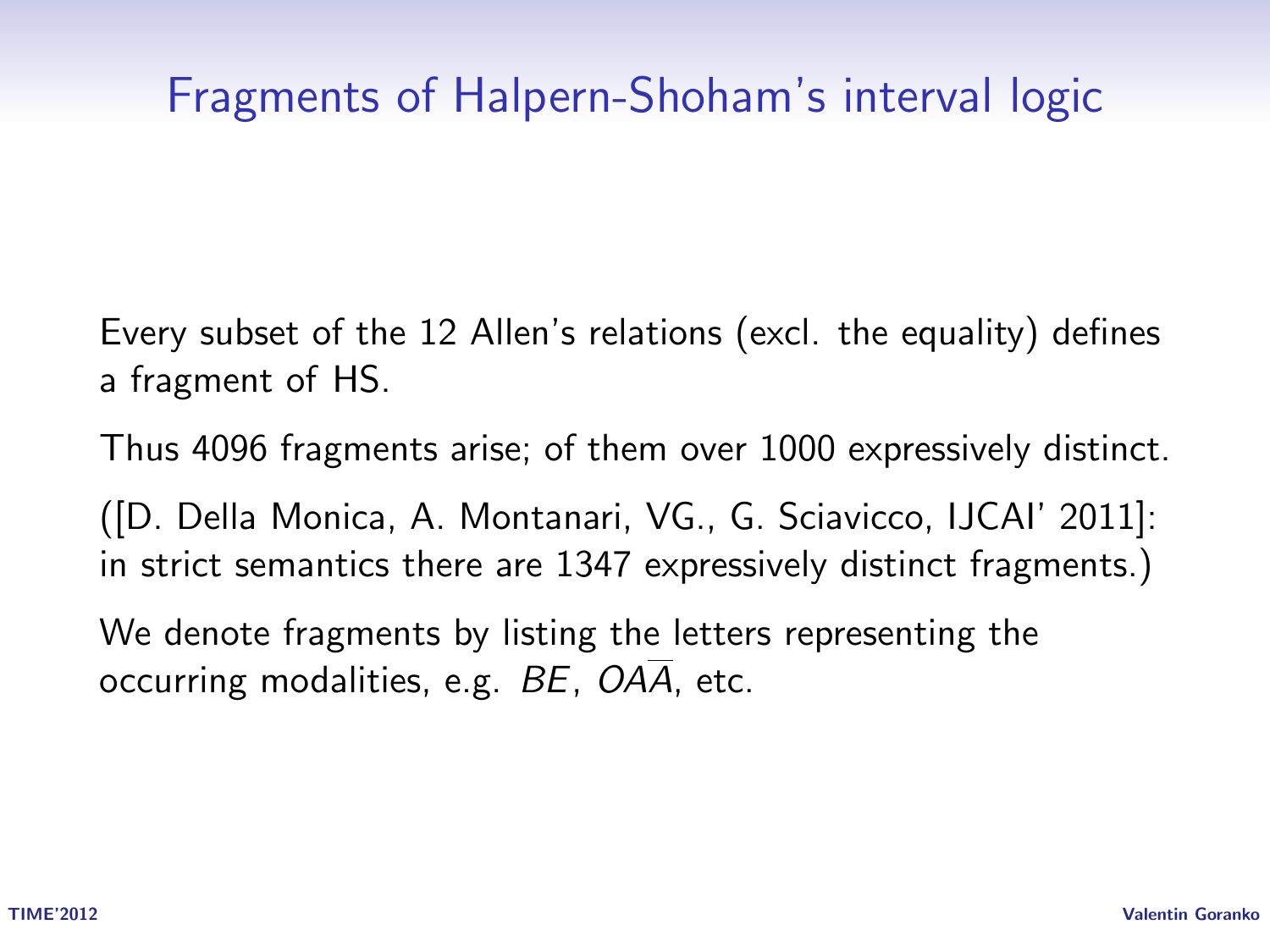## Fragments of Halpern-Shoham's interval logic

Every subset of the 12 Allen's relations (excl. the equality) defines a fragment of HS.

Thus 4096 fragments arise; of them over 1000 expressively distinct.

([D. Della Monica, A. Montanari, VG., G. Sciavicco, IJCAI' 2011]: in strict semantics there are 1347 expressively distinct fragments.)

We denote fragments by listing the letters representing the occurring modalities, e.g.  $BE$ ,  $OA\overline{A}$ , etc.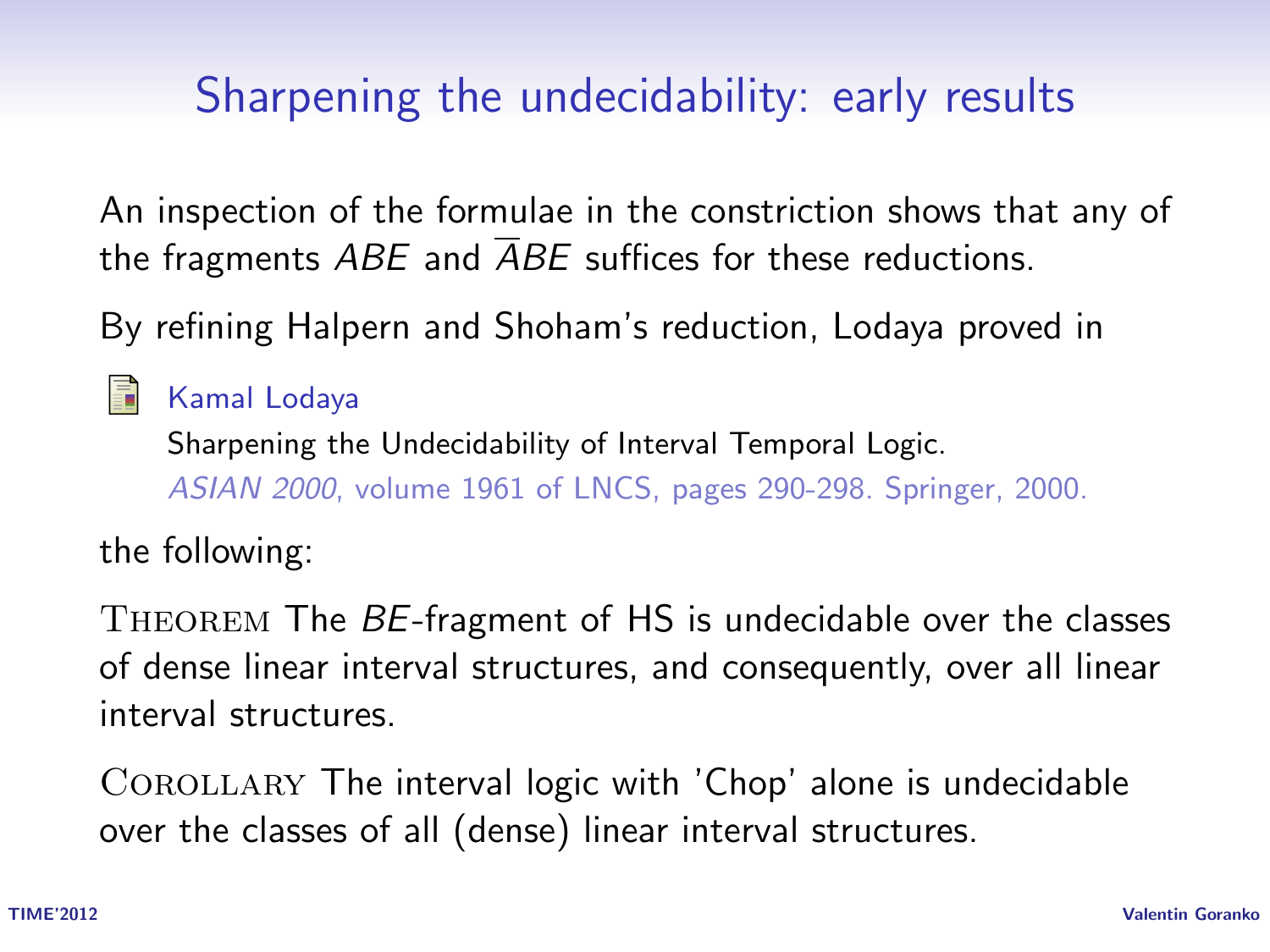# Sharpening the undecidability: early results

An inspection of the formulae in the constriction shows that any of the fragments  $ABE$  and  $\overline{AB}E$  suffices for these reductions.

By refining Halpern and Shoham's reduction, Lodaya proved in

Kamal Lodaya Sharpening the Undecidability of Interval Temporal Logic. ASIAN 2000, volume 1961 of LNCS, pages 290-298. Springer, 2000.

the following:

THEOREM The BE-fragment of HS is undecidable over the classes of dense linear interval structures, and consequently, over all linear interval structures.

COROLLARY The interval logic with 'Chop' alone is undecidable over the classes of all (dense) linear interval structures.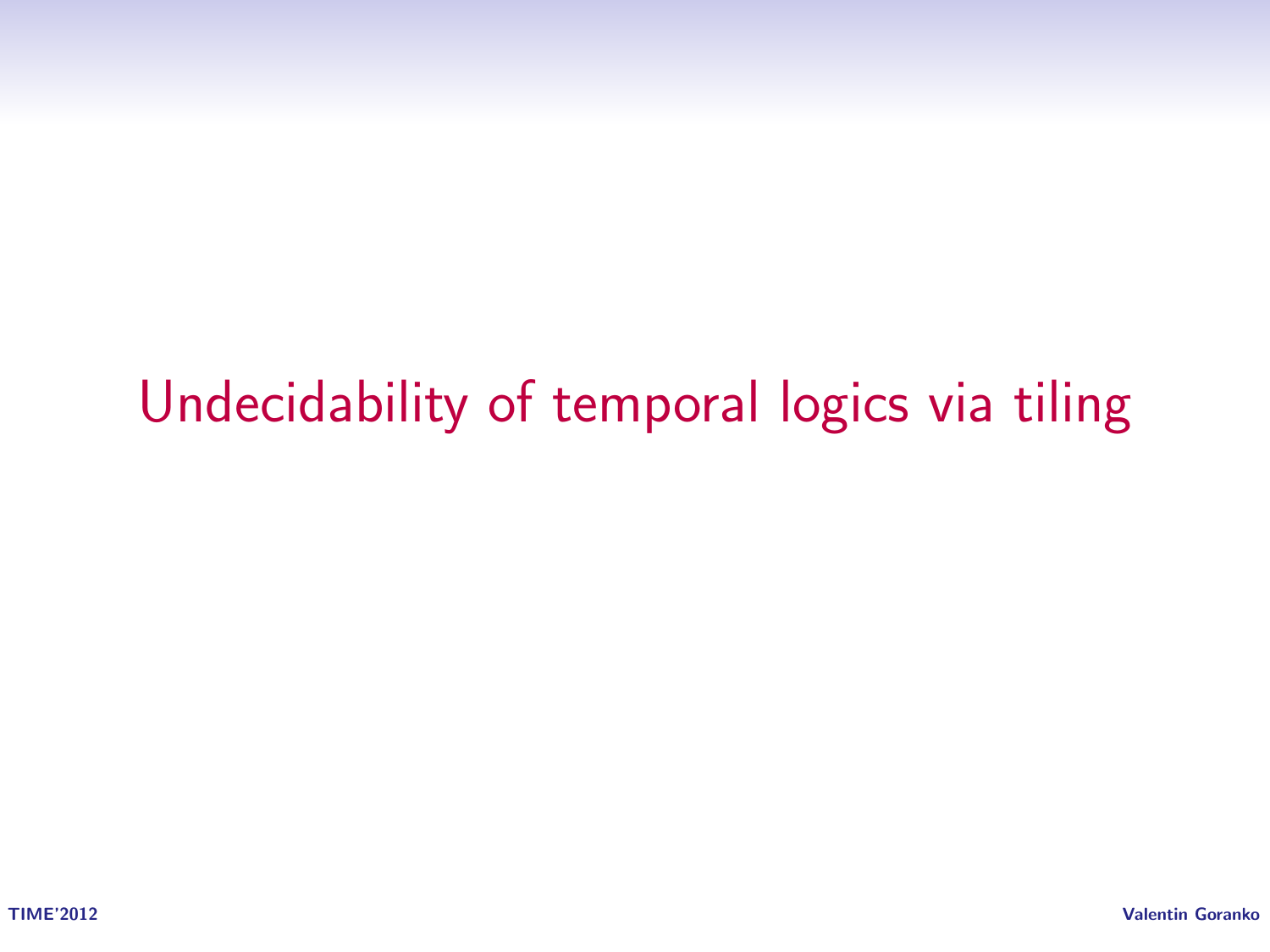# Undecidability of temporal logics via tiling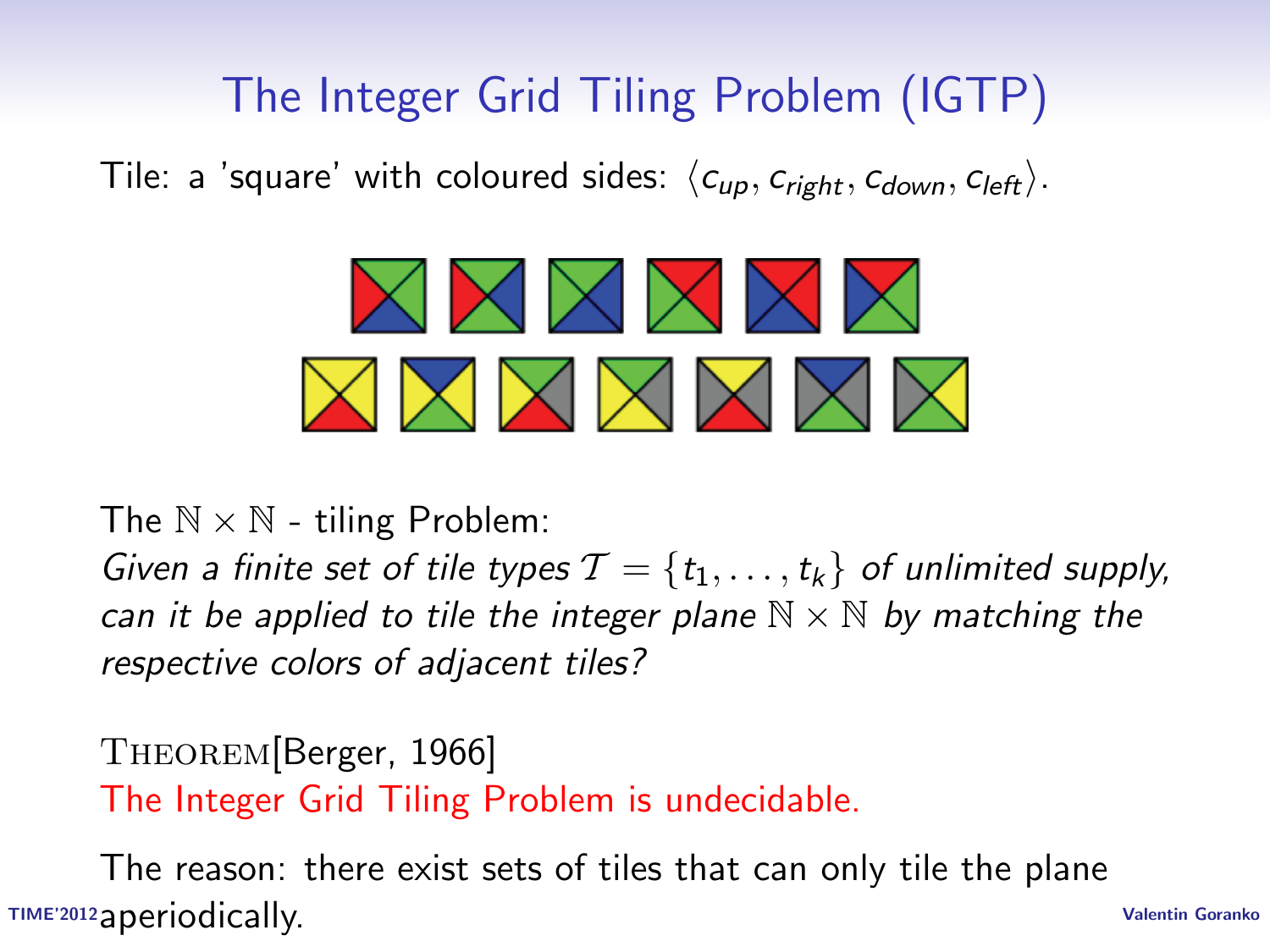# The Integer Grid Tiling Problem (IGTP)

Tile: a 'square' with coloured sides:  $\langle c_{\mu p}, c_{\text{right}}, c_{\text{down}}, c_{\text{left}} \rangle$ .



The  $N \times N$  - tiling Problem:

Given a finite set of tile types  $\mathcal{T} = \{t_1, \ldots, t_k\}$  of unlimited supply, can it be applied to tile the integer plane  $\mathbb{N} \times \mathbb{N}$  by matching the respective colors of adjacent tiles?

Theorem[Berger, 1966] The Integer Grid Tiling Problem is undecidable.

TIME'2012 Valentin Goranko aperiodically.The reason: there exist sets of tiles that can only tile the plane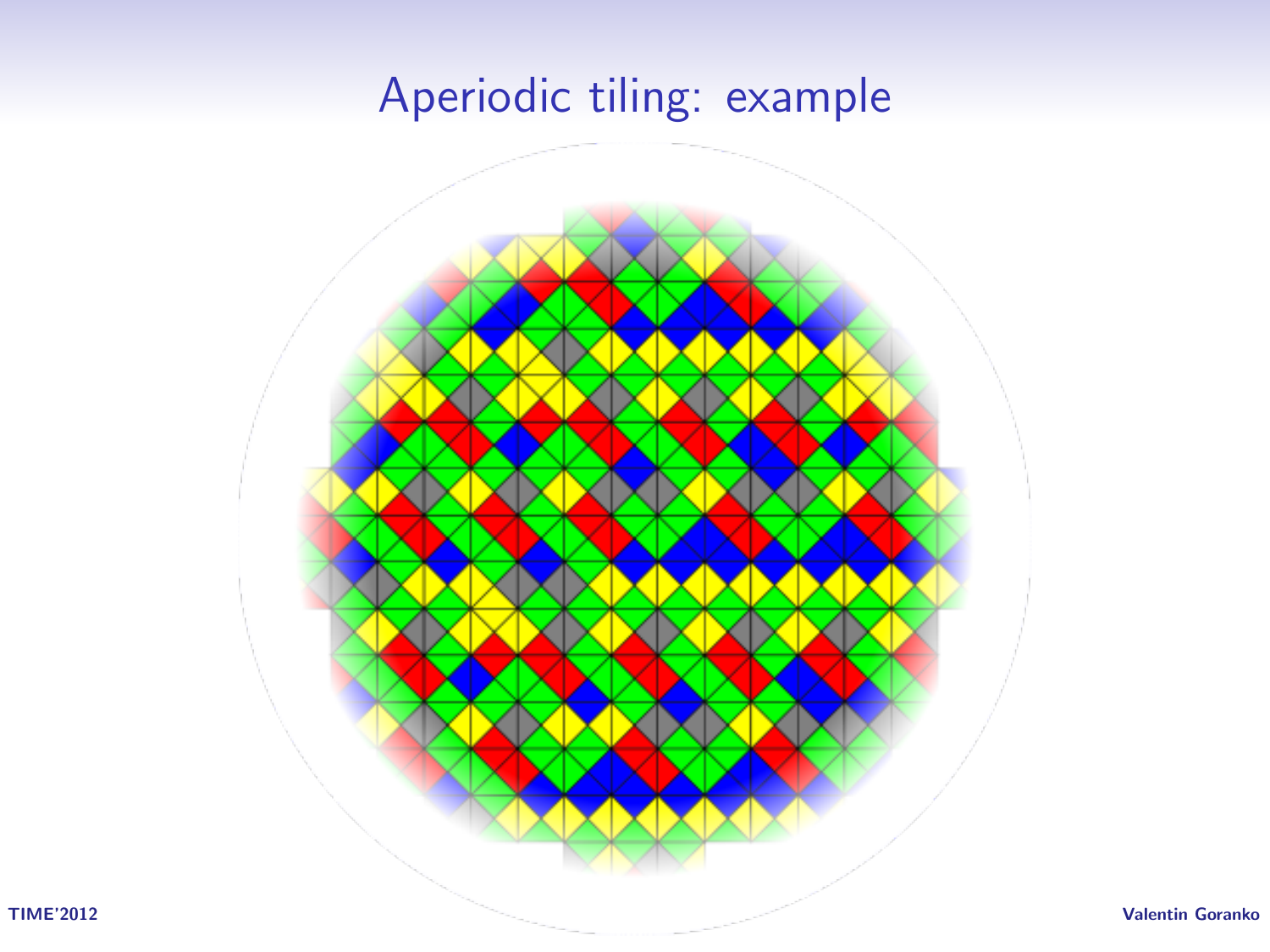## Aperiodic tiling: example

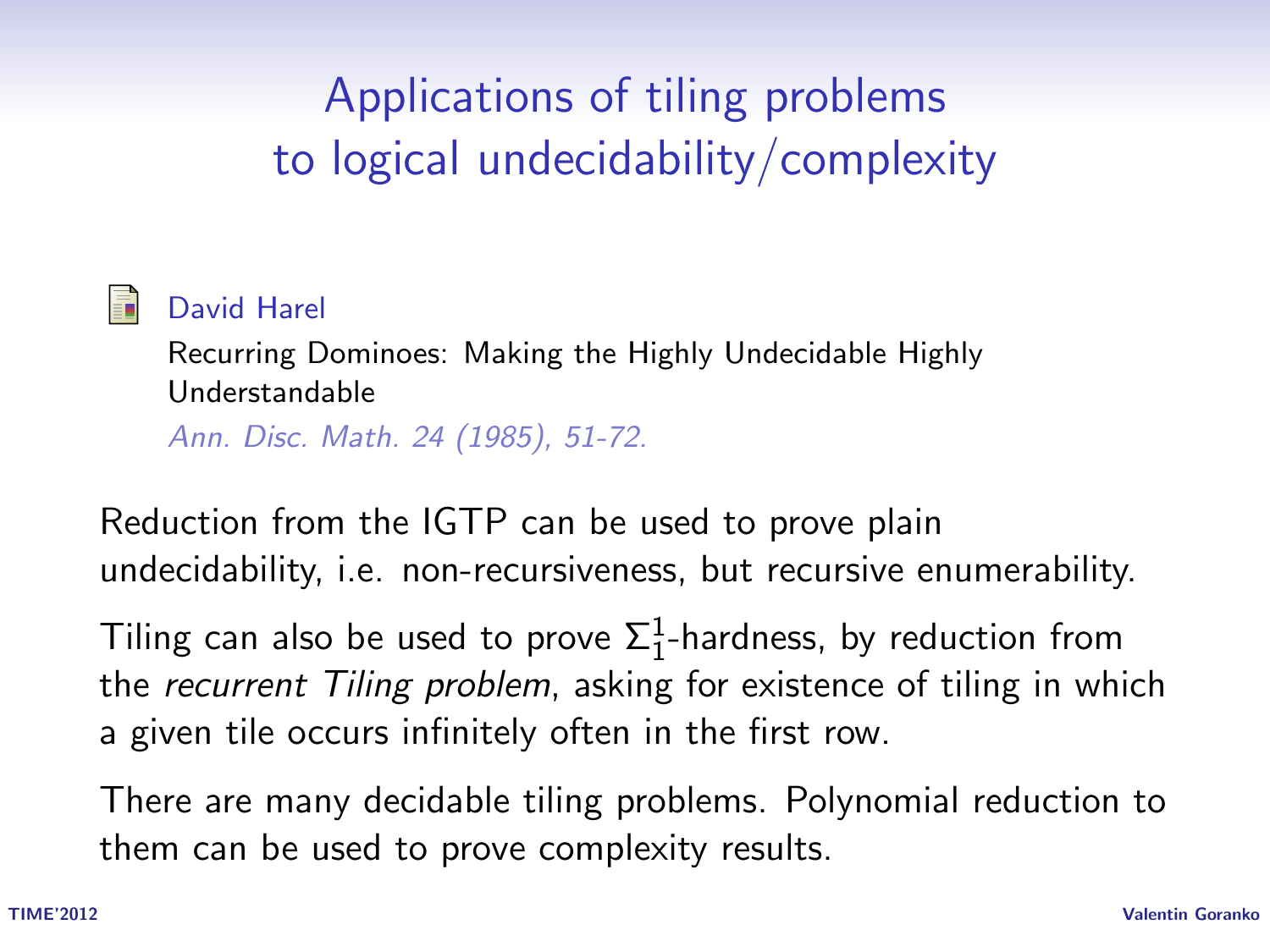# Applications of tiling problems to logical undecidability/complexity



#### David Harel

Recurring Dominoes: Making the Highly Undecidable Highly Understandable

Ann. Disc. Math. 24 (1985), 51-72.

Reduction from the IGTP can be used to prove plain undecidability, i.e. non-recursiveness, but recursive enumerability.

Tiling can also be used to prove  $\Sigma^1_1$ -hardness, by reduction from the recurrent Tiling problem, asking for existence of tiling in which a given tile occurs infinitely often in the first row.

There are many decidable tiling problems. Polynomial reduction to them can be used to prove complexity results.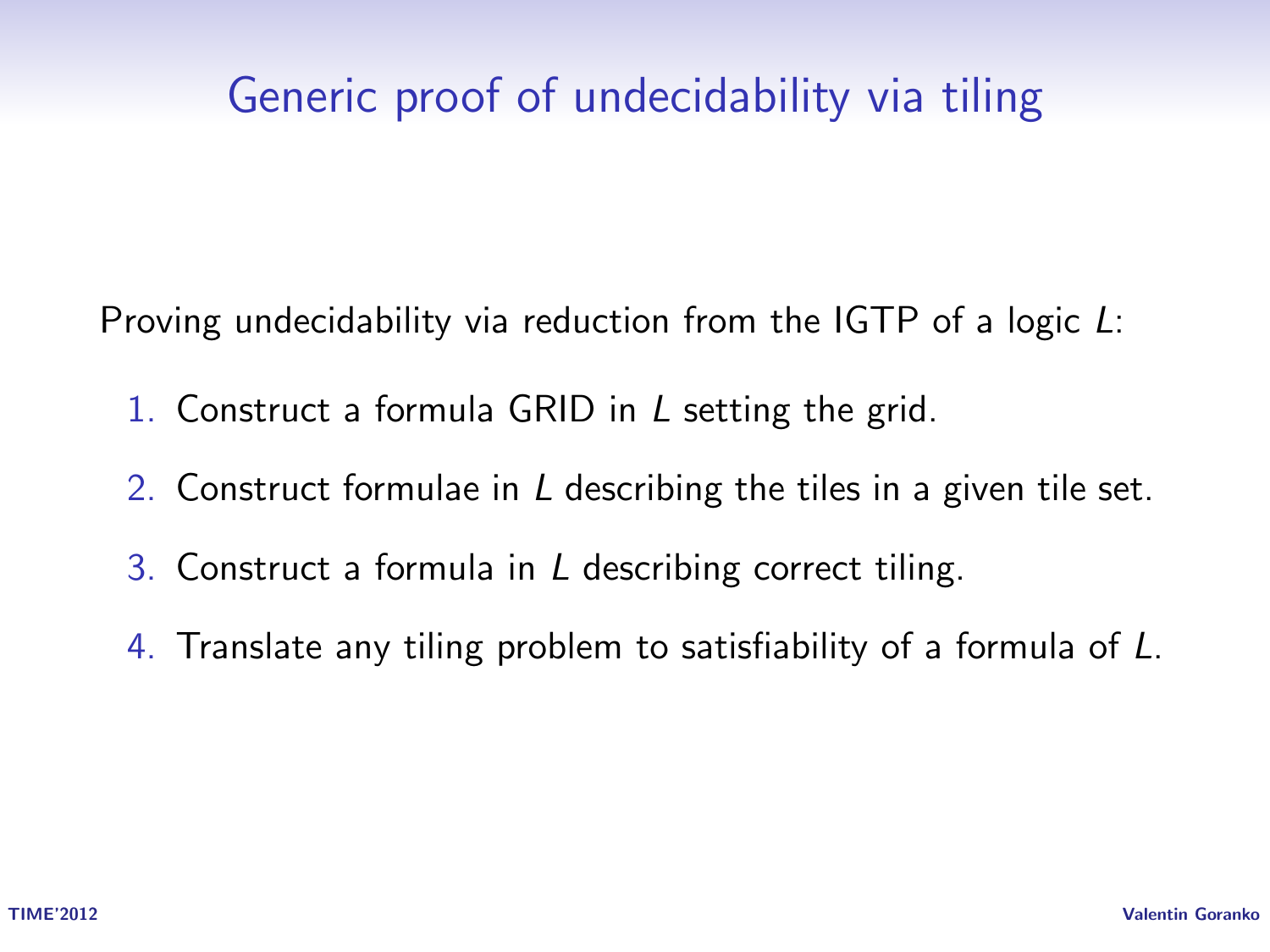## Generic proof of undecidability via tiling

Proving undecidability via reduction from the IGTP of a logic L:

- 1. Construct a formula GRID in L setting the grid.
- 2. Construct formulae in L describing the tiles in a given tile set.
- 3. Construct a formula in L describing correct tiling.
- 4. Translate any tiling problem to satisfiability of a formula of L.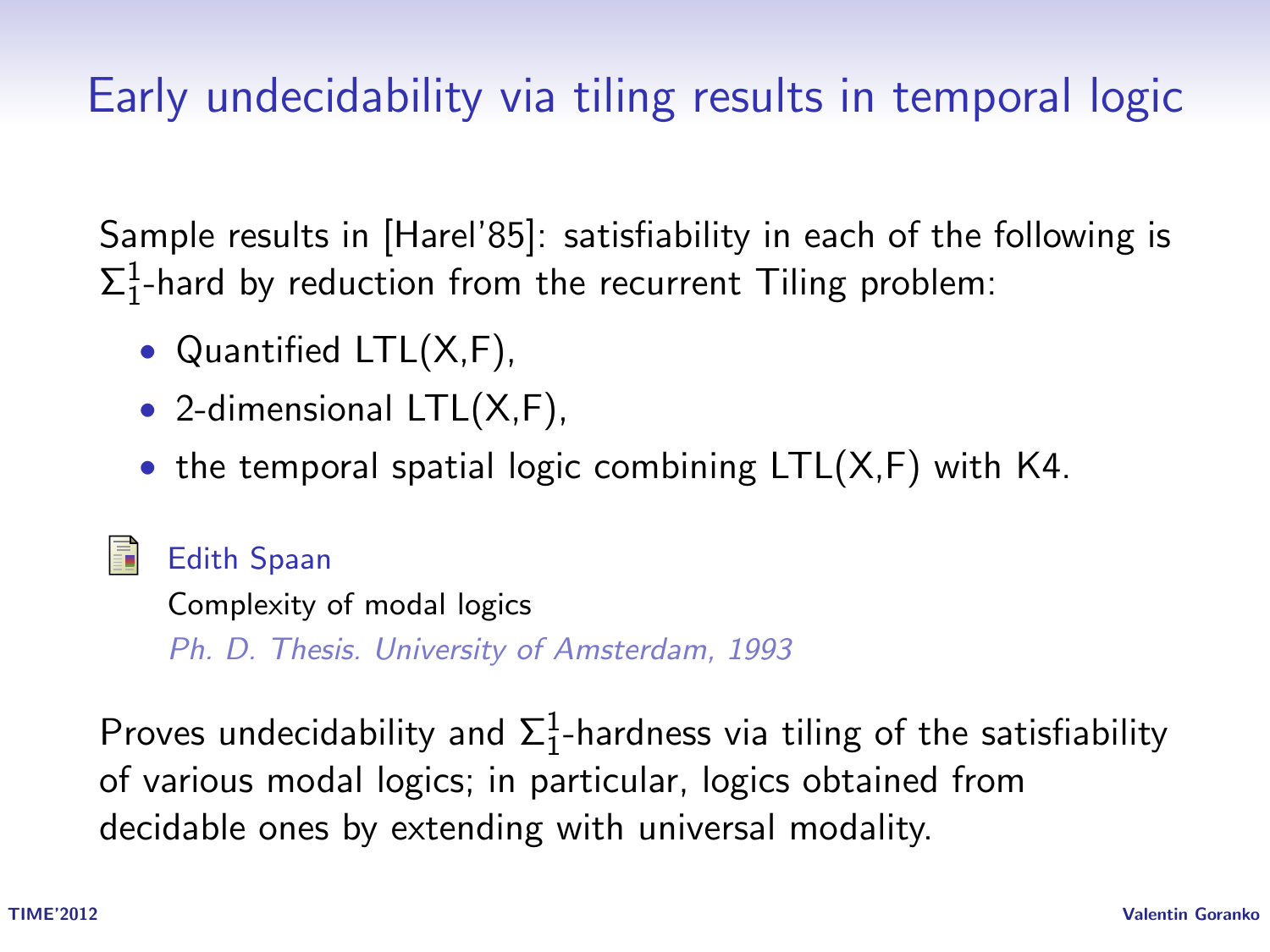# Early undecidability via tiling results in temporal logic

Sample results in [Harel'85]: satisfiability in each of the following is  $\Sigma^1_1$ -hard by reduction from the recurrent Tiling problem:

- Quantified LTL(X,F),
- 2-dimensional LTL(X,F),
- the temporal spatial logic combining  $LTL(X,F)$  with K4.

#### Edith Spaan

Complexity of modal logics

Ph. D. Thesis. University of Amsterdam, 1993

Proves undecidability and  $\Sigma^1_1$ -hardness via tiling of the satisfiability of various modal logics; in particular, logics obtained from decidable ones by extending with universal modality.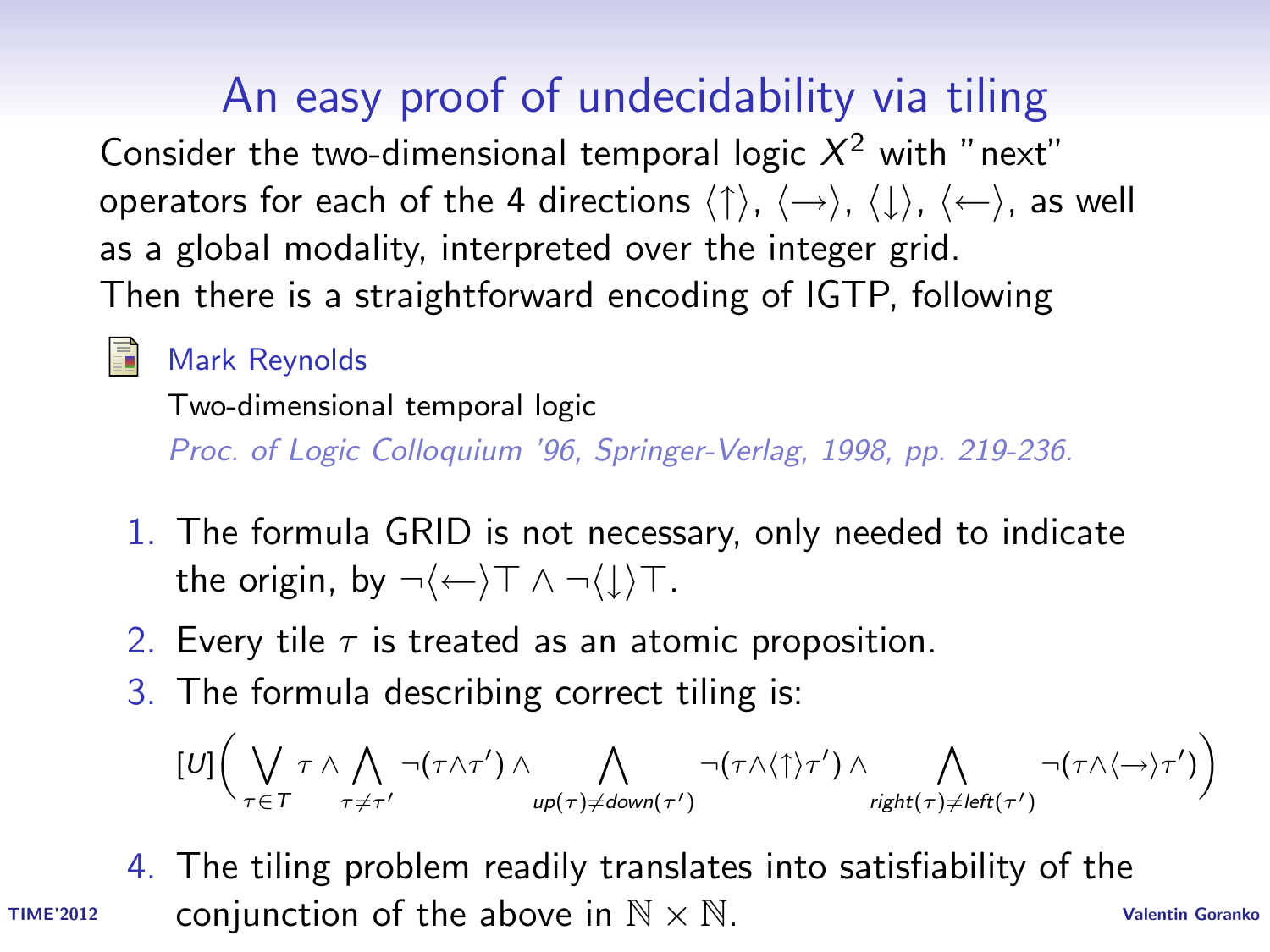# An easy proof of undecidability via tiling

Consider the two-dimensional temporal logic  $X^2$  with "next" operators for each of the 4 directions  $\langle \uparrow \rangle$ ,  $\langle \rightarrow \rangle$ ,  $\langle \downarrow \rangle$ ,  $\langle \leftarrow \rangle$ , as well as a global modality, interpreted over the integer grid. Then there is a straightforward encoding of IGTP, following

#### Mark Reynolds

暈

Two-dimensional temporal logic

Proc. of Logic Colloquium '96, Springer-Verlag, 1998, pp. 219-236.

- 1. The formula GRID is not necessary, only needed to indicate the origin, by  $\neg \langle \leftarrow \rangle \top \land \neg \langle \downarrow \rangle \top$ .
- 2. Every tile  $\tau$  is treated as an atomic proposition.
- 3. The formula describing correct tiling is:

$$
[U]\bigg(\bigvee_{\tau\in\mathcal{T}}\tau\wedge\bigwedge_{\tau\neq\tau'}\neg(\tau\wedge\tau')\wedge\bigwedge_{\text{up}(\tau)\neq\text{down}(\tau')}\neg(\tau\wedge\langle\uparrow\rangle\tau')\wedge\bigwedge_{\text{right}(\tau)\neq\text{left}(\tau')}\neg(\tau\wedge\langle\rightarrow\rangle\tau')\bigg)
$$

TIME'2012 Conjunction of the above in  $N \times N$ . 4. The tiling problem readily translates into satisfiability of the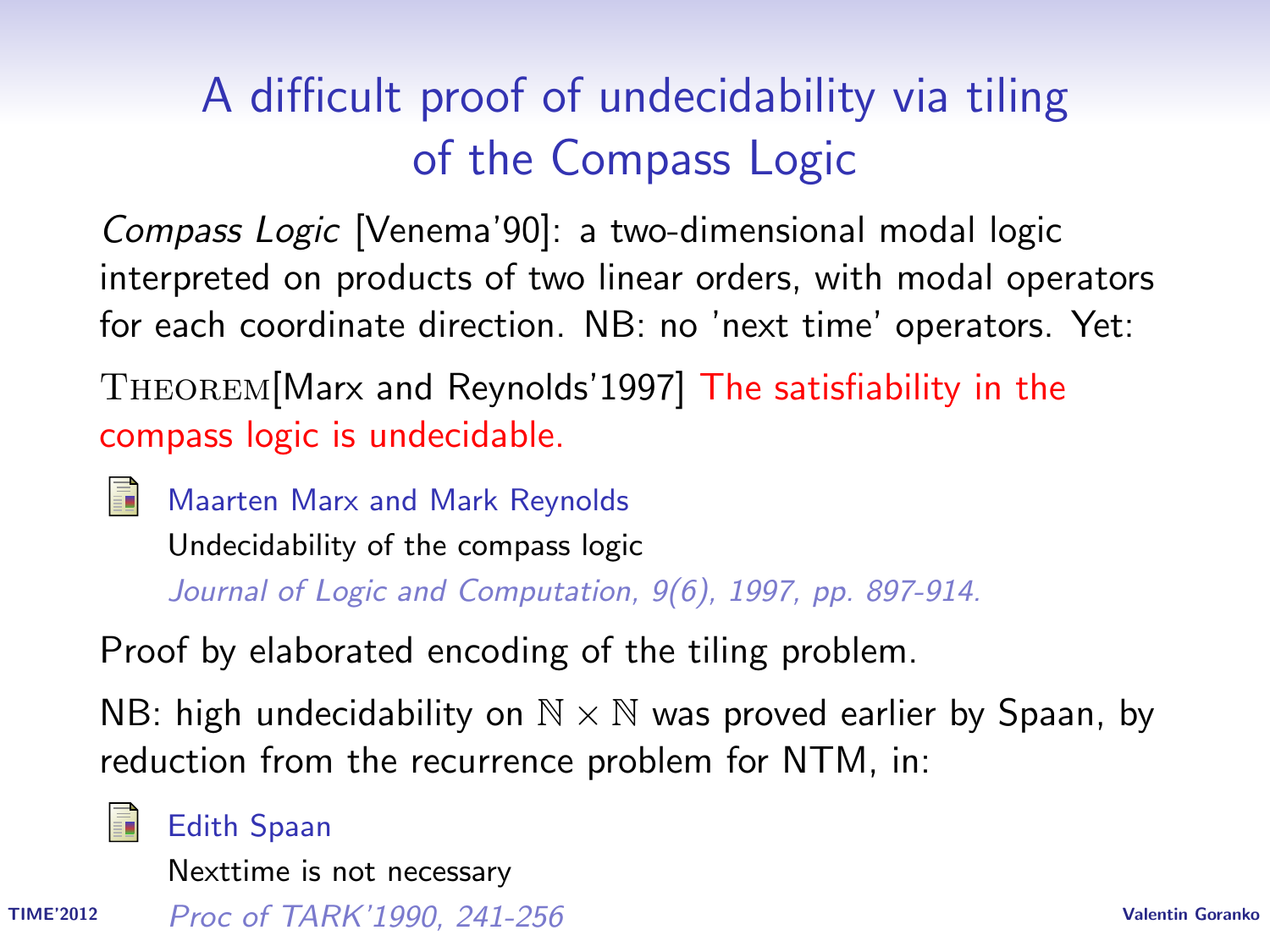# A difficult proof of undecidability via tiling of the Compass Logic

Compass Logic [Venema'90]: a two-dimensional modal logic interpreted on products of two linear orders, with modal operators for each coordinate direction. NB: no 'next time' operators. Yet:

Theorem[Marx and Reynolds'1997] The satisfiability in the compass logic is undecidable.

譶

Maarten Marx and Mark Reynolds Undecidability of the compass logic Journal of Logic and Computation, 9(6), 1997, pp. 897-914.

Proof by elaborated encoding of the tiling problem.

NB: high undecidability on  $\mathbb{N} \times \mathbb{N}$  was proved earlier by Spaan, by reduction from the recurrence problem for NTM, in:



#### Edith Spaan

Nexttime is not necessary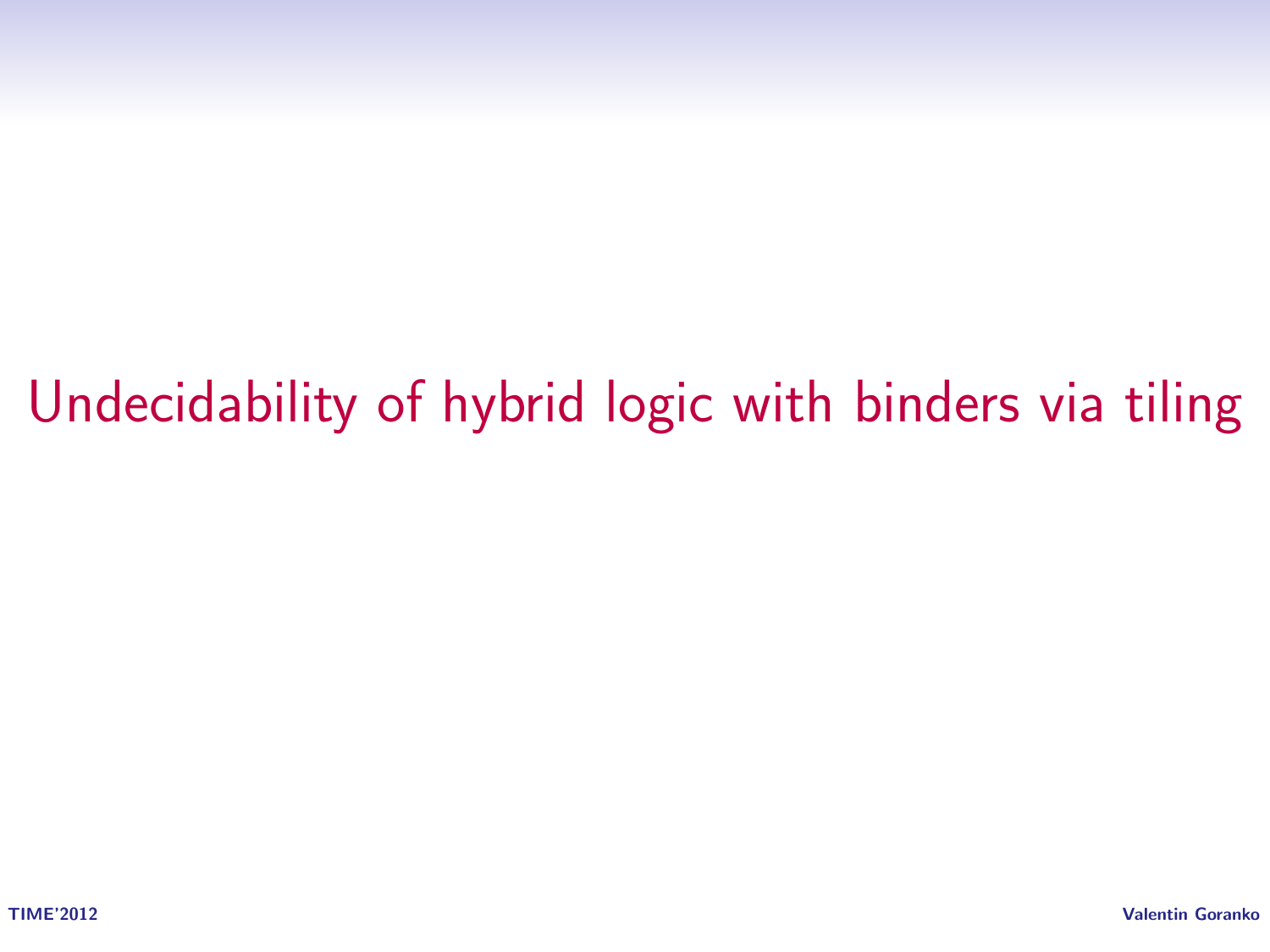# Undecidability of hybrid logic with binders via tiling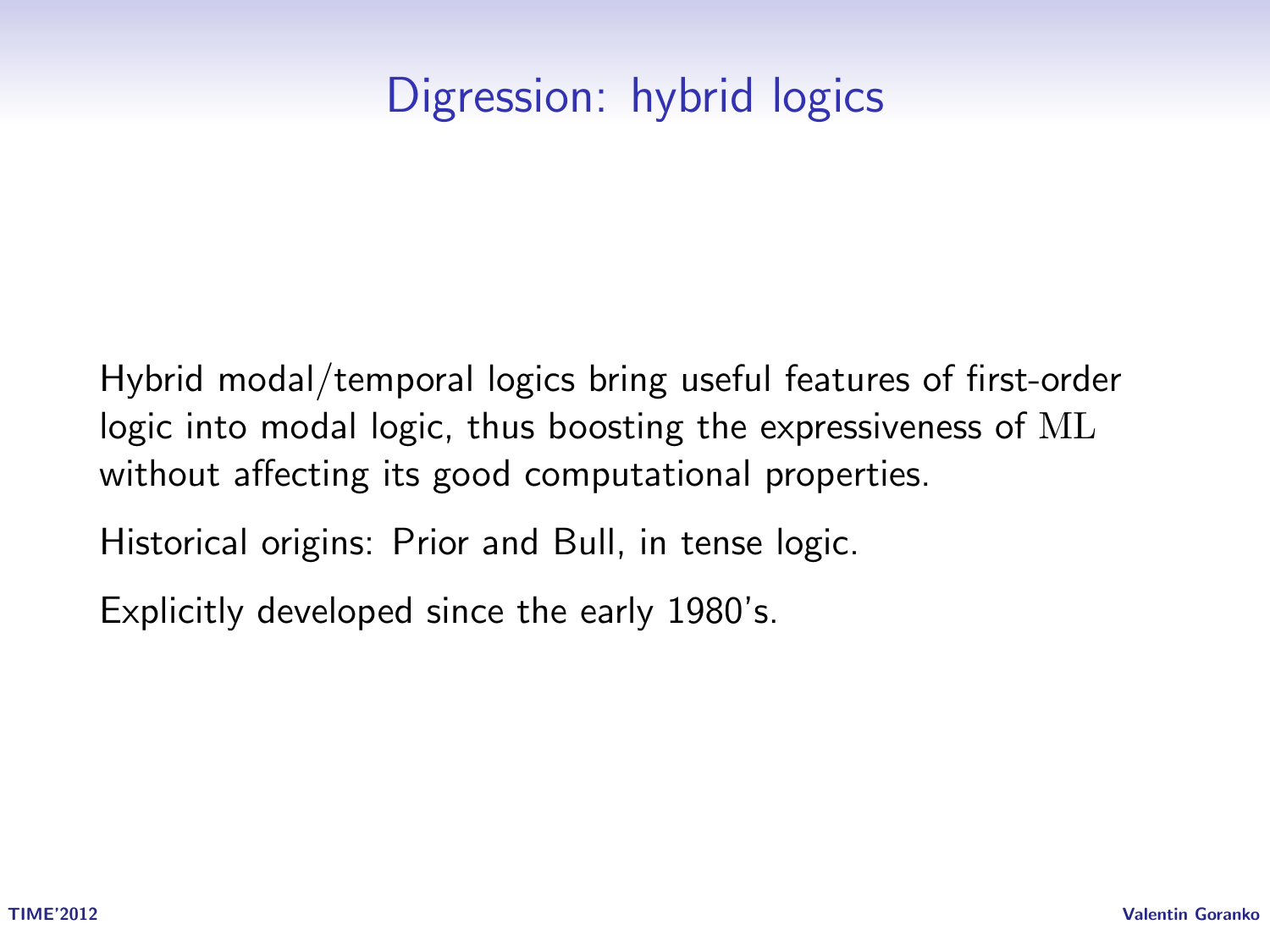# Digression: hybrid logics

Hybrid modal/temporal logics bring useful features of first-order logic into modal logic, thus boosting the expressiveness of ML without affecting its good computational properties.

Historical origins: Prior and Bull, in tense logic.

Explicitly developed since the early 1980's.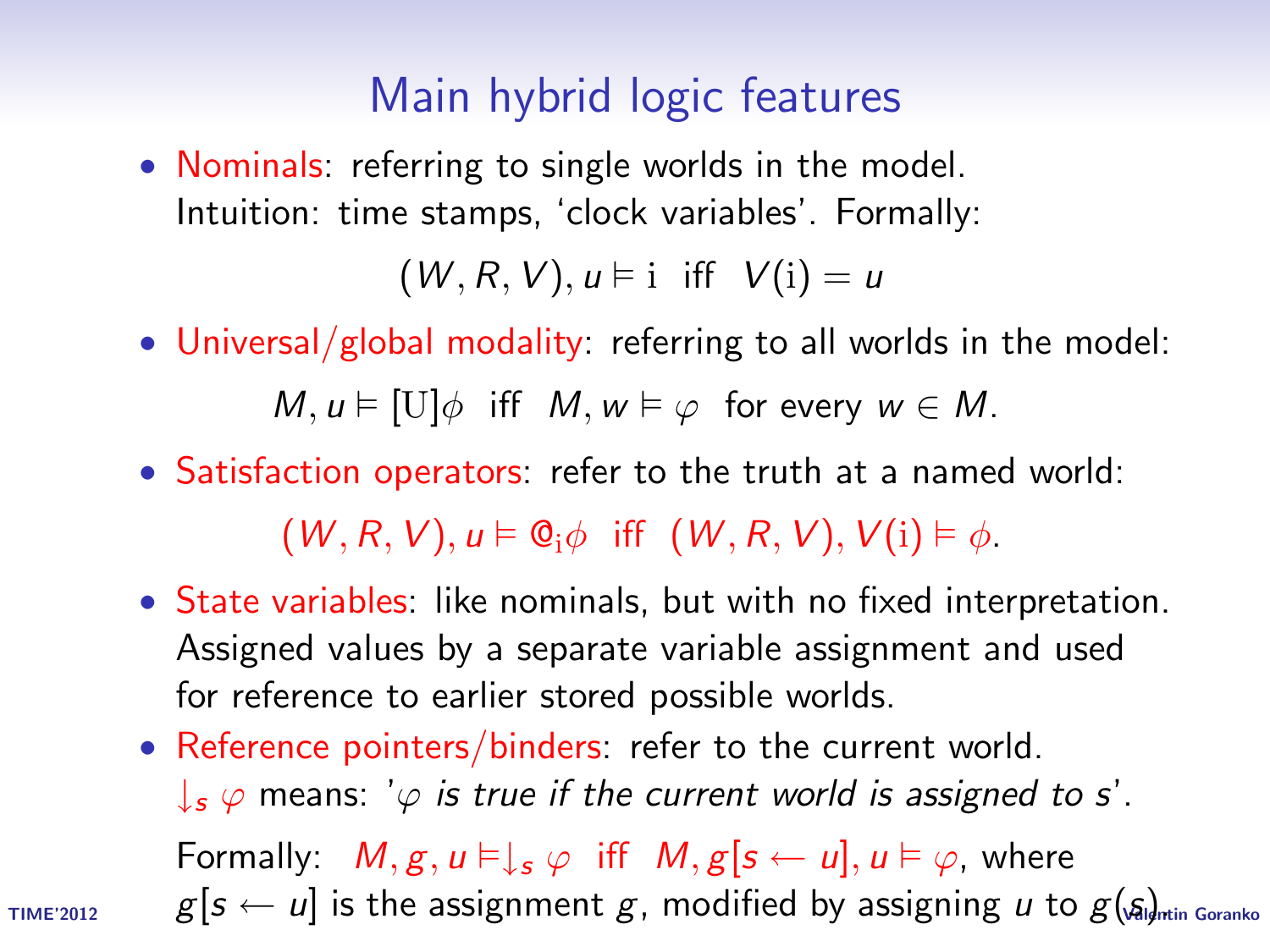#### Main hybrid logic features

• Nominals: referring to single worlds in the model. Intuition: time stamps, 'clock variables'. Formally:

 $(W, R, V), u \models i$  iff  $V(i) = u$ 

• Universal/global modality: referring to all worlds in the model:

 $M, u \models [U]\phi$  iff  $M, w \models \varphi$  for every  $w \in M$ .

• Satisfaction operators: refer to the truth at a named world:

 $(W, R, V), u \models \mathbb{Q}_i \phi$  iff  $(W, R, V), V(i) \models \phi$ .

- State variables: like nominals, but with no fixed interpretation. Assigned values by a separate variable assignment and used for reference to earlier stored possible worlds.
- Reference pointers/binders: refer to the current world.  $\downarrow$ <sub>s</sub>  $\varphi$  means: ' $\varphi$  is true if the current world is assigned to s'. Formally:  $M, g, u \models \downarrow_s \varphi$  iff  $M, g[s \leftarrow u], u \models \varphi$ , where

TIME'2012  $g[s \leftarrow u]$  is the assignment  $g$ , modified by assigning  $u$  to  $g(\mathfrak{g})_{\!\!{\rm min\,Goranko}}$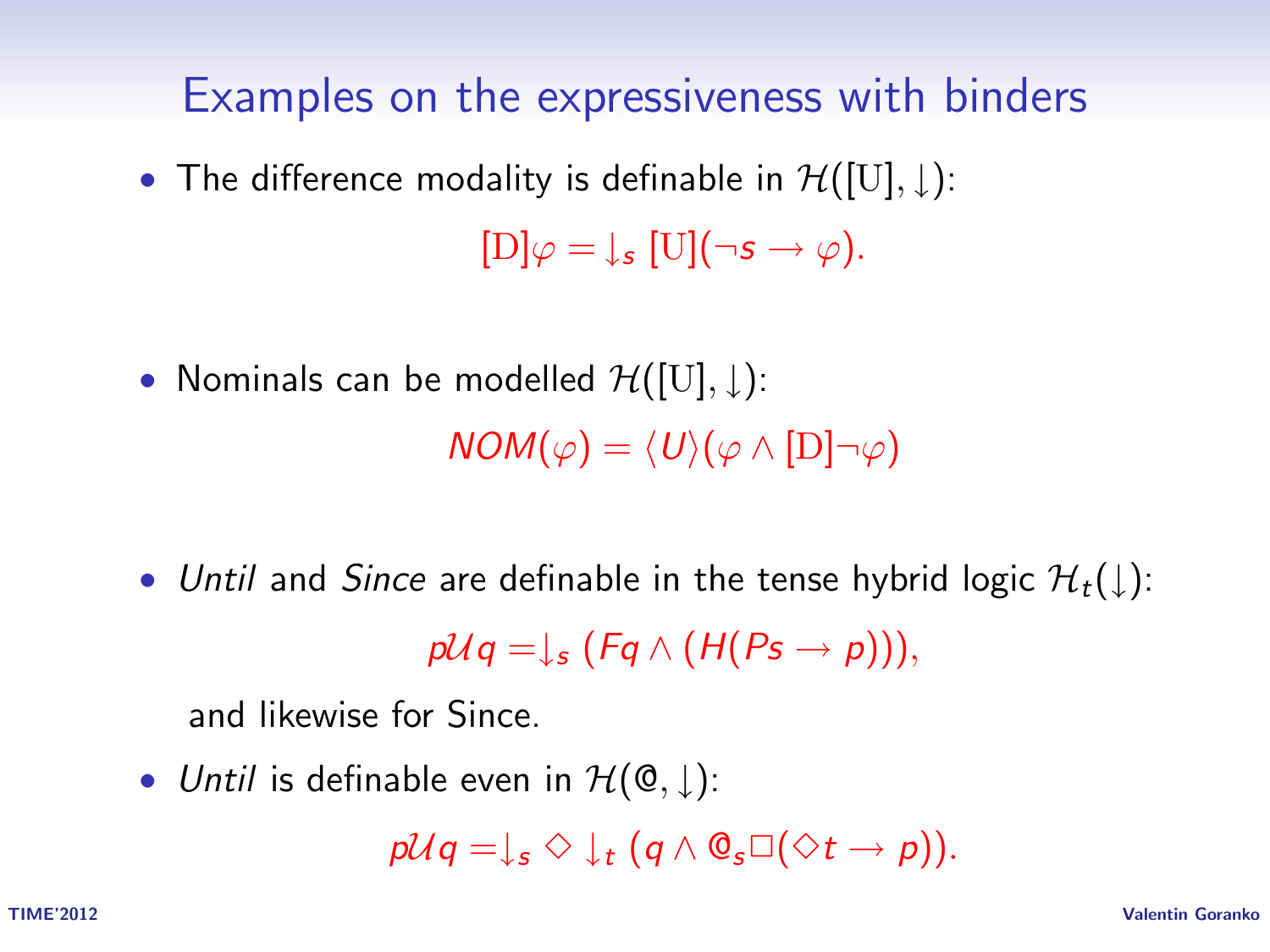#### Examples on the expressiveness with binders

• The difference modality is definable in  $\mathcal{H}([U], \downarrow)$ :

 $[D]\varphi = \downarrow_s [U](\neg s \rightarrow \varphi).$ 

• Nominals can be modelled  $\mathcal{H}([U], \downarrow)$ :

 $NOM(\varphi) = \langle U \rangle (\varphi \wedge [D] \neg \varphi)$ 

• Until and Since are definable in the tense hybrid logic  $\mathcal{H}_t(\downarrow)$ :

 $p\mathcal{U}q = \mathcal{V}_s$  (Fq  $\wedge$  (H(Ps  $\rightarrow$  p))),

and likewise for Since.

• Until is definable even in  $\mathcal{H}(\mathbb{Q},\downarrow)$ :

 $p\mathcal{U}q = \mathcal{L}_s \diamond \mathcal{L}_t (q \wedge \mathcal{O}_s \square (\diamondsuit t \rightarrow p)).$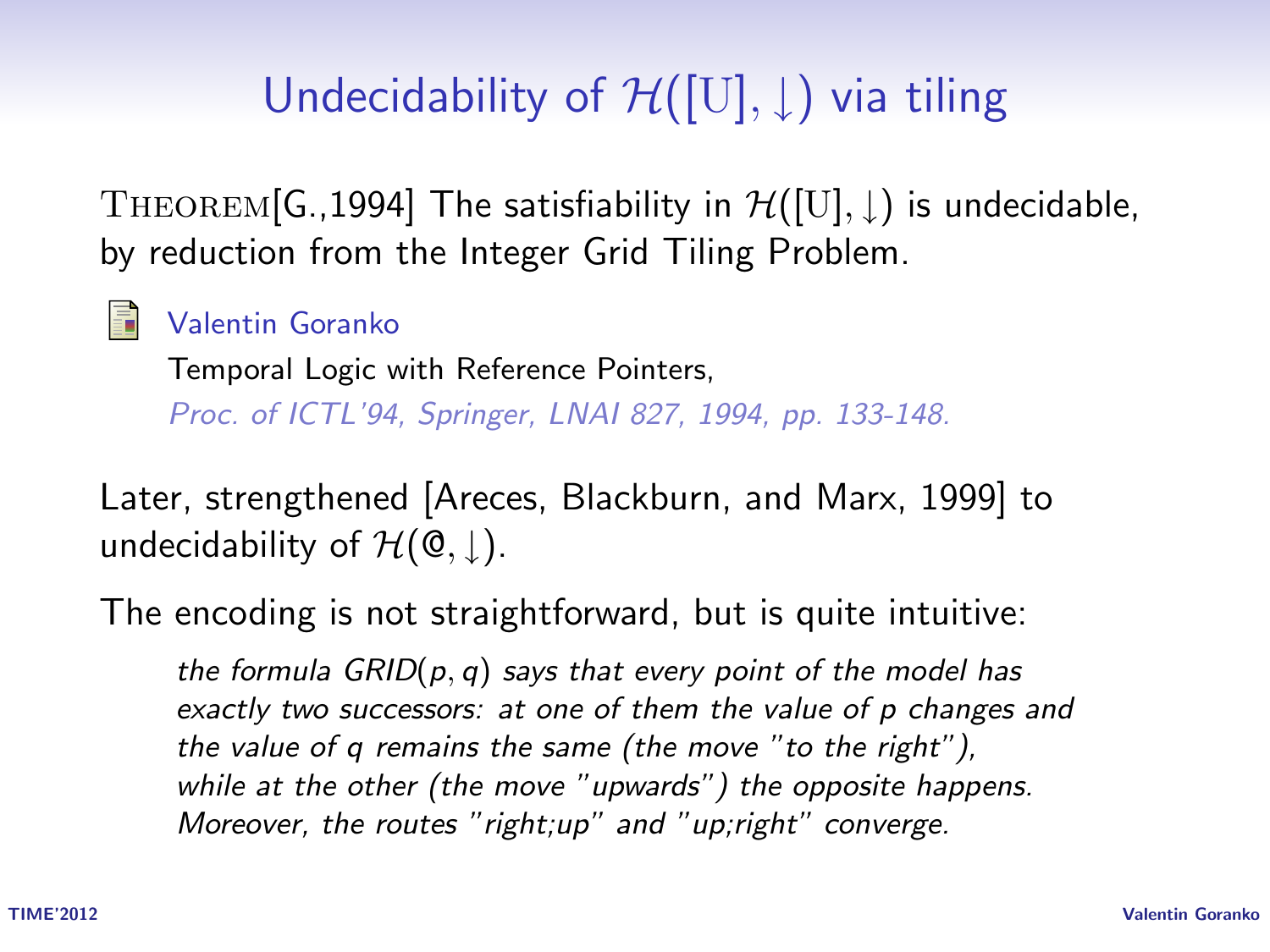# Undecidability of  $\mathcal{H}([U], \downarrow)$  via tiling

THEOREM[G.,1994] The satisfiability in  $\mathcal{H}([U], \downarrow)$  is undecidable, by reduction from the Integer Grid Tiling Problem.

Valentin Goranko

Temporal Logic with Reference Pointers,

Proc. of ICTL'94, Springer, LNAI 827, 1994, pp. 133-148.

Later, strengthened [Areces, Blackburn, and Marx, 1999] to undecidability of  $\mathcal{H}(\mathbb{Q}, \parallel)$ .

The encoding is not straightforward, but is quite intuitive:

the formula  $GRID(p, q)$  says that every point of the model has exactly two successors: at one of them the value of p changes and the value of q remains the same (the move "to the right"), while at the other (the move "upwards") the opposite happens. Moreover, the routes "right;up" and "up;right" converge.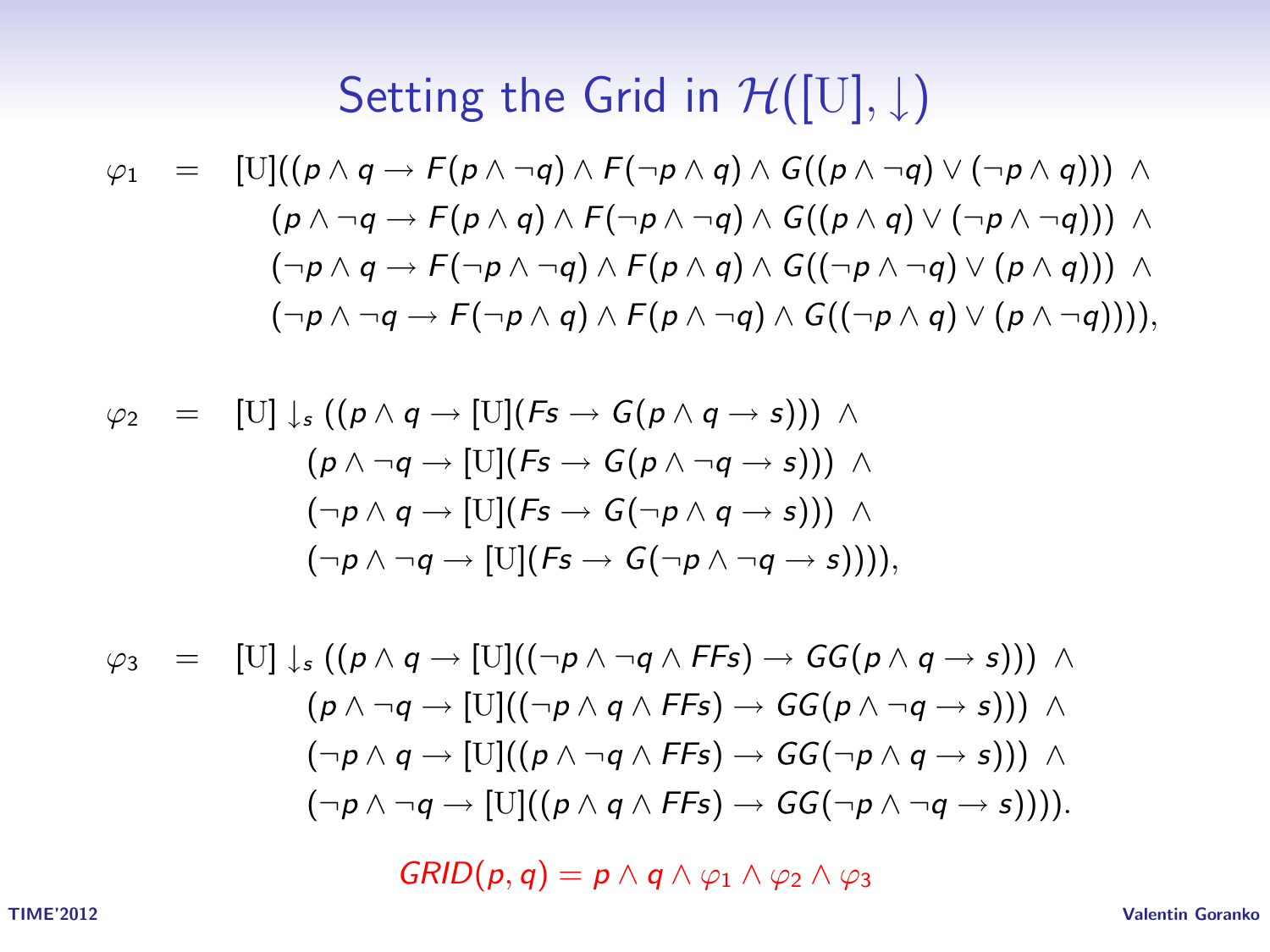# Setting the Grid in  $\mathcal{H}([U], \downarrow)$

$$
\varphi_1 = [\text{U}]((p \land q \rightarrow F(p \land \neg q) \land F(\neg p \land q) \land G((p \land \neg q) \lor (\neg p \land q))) \land (p \land \neg q \rightarrow F(p \land q) \land F(\neg p \land \neg q) \land G((p \land q) \lor (\neg p \land \neg q))) \land (\neg p \land q \rightarrow F(\neg p \land \neg q) \land F(p \land q) \land G((\neg p \land \neg q) \lor (p \land q))) \land (\neg p \land \neg q \rightarrow F(\neg p \land q) \land F(p \land \neg q) \land G((\neg p \land q) \lor (p \land \neg q))))
$$

$$
\varphi_2 = [U] \downarrow_s ((\rho \land q \rightarrow [U](Fs \rightarrow G(\rho \land q \rightarrow s))) \land (\rho \land \neg q \rightarrow [U](Fs \rightarrow G(\rho \land \neg q \rightarrow s))) \land (\neg \rho \land q \rightarrow [U](Fs \rightarrow G(\neg \rho \land q \rightarrow s))) \land (\neg \rho \land \neg q \rightarrow [U](Fs \rightarrow G(\neg \rho \land \neg q \rightarrow s))))
$$

$$
\varphi_3 = [U] \downarrow_s ((p \land q \rightarrow [U]((\neg p \land \neg q \land FS) \rightarrow GG(p \land q \rightarrow s))) \land (p \land \neg q \rightarrow [U]((\neg p \land q \land FS) \rightarrow GG(p \land \neg q \rightarrow s))) \land (\neg p \land q \rightarrow [U]((p \land \neg q \land FS) \rightarrow GG(\neg p \land q \rightarrow s))) \land (\neg p \land \neg q \rightarrow [U]((p \land q \land FS) \rightarrow GG(\neg p \land \neg q \rightarrow s)))).
$$

 $GRID(p, q) = p \wedge q \wedge \varphi_1 \wedge \varphi_2 \wedge \varphi_3$ 

TIME'2012 Valentin Goranko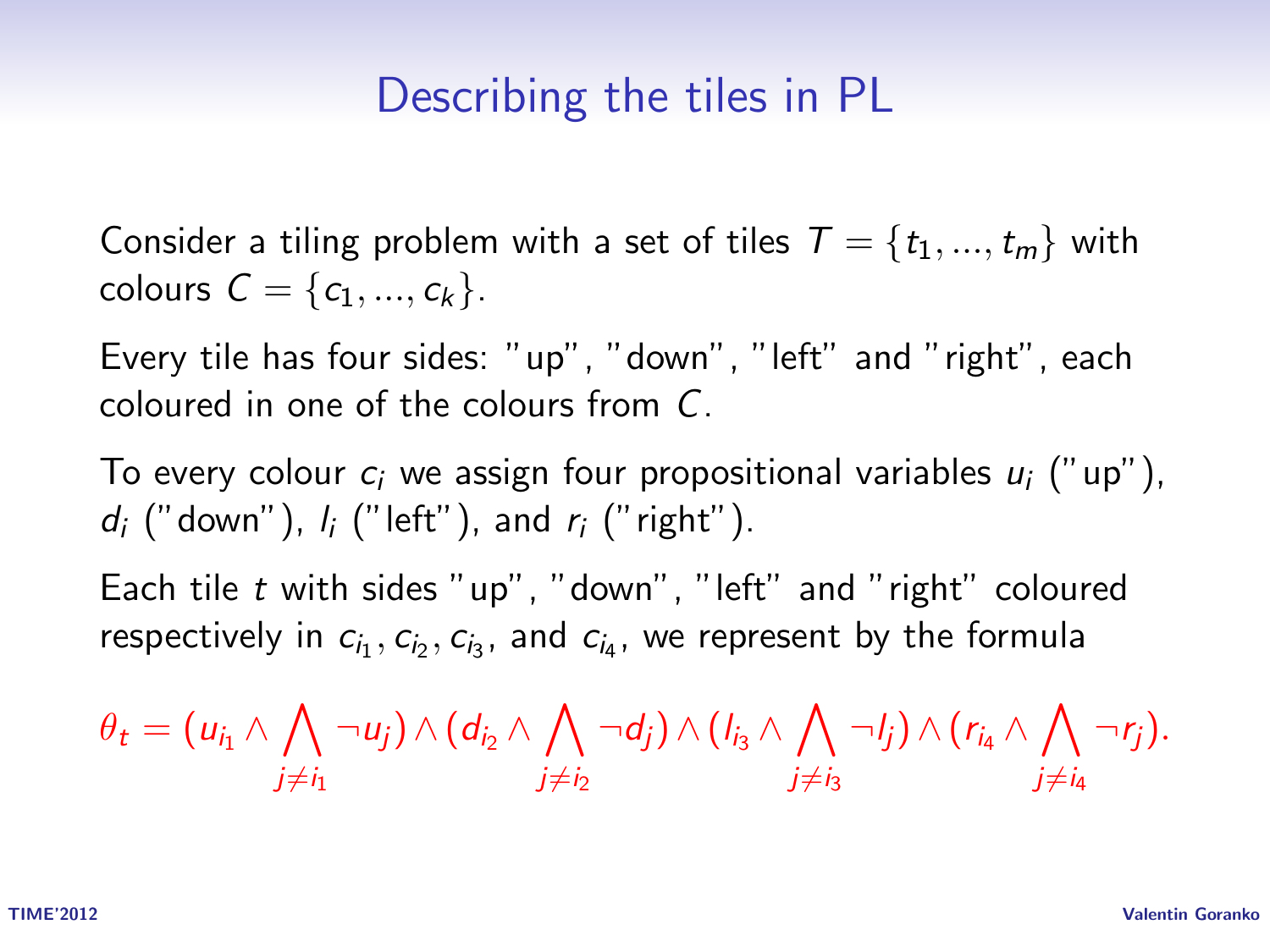#### Describing the tiles in PL

Consider a tiling problem with a set of tiles  $T = \{t_1, ..., t_m\}$  with colours  $C = \{c_1, ..., c_k\}.$ 

Every tile has four sides: "up", "down", "left" and "right", each coloured in one of the colours from C.

To every colour  $c_i$  we assign four propositional variables  $u_i$  ("up"),  $d_i$  ("down"),  $l_i$  ("left"), and  $r_i$  ("right").

Each tile t with sides "up", "down", "left" and "right" coloured respectively in  $c_{i_1}, c_{i_2}, c_{i_3}$ , and  $c_{i_4}$ , we represent by the formula

$$
\theta_t = (u_{i_1} \wedge \bigwedge_{j \neq i_1} \neg u_j) \wedge (d_{i_2} \wedge \bigwedge_{j \neq i_2} \neg d_j) \wedge (l_{i_3} \wedge \bigwedge_{j \neq i_3} \neg j_j) \wedge (r_{i_4} \wedge \bigwedge_{j \neq i_4} \neg r_j).
$$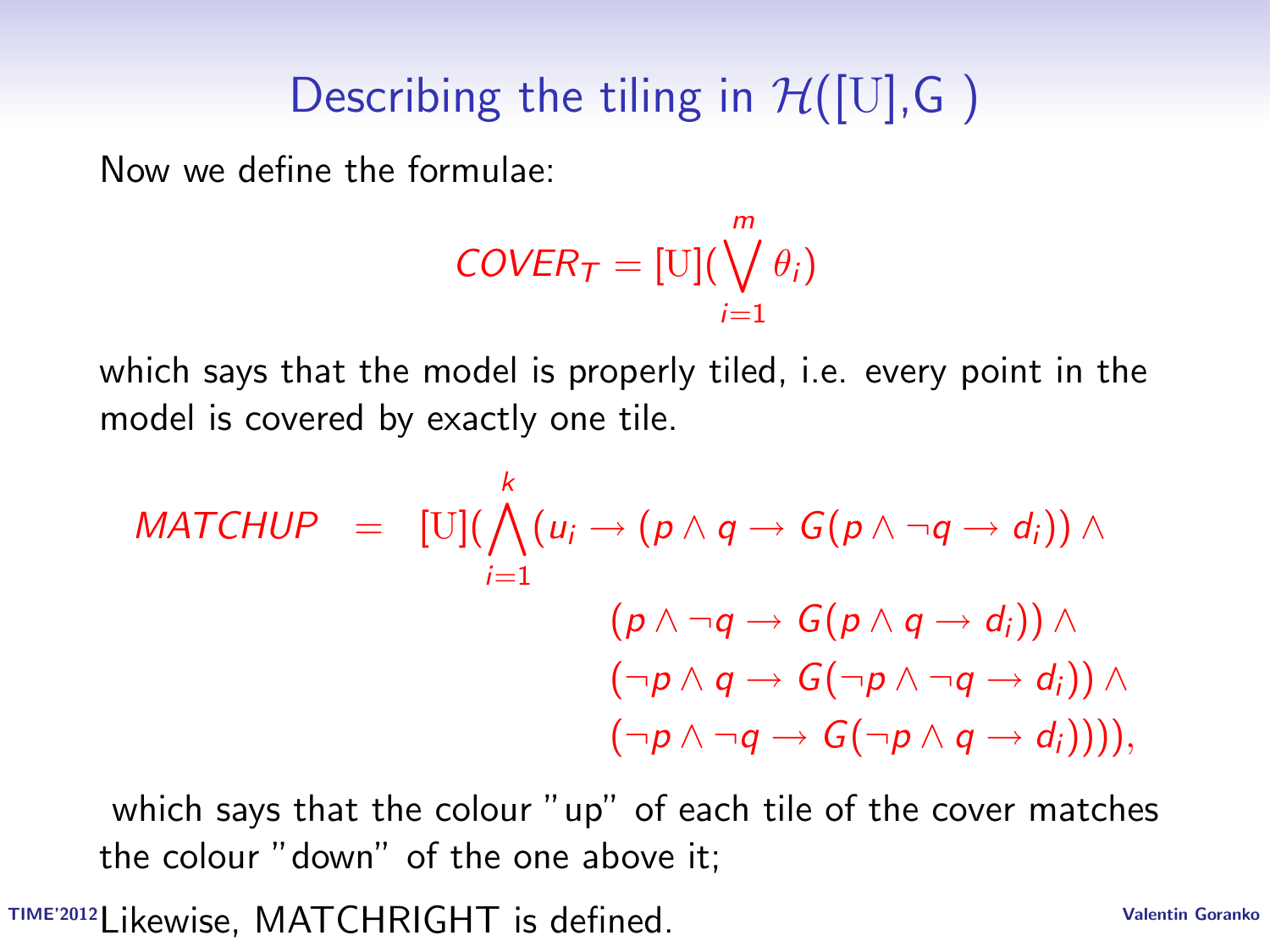# Describing the tiling in  $\mathcal{H}([U], G)$

Now we define the formulae:

$$
\textit{COVER}_\mathcal{T} = [\text{U}](\bigvee_{i=1}^m \theta_i)
$$

which says that the model is properly tiled, i.e. every point in the model is covered by exactly one tile.

$$
MATCHUP = [U](\bigwedge_{i=1}^{k} (u_i \rightarrow (p \land q \rightarrow G(p \land \neg q \rightarrow d_i)) \land (p \land \neg q \rightarrow G(p \land q \rightarrow d_i)) \land (\neg p \land q \rightarrow G(\neg p \land \neg q \rightarrow d_i)) \land (\neg p \land \neg q \rightarrow G(\neg p \land q \rightarrow d_i)))),
$$

which says that the colour "up" of each tile of the cover matches the colour "down" of the one above it;

TIME'2012 Valentin Goranko Likewise, MATCHRIGHT is defined.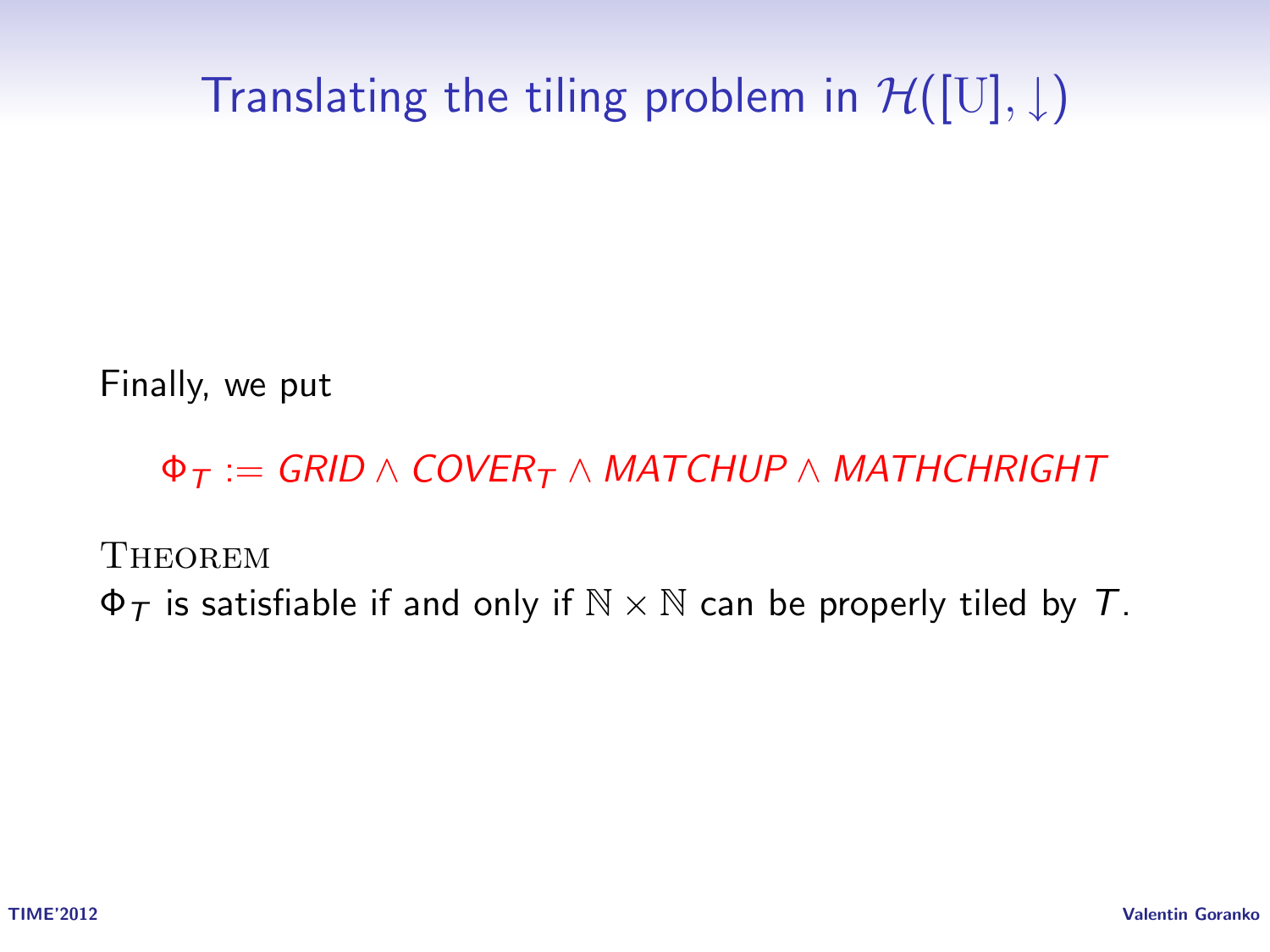Translating the tiling problem in  $\mathcal{H}([U], \downarrow)$ 

Finally, we put

 $\Phi_T := GRID \wedge COVER_T \wedge MATCHUP \wedge MATHCHRIGHT$ 

**THEOREM** 

 $\Phi_T$  is satisfiable if and only if  $\mathbb{N} \times \mathbb{N}$  can be properly tiled by T.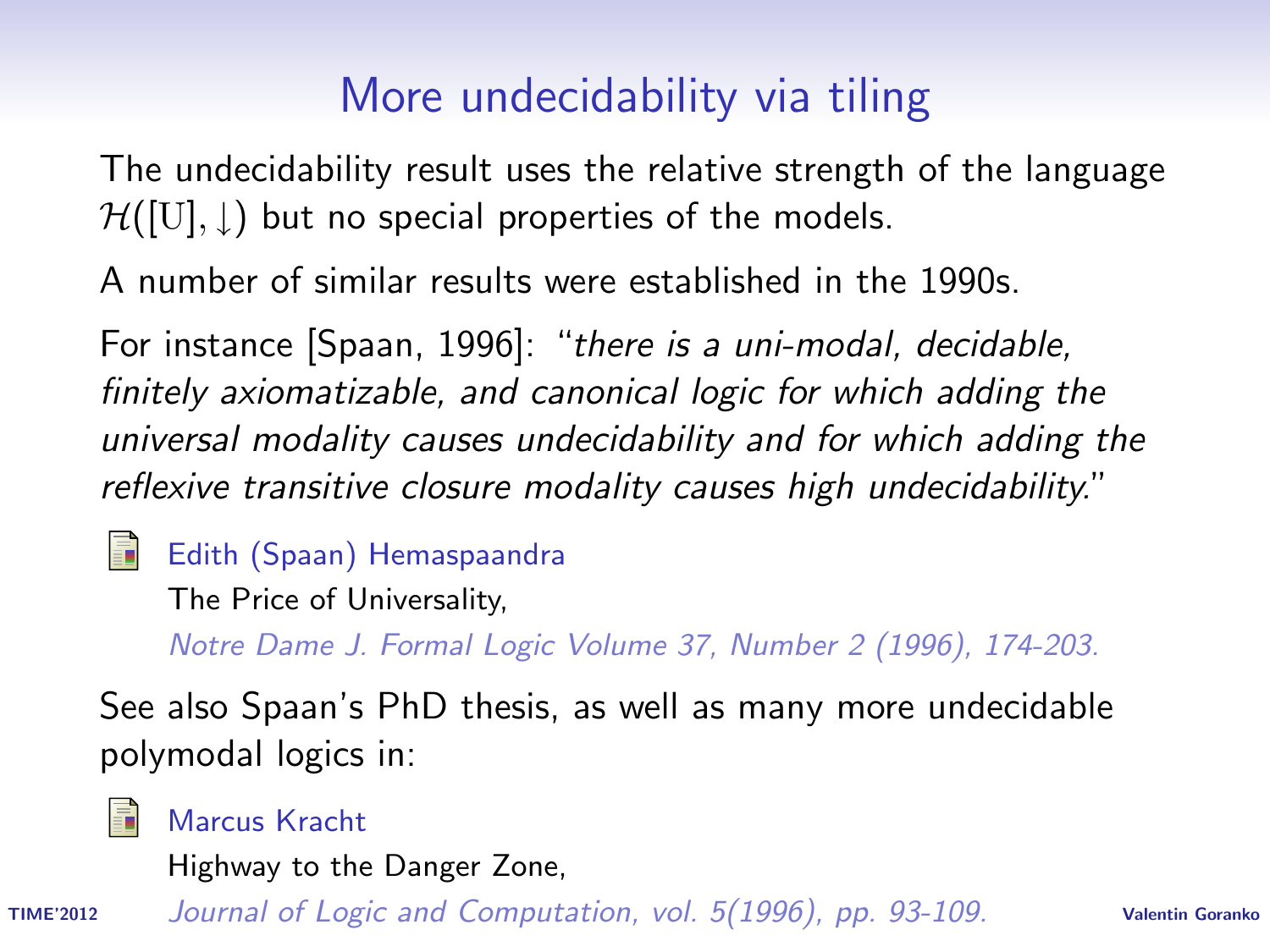### More undecidability via tiling

The undecidability result uses the relative strength of the language  $H([U], \underline{I})$  but no special properties of the models.

A number of similar results were established in the 1990s.

For instance [Spaan, 1996]: "there is a uni-modal, decidable, finitely axiomatizable, and canonical logic for which adding the universal modality causes undecidability and for which adding the reflexive transitive closure modality causes high undecidability."

Edith (Spaan) Hemaspaandra

The Price of Universality,

Notre Dame J. Formal Logic Volume 37, Number 2 (1996), 174-203.

See also Spaan's PhD thesis, as well as many more undecidable polymodal logics in:



Marcus Kracht

Highway to the Danger Zone,

TIME'2012 Valentin Goranko Journal of Logic and Computation, vol. 5(1996), pp. 93-109.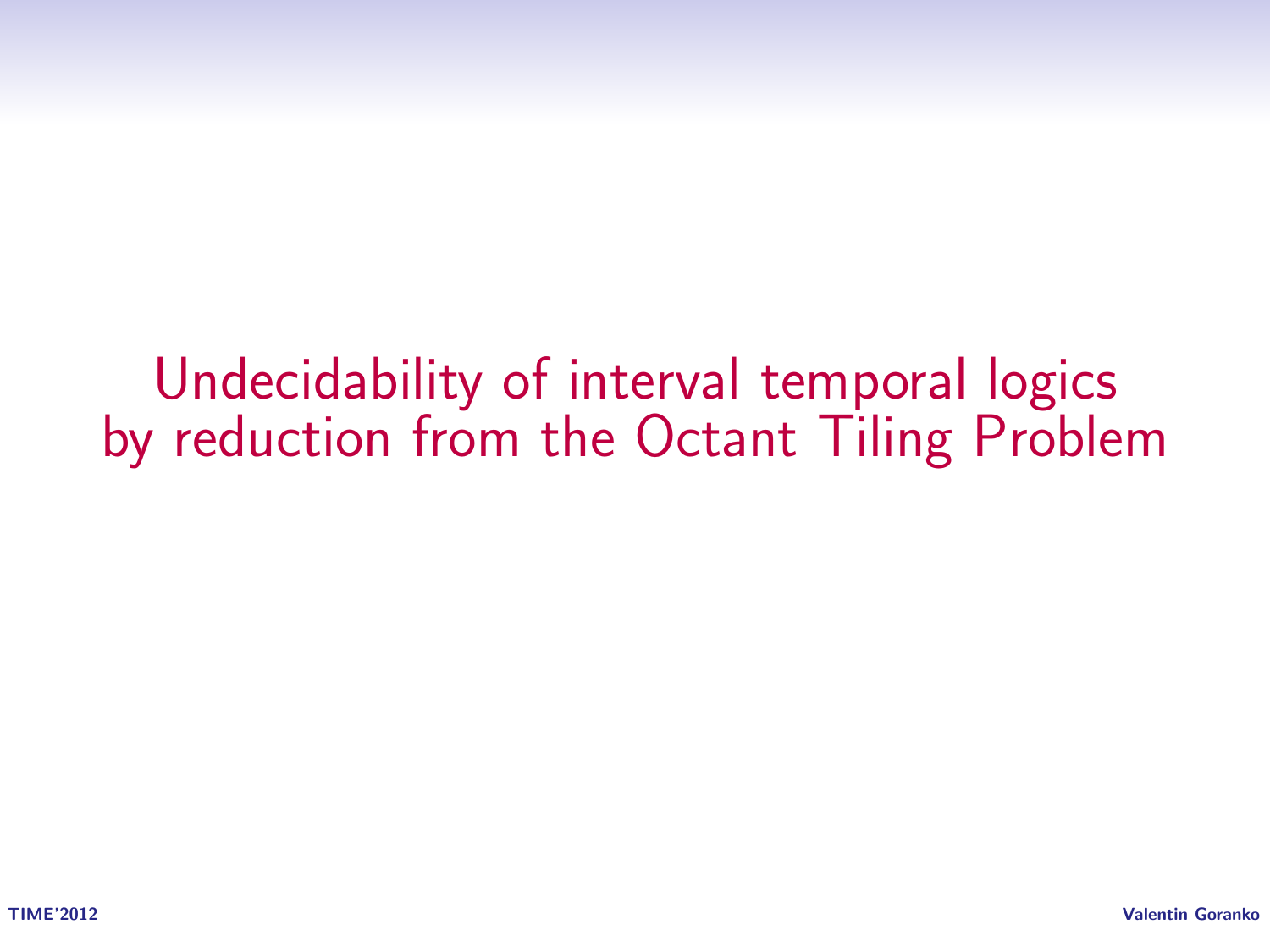Undecidability of interval temporal logics by reduction from the Octant Tiling Problem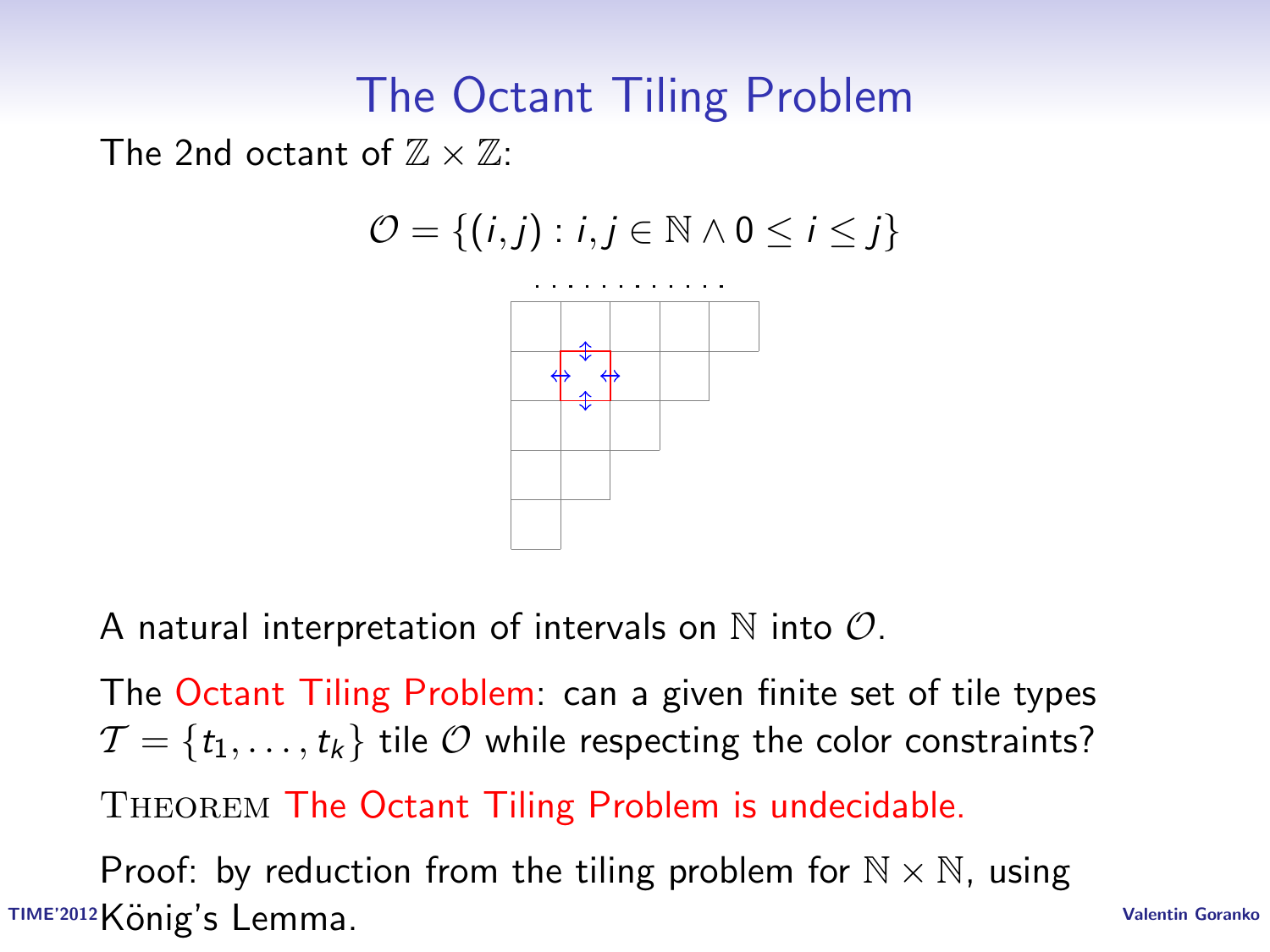#### The Octant Tiling Problem

The 2nd octant of  $\mathbb{Z} \times \mathbb{Z}$ :

$$
\mathcal{O} = \{(i,j): i,j \in \mathbb{N} \land 0 \leq i \leq j\}
$$



A natural interpretation of intervals on  $\mathbb N$  into  $\mathcal O$ .

The Octant Tiling Problem: can a given finite set of tile types  $\mathcal{T} = \{t_1, \ldots, t_k\}$  tile  $\mathcal O$  while respecting the color constraints?

Theorem The Octant Tiling Problem is undecidable.

TIME'2012König's Lemma. TIME'2012König's Lemma. Proof: by reduction from the tiling problem for  $\mathbb{N} \times \mathbb{N}$ , using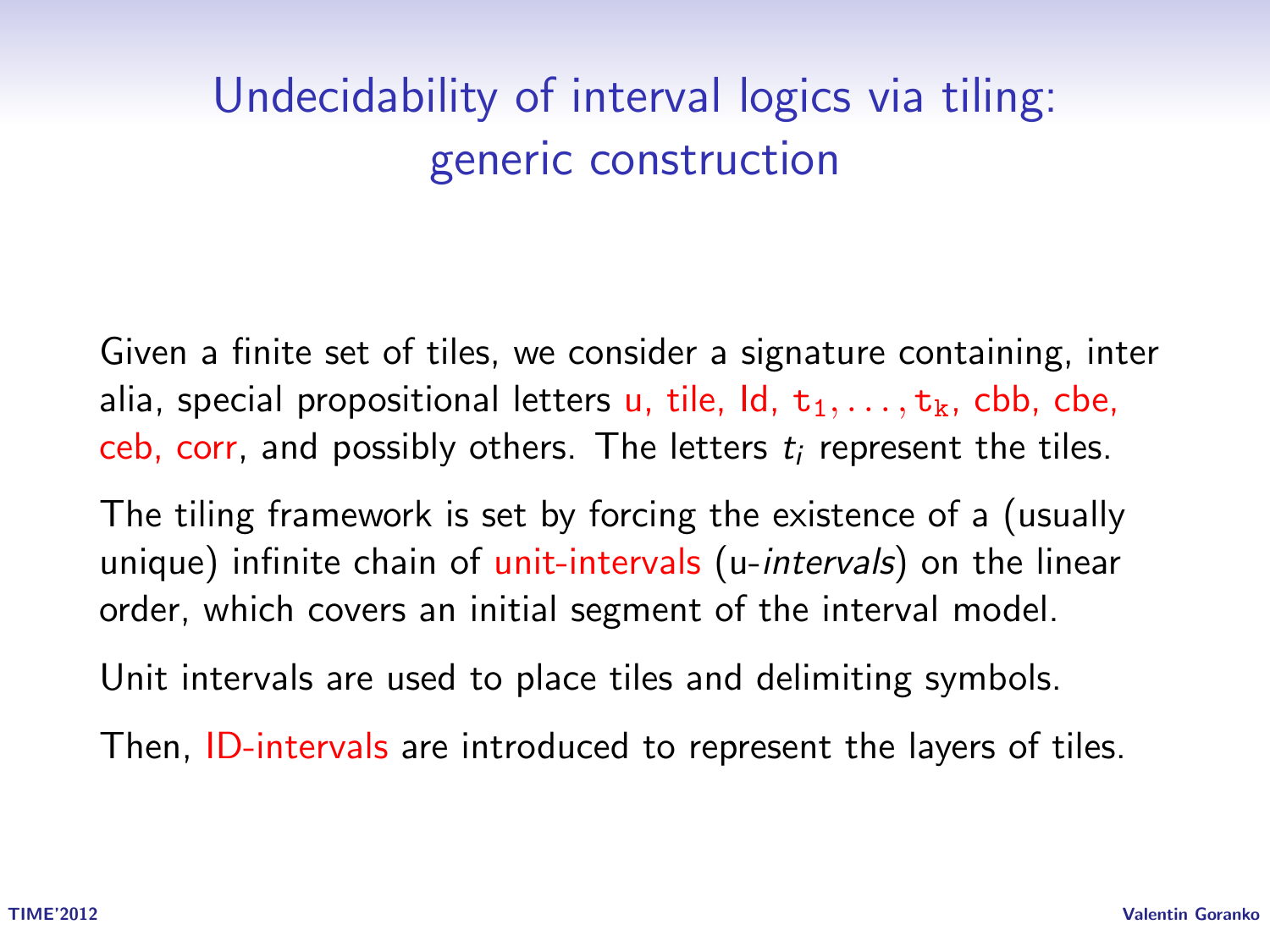# Undecidability of interval logics via tiling: generic construction

Given a finite set of tiles, we consider a signature containing, inter alia, special propositional letters u, tile,  $Id, t_1, \ldots, t_k$ , cbb, cbe, ceb, corr, and possibly others. The letters  $t_i$  represent the tiles.

The tiling framework is set by forcing the existence of a (usually unique) infinite chain of unit-intervals (u-*intervals*) on the linear order, which covers an initial segment of the interval model.

Unit intervals are used to place tiles and delimiting symbols.

Then, ID-intervals are introduced to represent the layers of tiles.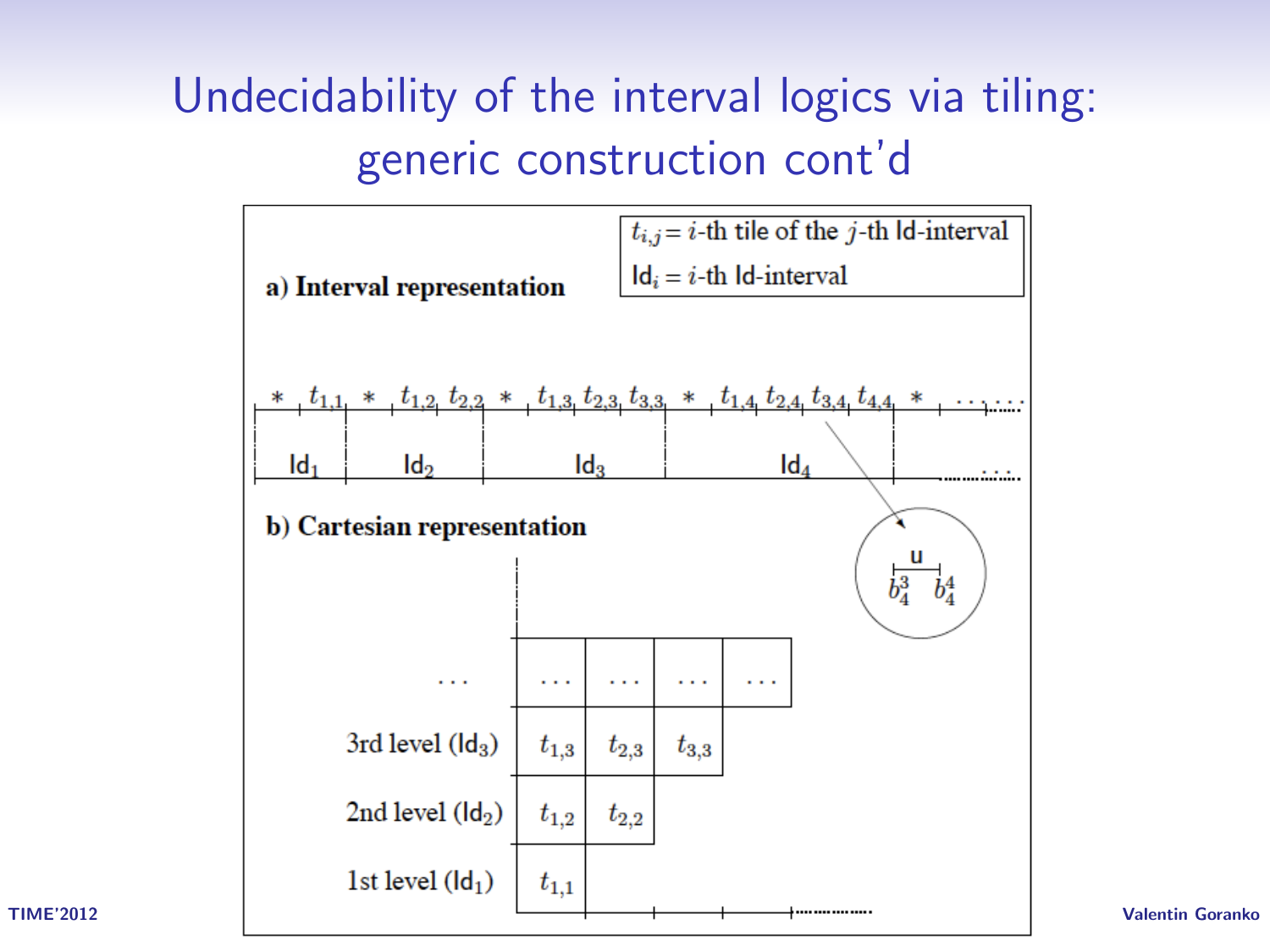# Undecidability of the interval logics via tiling: generic construction cont'd

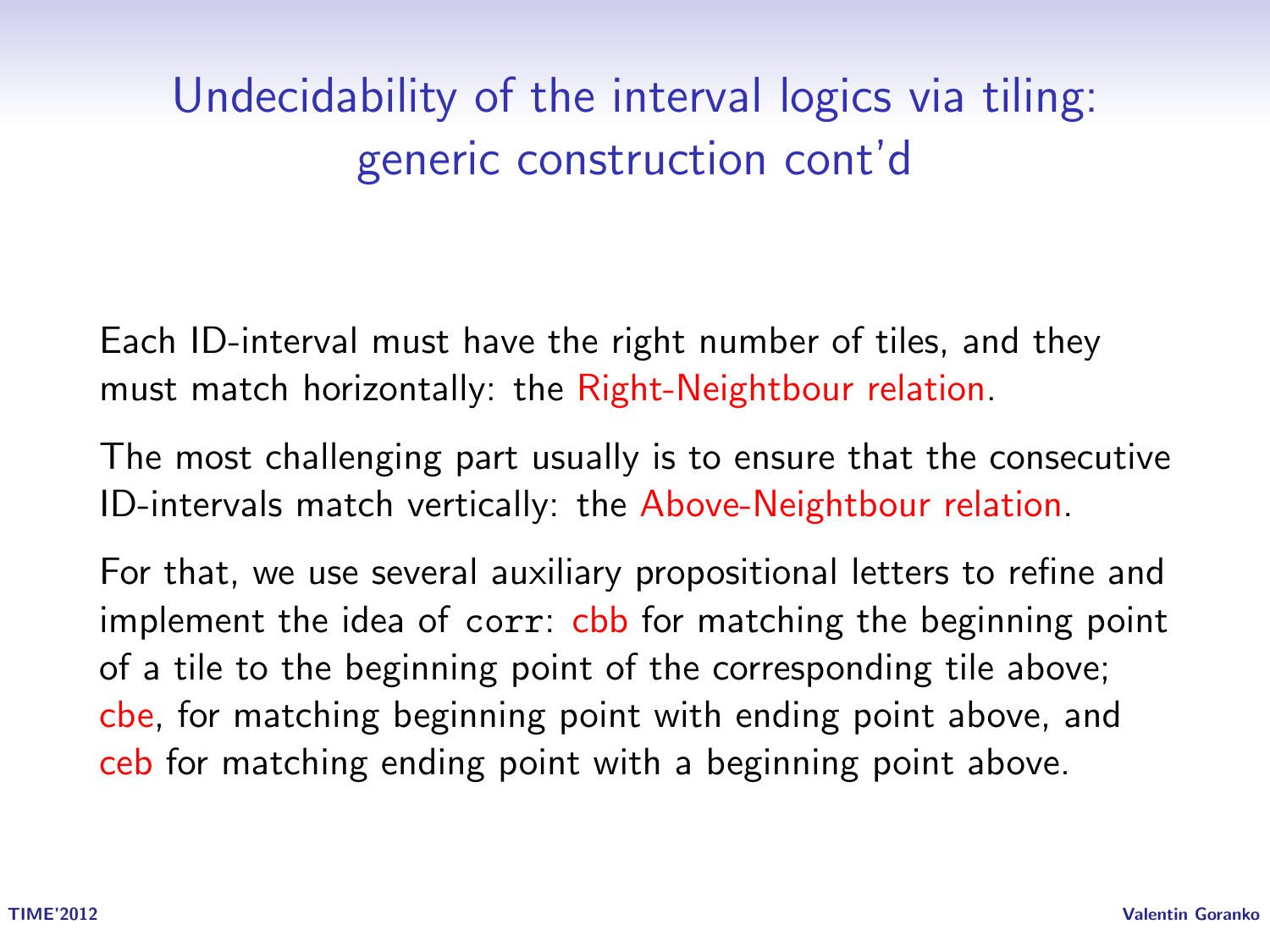# Undecidability of the interval logics via tiling: generic construction cont'd

Each ID-interval must have the right number of tiles, and they must match horizontally: the Right-Neightbour relation.

The most challenging part usually is to ensure that the consecutive ID-intervals match vertically: the Above-Neightbour relation.

For that, we use several auxiliary propositional letters to refine and implement the idea of corr: cbb for matching the beginning point of a tile to the beginning point of the corresponding tile above; cbe, for matching beginning point with ending point above, and ceb for matching ending point with a beginning point above.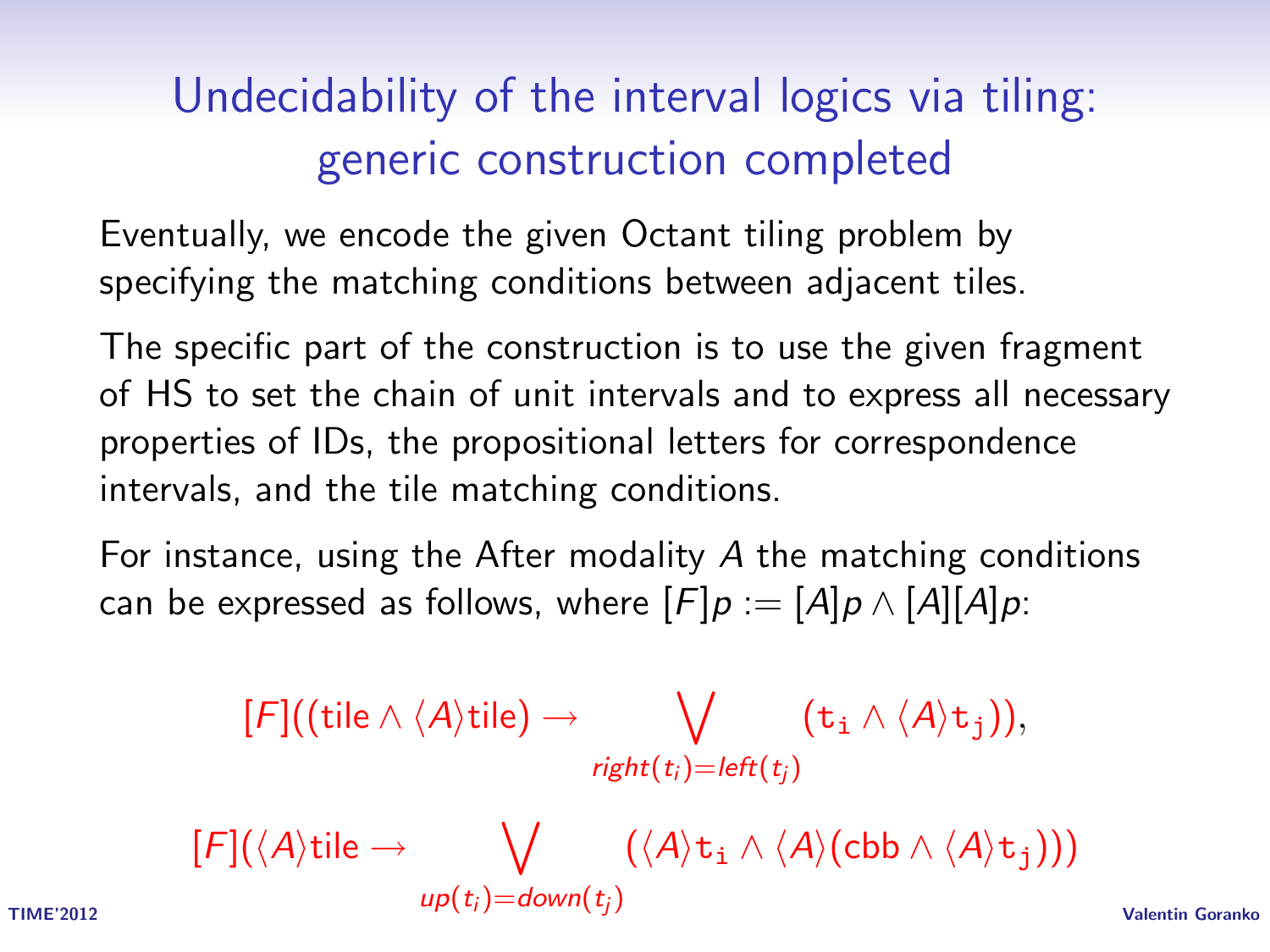# Undecidability of the interval logics via tiling: generic construction completed

Eventually, we encode the given Octant tiling problem by specifying the matching conditions between adjacent tiles.

The specific part of the construction is to use the given fragment of HS to set the chain of unit intervals and to express all necessary properties of IDs, the propositional letters for correspondence intervals, and the tile matching conditions.

For instance, using the After modality A the matching conditions can be expressed as follows, where  $[F]p := [A]p \wedge [A][A]p$ :

$$
[F]((\text{tile} \wedge \langle A \rangle \text{tile}) \rightarrow \bigvee_{\text{right}(t_i) = \text{left}(t_j)} (\mathtt{t}_i \wedge \langle A \rangle \mathtt{t}_j)),
$$

$$
[F](\langle A \rangle \text{tile} \rightarrow \bigvee_{\text{up}(t_j) = \text{down}(t_j)} (\langle A \rangle \mathtt{t_i} \wedge \langle A \rangle (\text{cbb} \wedge \langle A \rangle \mathtt{t_j}))) \\ \qquad \qquad \text{value: } \\ \text{Value}(\mathrm{t_i}) = \text{down}(t_j) \qquad \qquad \text{Value}(\mathrm{t_i}) = \text{Value}(\mathrm{t_i})
$$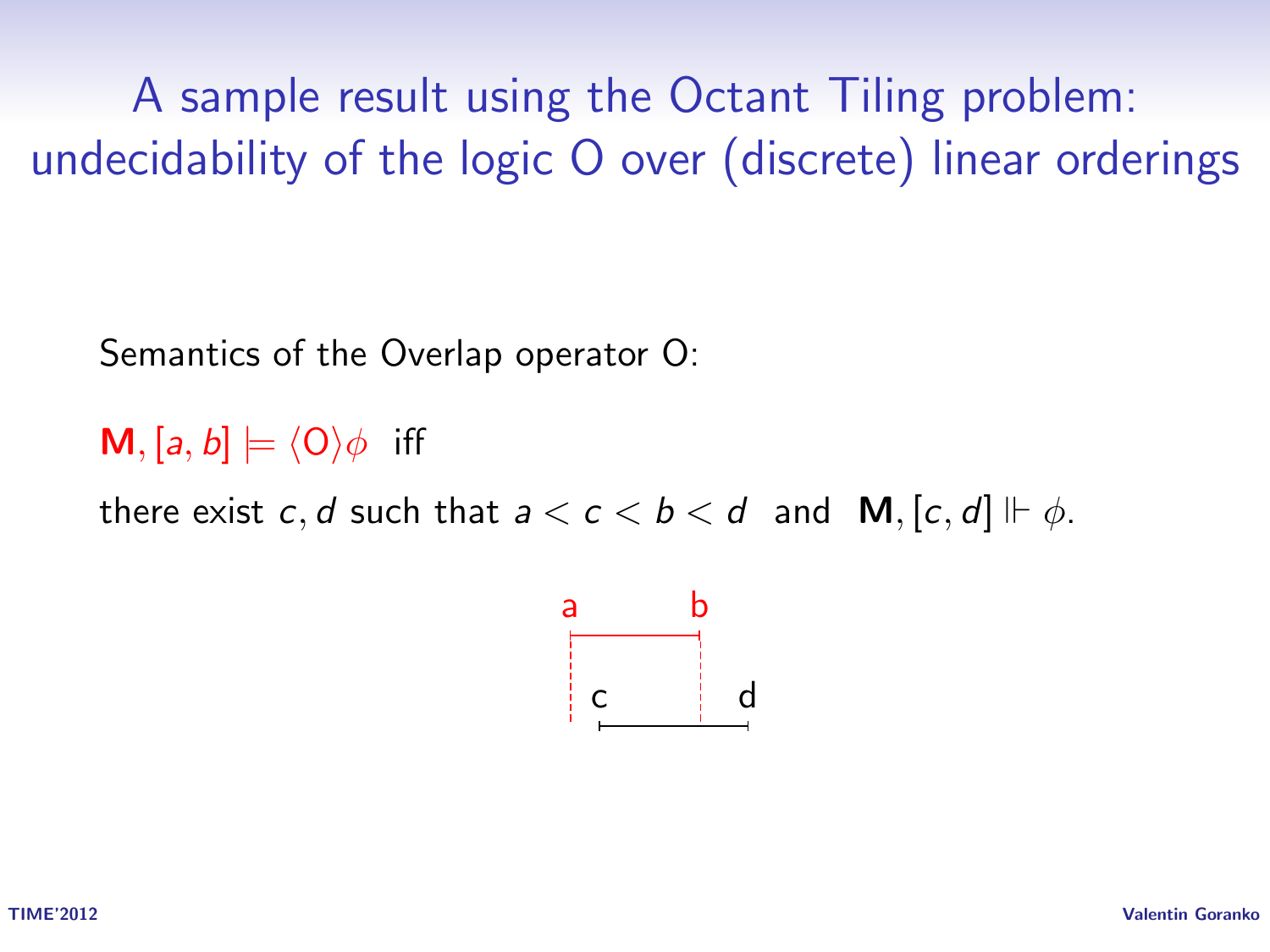A sample result using the Octant Tiling problem: undecidability of the logic O over (discrete) linear orderings

Semantics of the Overlap operator O:

**M**, [a, b]  $\models \langle 0 \rangle \phi$  iff

there exist c, d such that  $a < c < b < d$  and  $M$ ,  $[c, d] \Vdash \phi$ .

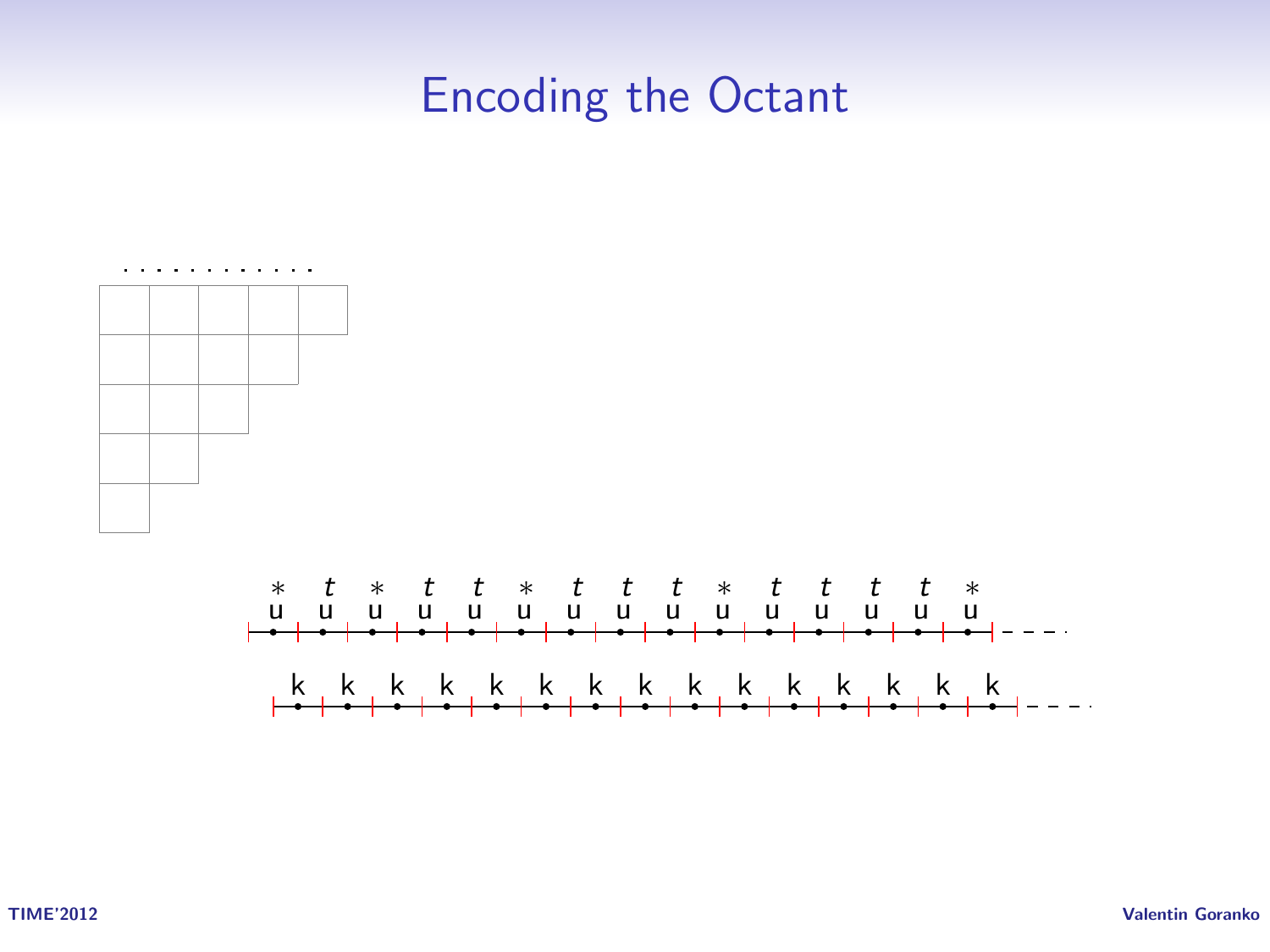#### Encoding the Octant



TIME'2012 Valentin Goranko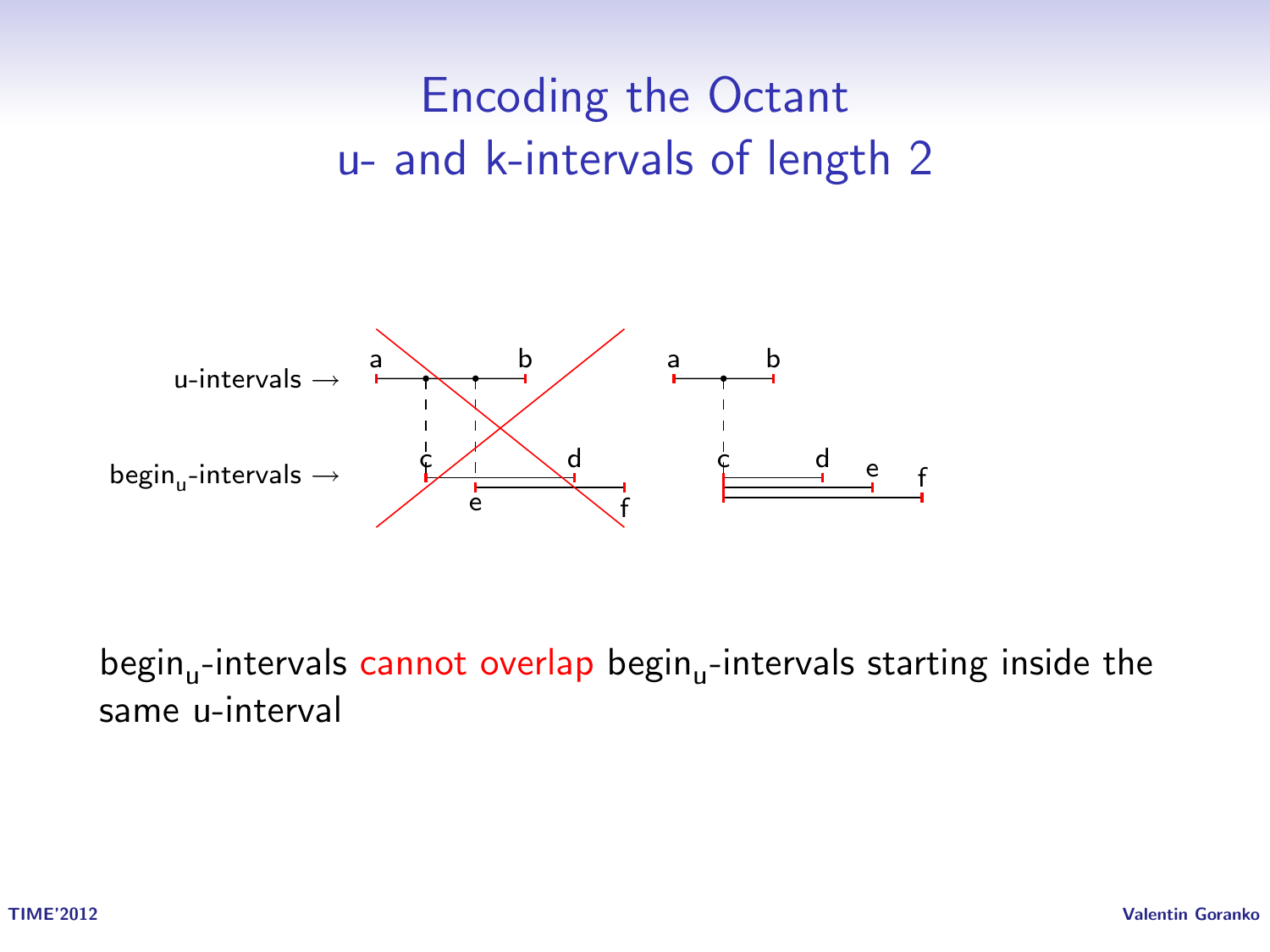# Encoding the Octant u- and k-intervals of length 2



begin<sub>u</sub>-intervals cannot overlap begin<sub>u</sub>-intervals starting inside the same u-interval

TIME'2012 Valentin Goranko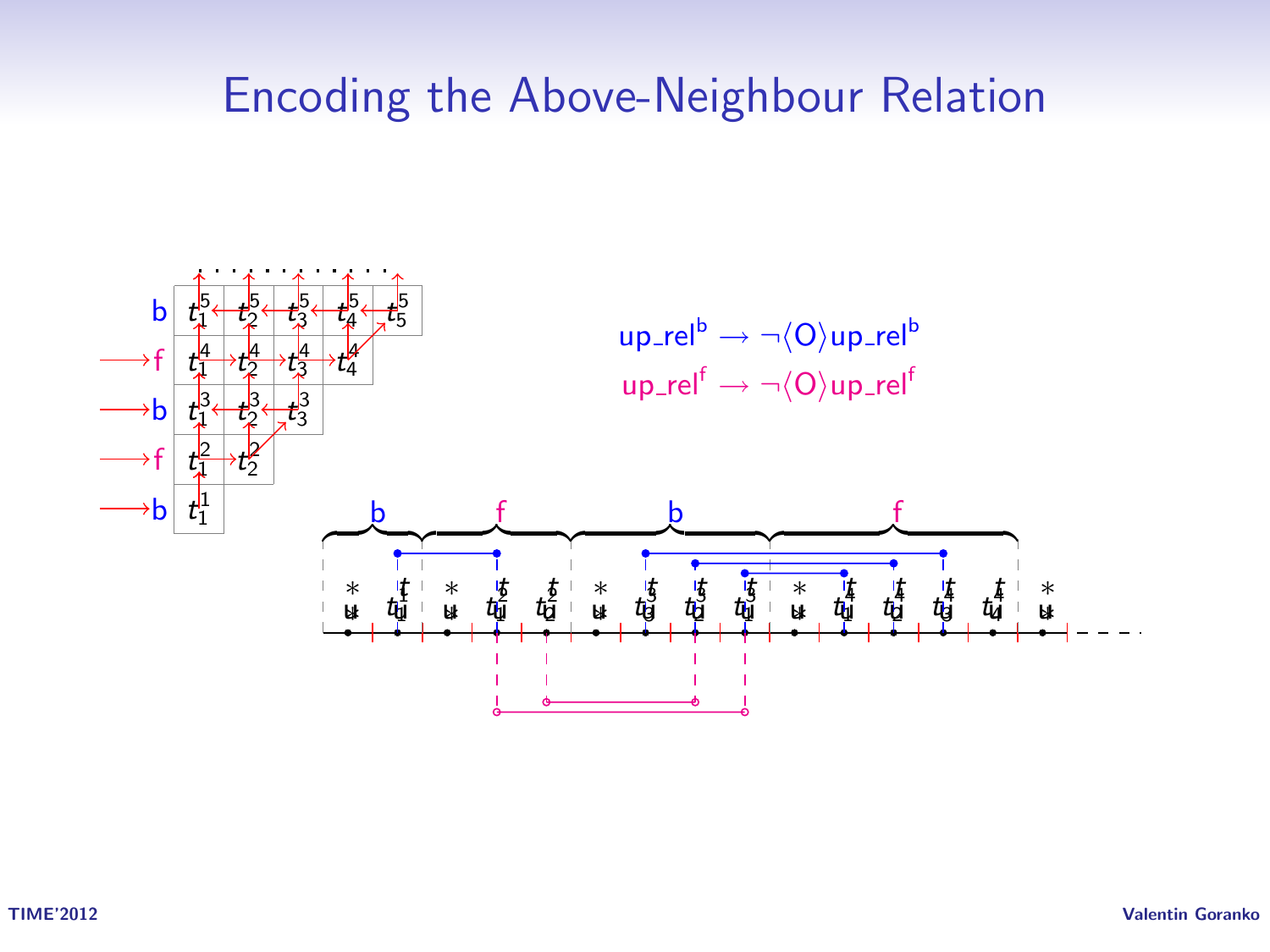#### Encoding the Above-Neighbour Relation

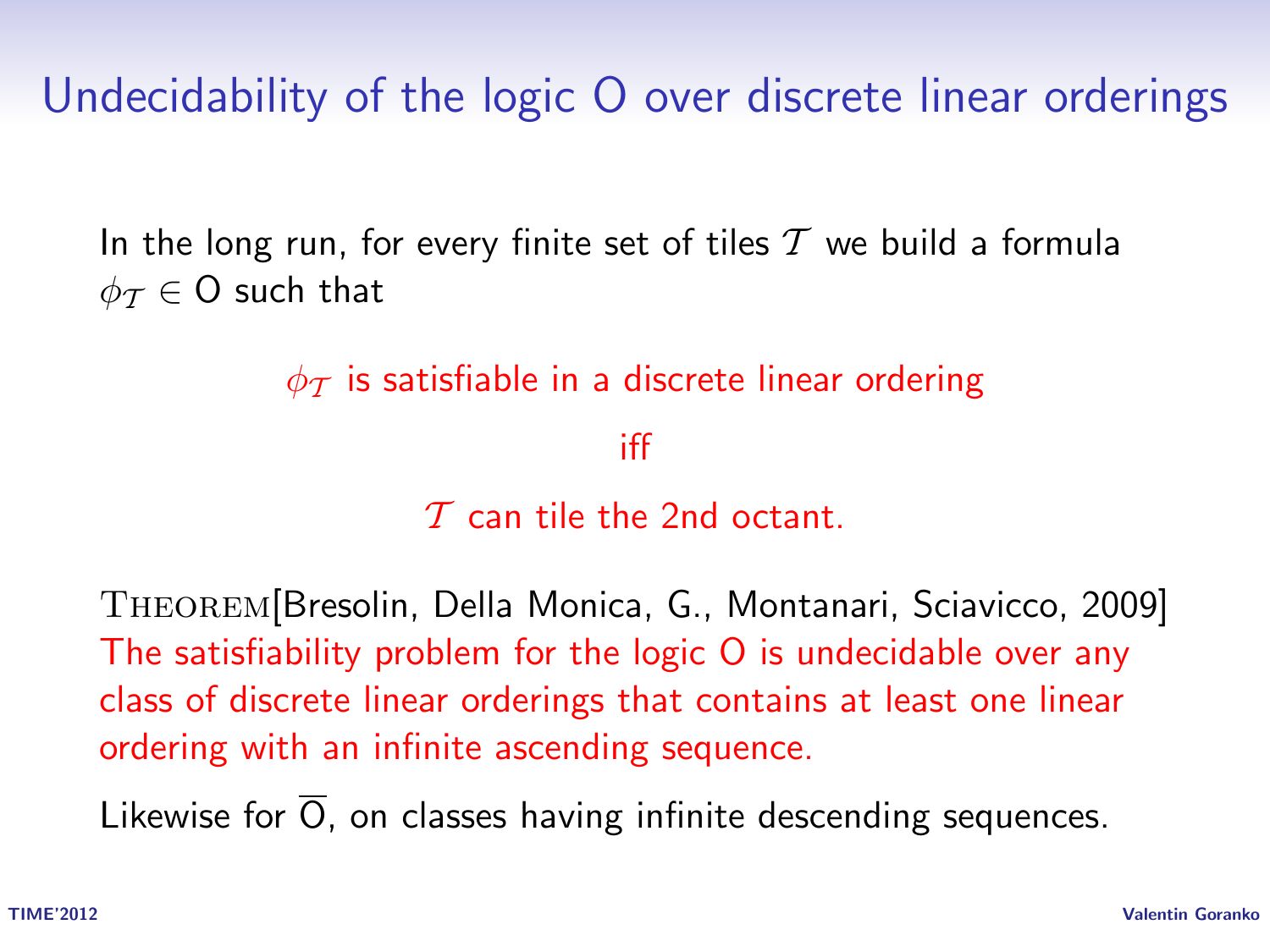Undecidability of the logic O over discrete linear orderings

In the long run, for every finite set of tiles  $T$  we build a formula  $\phi_{\mathcal{T}} \in \mathsf{O}$  such that

 $\phi_{\mathcal{T}}$  is satisfiable in a discrete linear ordering

iff

 $\tau$  can tile the 2nd octant.

Theorem[Bresolin, Della Monica, G., Montanari, Sciavicco, 2009] The satisfiability problem for the logic O is undecidable over any class of discrete linear orderings that contains at least one linear ordering with an infinite ascending sequence.

Likewise for  $\overline{O}$ , on classes having infinite descending sequences.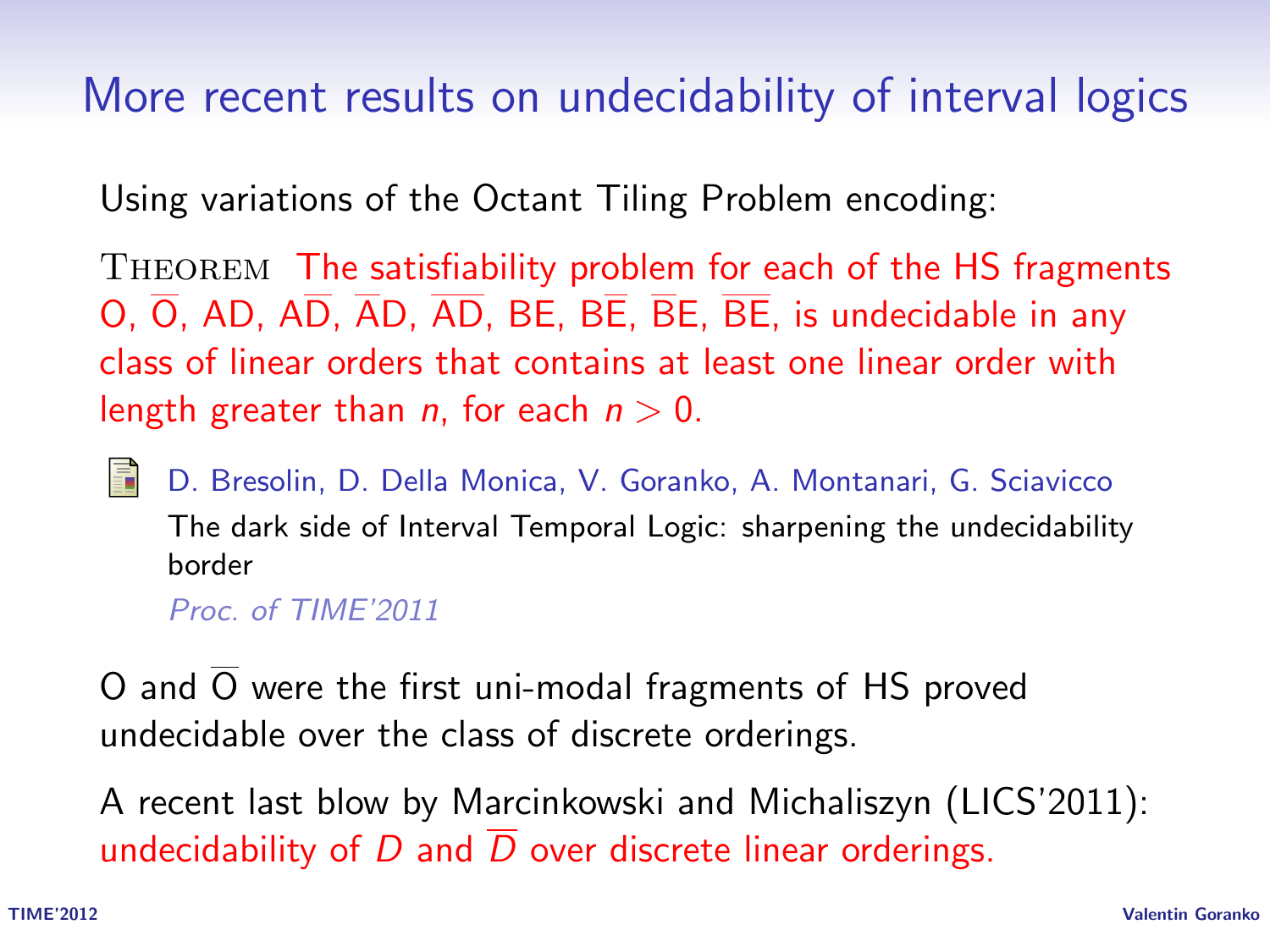#### More recent results on undecidability of interval logics

Using variations of the Octant Tiling Problem encoding:

THEOREM The satisfiability problem for each of the HS fragments  $O$ ,  $\overline{O}$ , AD,  $\overline{AD}$ ,  $\overline{AD}$ ,  $\overline{AD}$ , BE,  $\overline{BE}$ ,  $\overline{BE}$ ,  $\overline{BE}$ , is undecidable in any class of linear orders that contains at least one linear order with length greater than *n*, for each  $n > 0$ .

D. Bresolin, D. Della Monica, V. Goranko, A. Montanari, G. Sciavicco

The dark side of Interval Temporal Logic: sharpening the undecidability border

Proc. of TIME'2011

O and  $\overline{O}$  were the first uni-modal fragments of HS proved undecidable over the class of discrete orderings.

A recent last blow by Marcinkowski and Michaliszyn (LICS'2011): undecidability of D and  $\overline{D}$  over discrete linear orderings.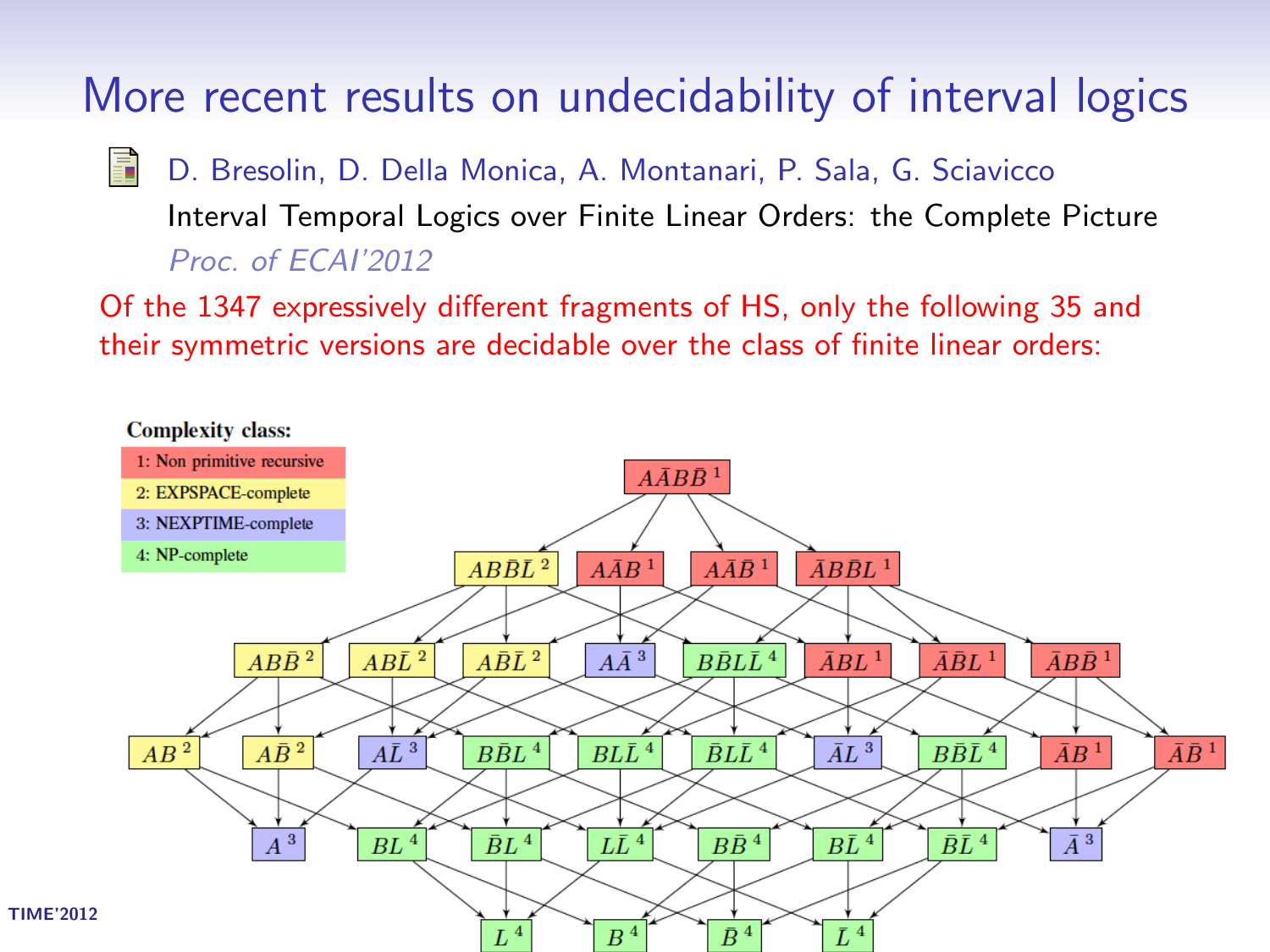More recent results on undecidability of interval logics

畐 D. Bresolin, D. Della Monica, A. Montanari, P. Sala, G. Sciavicco Interval Temporal Logics over Finite Linear Orders: the Complete Picture Proc. of ECAI'2012

Of the 1347 expressively different fragments of HS, only the following 35 and their symmetric versions are decidable over the class of finite linear orders:

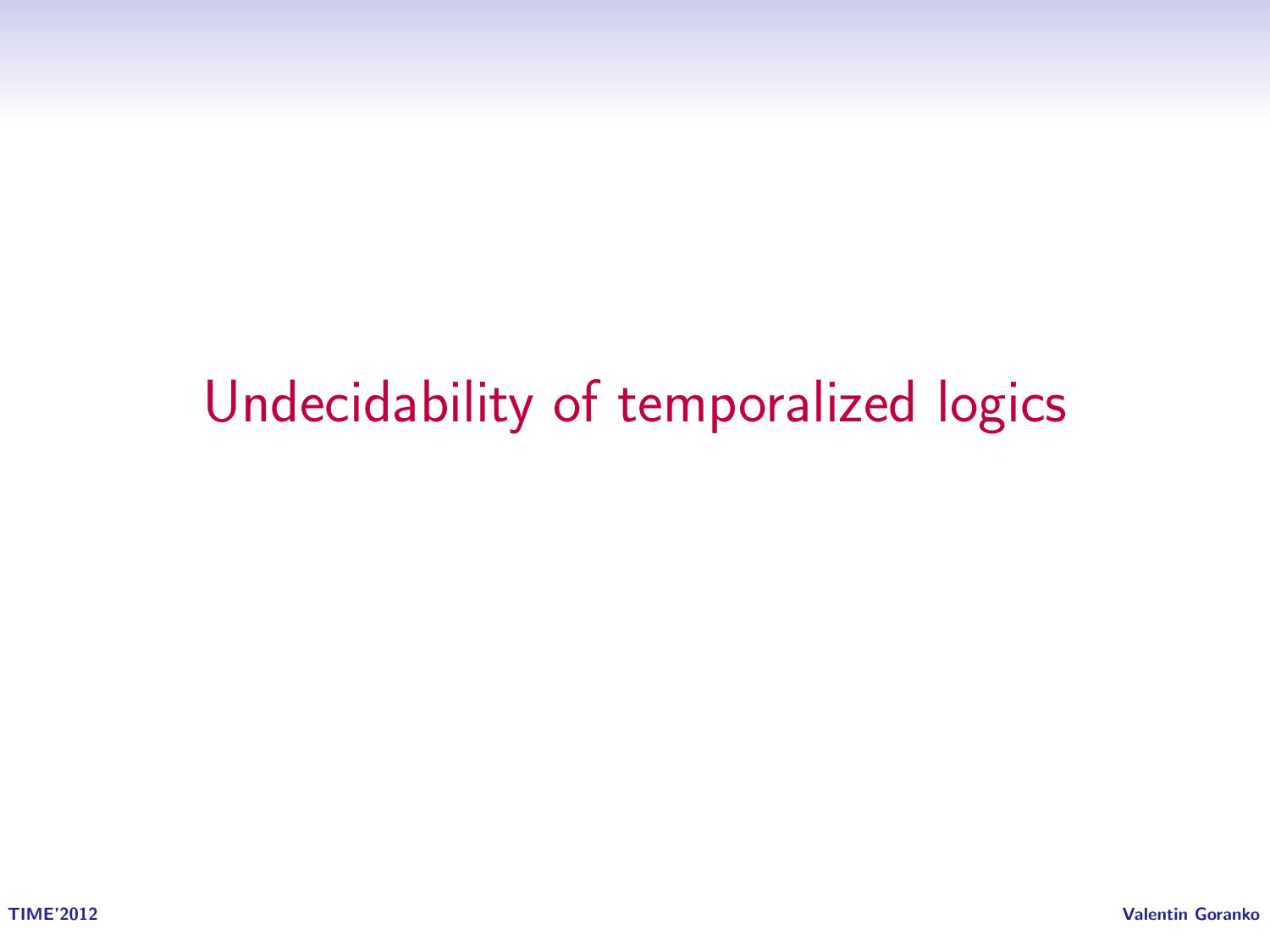# Undecidability of temporalized logics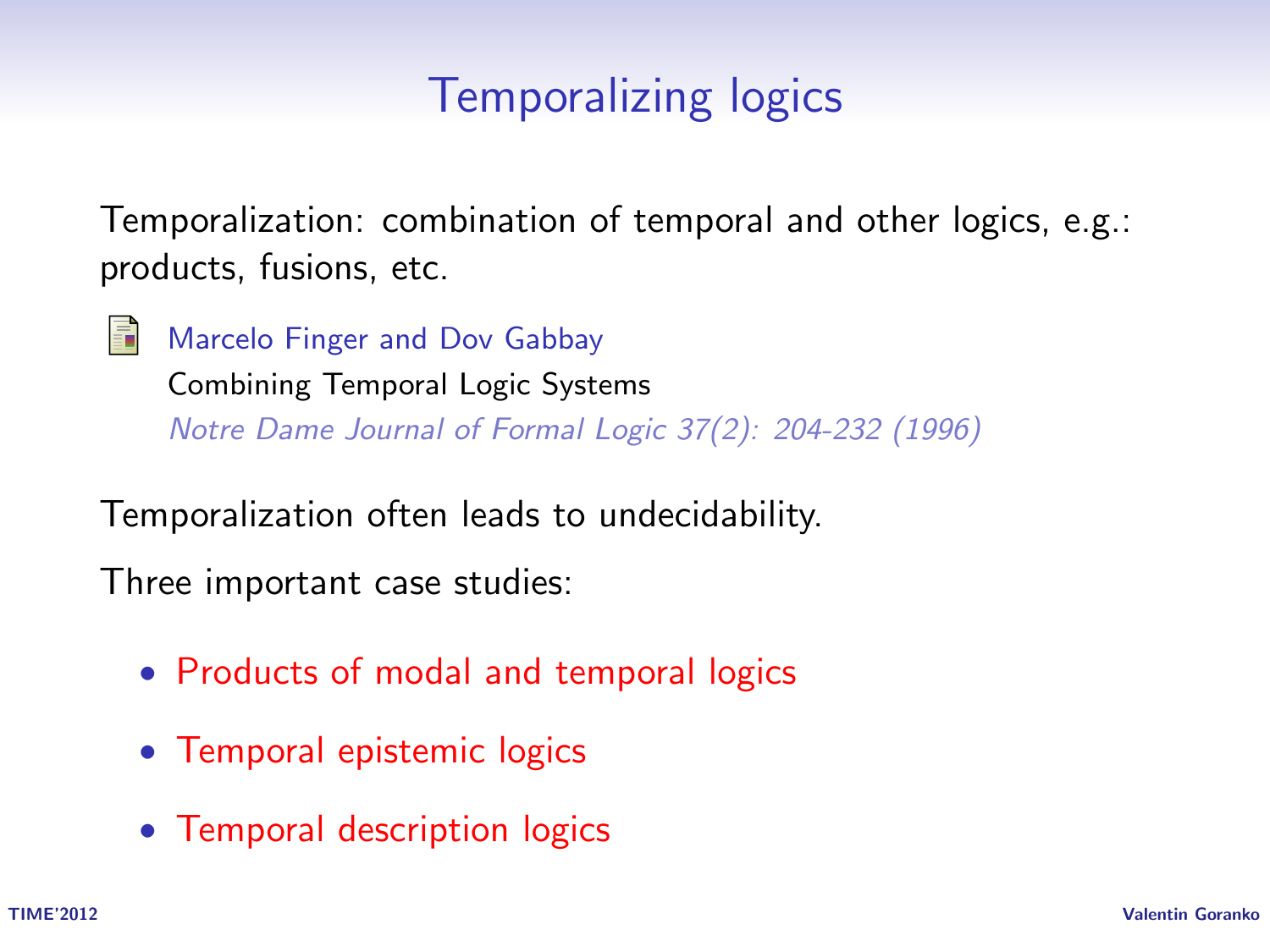### Temporalizing logics

Temporalization: combination of temporal and other logics, e.g.: products, fusions, etc.

譶

Marcelo Finger and Dov Gabbay Combining Temporal Logic Systems Notre Dame Journal of Formal Logic 37(2): 204-232 (1996)

Temporalization often leads to undecidability.

Three important case studies:

- Products of modal and temporal logics
- Temporal epistemic logics
- Temporal description logics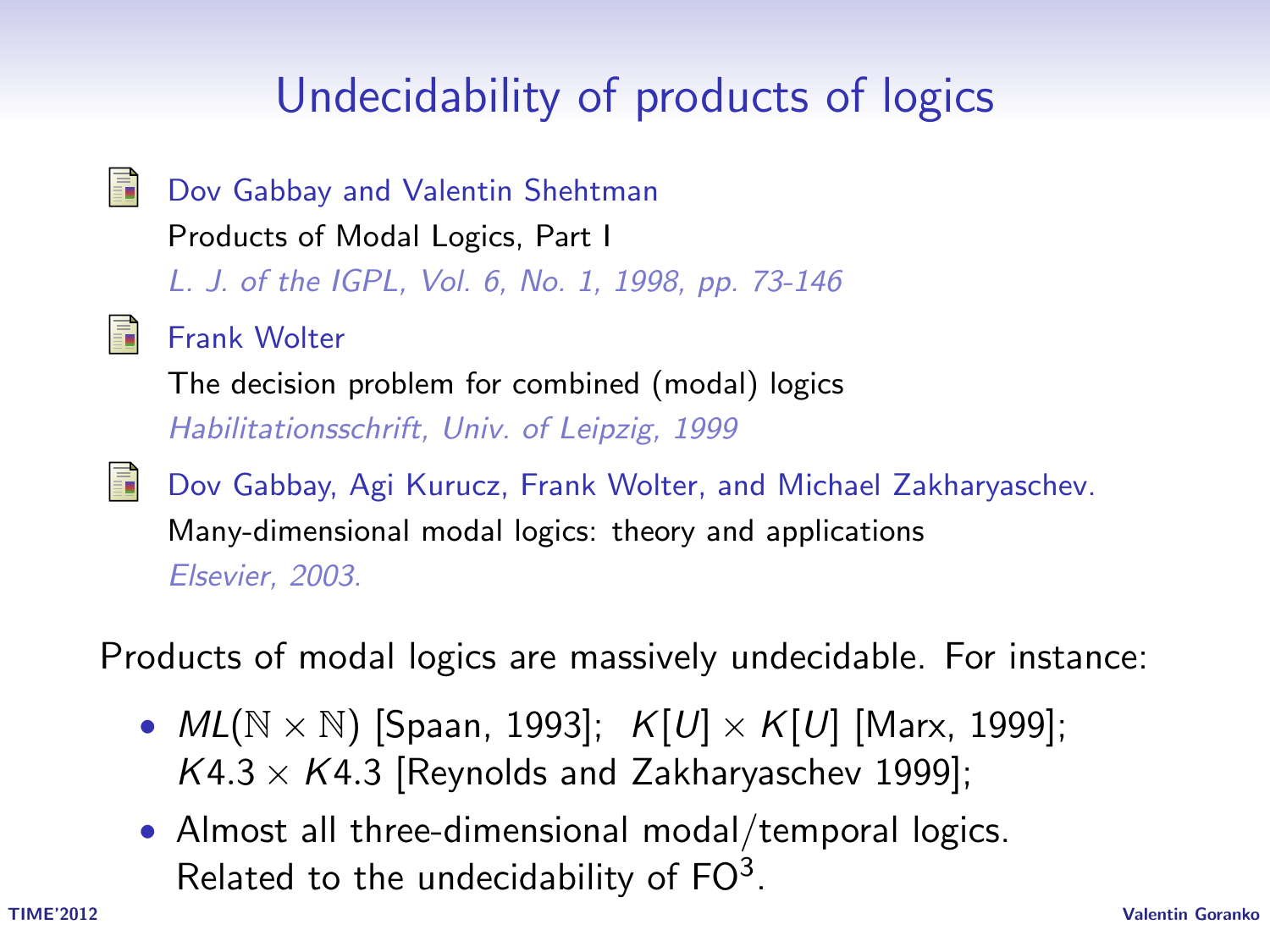# Undecidability of products of logics

量 Dov Gabbay and Valentin Shehtman Products of Modal Logics, Part I L. J. of the IGPL, Vol. 6, No. 1, 1998, pp. 73-146 譶 Frank Wolter The decision problem for combined (modal) logics Habilitationsschrift, Univ. of Leipzig, 1999 螶 Dov Gabbay, Agi Kurucz, Frank Wolter, and Michael Zakharyaschev. Many-dimensional modal logics: theory and applications Elsevier, 2003.

Products of modal logics are massively undecidable. For instance:

- $ML(N \times N)$  [Spaan, 1993];  $K[U] \times K[U]$  [Marx, 1999];  $K4.3 \times K4.3$  [Reynolds and Zakharyaschev 1999];
- Almost all three-dimensional modal/temporal logics. Related to the undecidability of  $FO^3$ .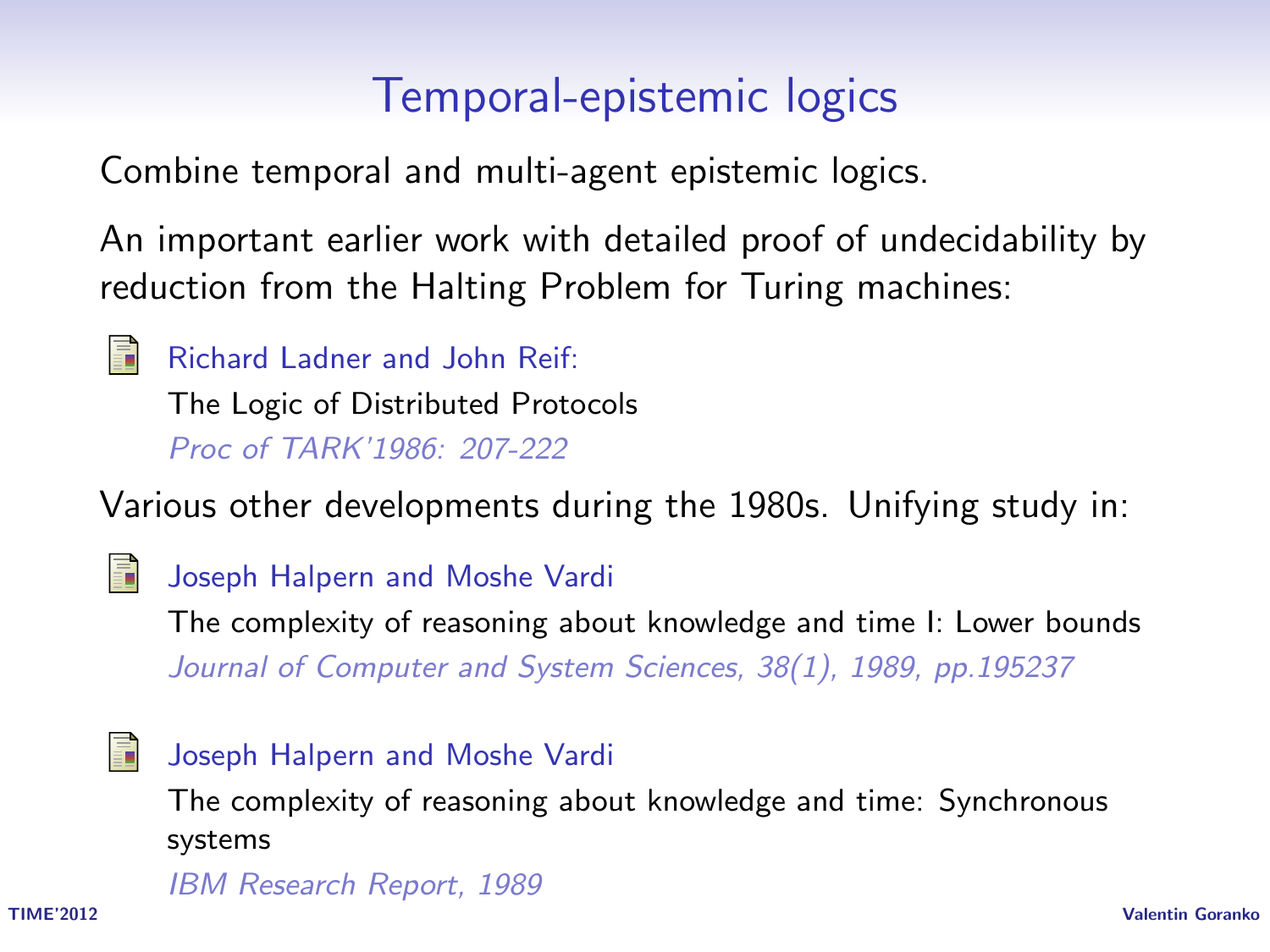#### Temporal-epistemic logics

Combine temporal and multi-agent epistemic logics.

An important earlier work with detailed proof of undecidability by reduction from the Halting Problem for Turing machines:

譶

Richard Ladner and John Reif:

The Logic of Distributed Protocols Proc of TARK'1986: 207-222

Various other developments during the 1980s. Unifying study in:



#### Joseph Halpern and Moshe Vardi

The complexity of reasoning about knowledge and time I: Lower bounds Journal of Computer and System Sciences, 38(1), 1989, pp.195237



#### Joseph Halpern and Moshe Vardi

The complexity of reasoning about knowledge and time: Synchronous systems

IBM Research Report, 1989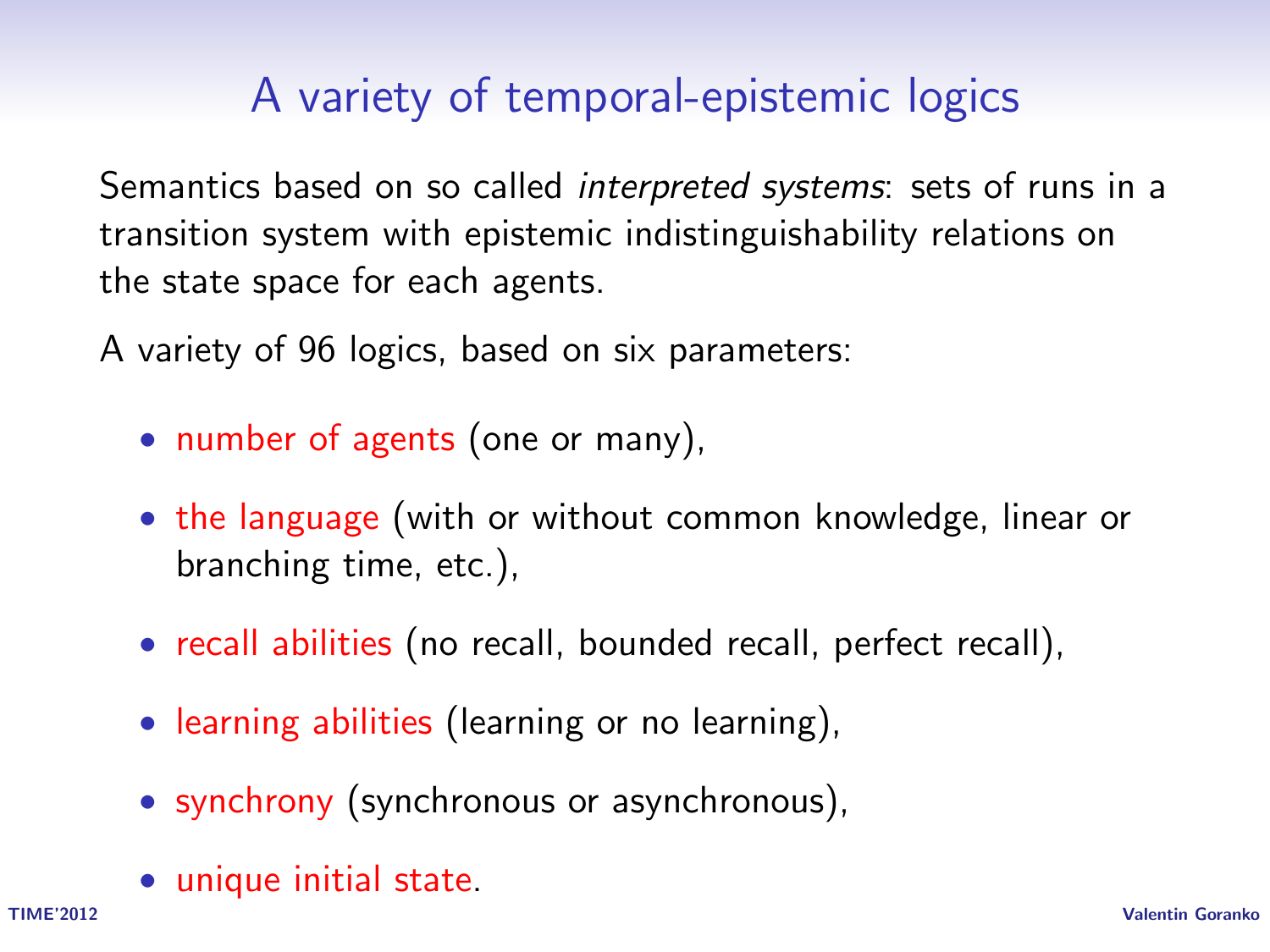### A variety of temporal-epistemic logics

Semantics based on so called interpreted systems: sets of runs in a transition system with epistemic indistinguishability relations on the state space for each agents.

A variety of 96 logics, based on six parameters:

- number of agents (one or many),
- the language (with or without common knowledge, linear or branching time, etc.),
- recall abilities (no recall, bounded recall, perfect recall),
- learning abilities (learning or no learning),
- synchrony (synchronous or asynchronous),
- unique initial state.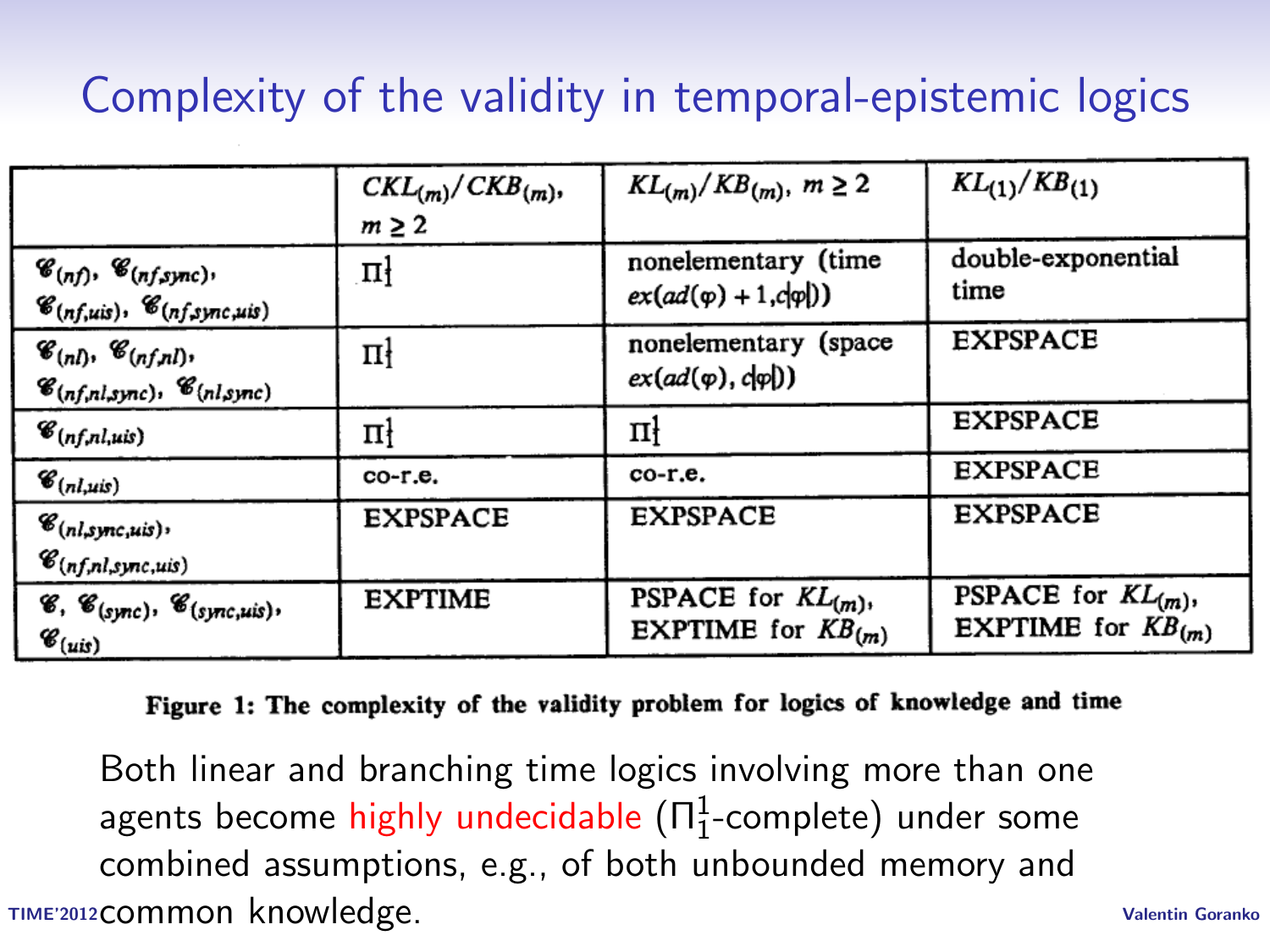# Complexity of the validity in temporal-epistemic logics

|                                                                                                                       | $CKL_{(m)}/CKB_{(m)}$<br>$m \geq 2$ | $KL(m)/KB(m), m \ge 2$                                    | $KL_{(1)}/KB_{(1)}$                                       |
|-----------------------------------------------------------------------------------------------------------------------|-------------------------------------|-----------------------------------------------------------|-----------------------------------------------------------|
| $\mathscr{C}_{(nf)}, \mathscr{C}_{(nf, sync)},$<br>$\mathscr{C}_{(nf,uis)}, \mathscr{C}_{(nf,sync,uis)}$              | пł                                  | nonelementary (time<br>$ex(ad(\varphi)+1, c \varphi ))$   | double-exponential<br>time                                |
| $\mathscr{C}_{(n)}$ , $\mathscr{C}_{(n)}$ , $(n)$ ,<br>$\mathscr{C}_{(n f, n l, sync)}$ , $\mathscr{C}_{(n l, sync)}$ | цł                                  | nonelementary (space<br>$ex(ad(\varphi),d\varphi))$       | <b>EXPSPACE</b>                                           |
| $\mathscr{C}_{(n f, n l, u i s)}$                                                                                     | пł                                  | цł                                                        | <b>EXPSPACE</b>                                           |
| $\mathscr{C}_{(nl,uis)}$                                                                                              | co-r.e.                             | co-r.e.                                                   | <b>EXPSPACE</b>                                           |
| $\mathscr{C}_{(nl,sync,uis)}$ ,<br>$\mathscr{C}_{(n f, n l, s)nc, uis)}$                                              | <b>EXPSPACE</b>                     | <b>EXPSPACE</b>                                           | <b>EXPSPACE</b>                                           |
| $\mathscr{C}, \mathscr{C}_{(sync)}, \mathscr{C}_{(sync, wis)},$<br>$\mathscr{C}_{(uis)}$                              | <b>EXPTIME</b>                      | <b>PSPACE</b> for $KL(m)$ ,<br><b>EXPTIME</b> for $KB(m)$ | <b>PSPACE</b> for $KL(m)$ ,<br><b>EXPTIME</b> for $KB(m)$ |

#### Figure 1: The complexity of the validity problem for logics of knowledge and time

TIME'2012 Valentin Goranko common knowledge.Both linear and branching time logics involving more than one agents become highly undecidable  $(\Pi^1_1\text{-complete})$  under some combined assumptions, e.g., of both unbounded memory and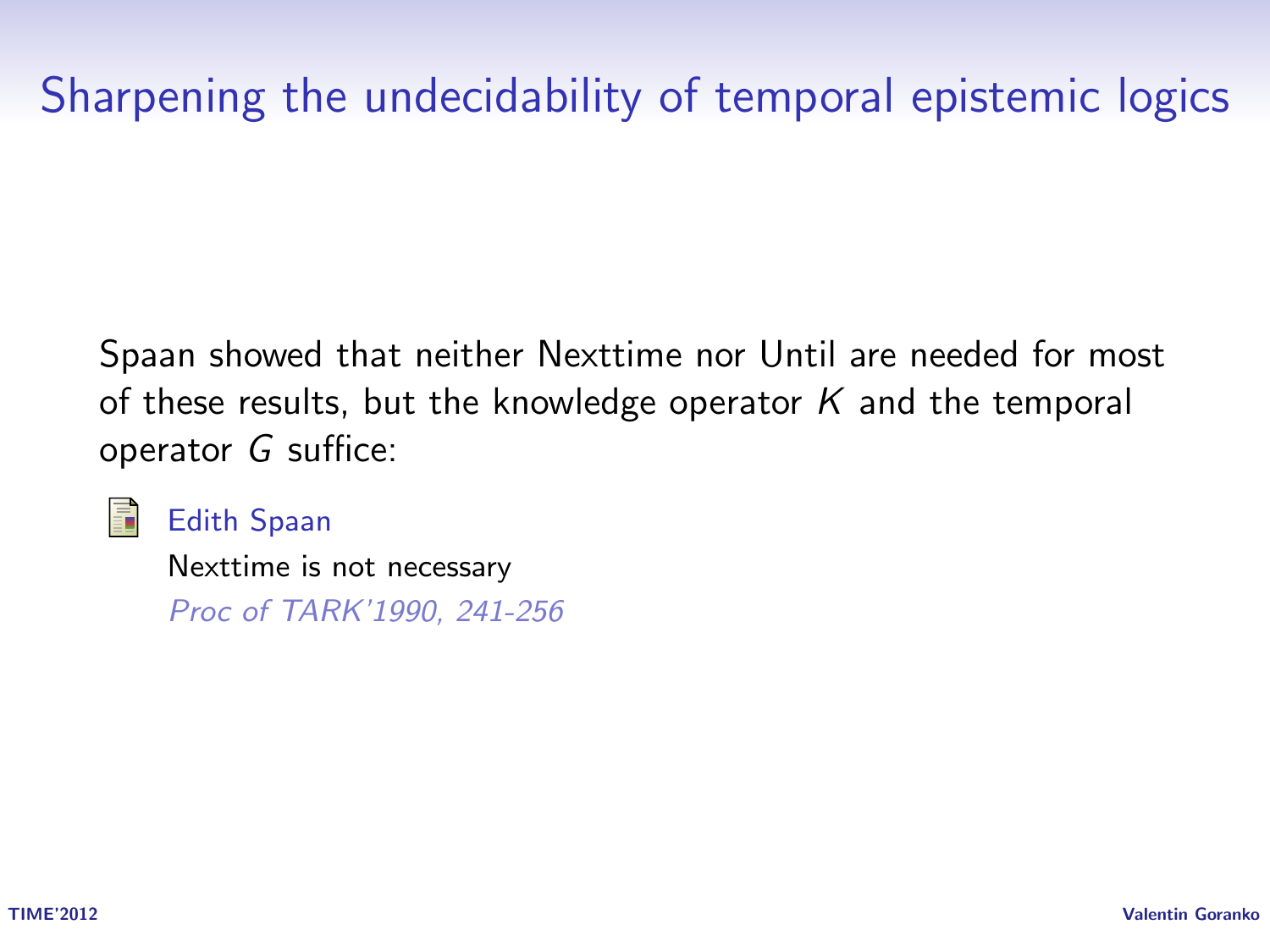### Sharpening the undecidability of temporal epistemic logics

Spaan showed that neither Nexttime nor Until are needed for most of these results, but the knowledge operator  $K$  and the temporal operator G suffice:



Edith Spaan

Nexttime is not necessary Proc of TARK'1990, 241-256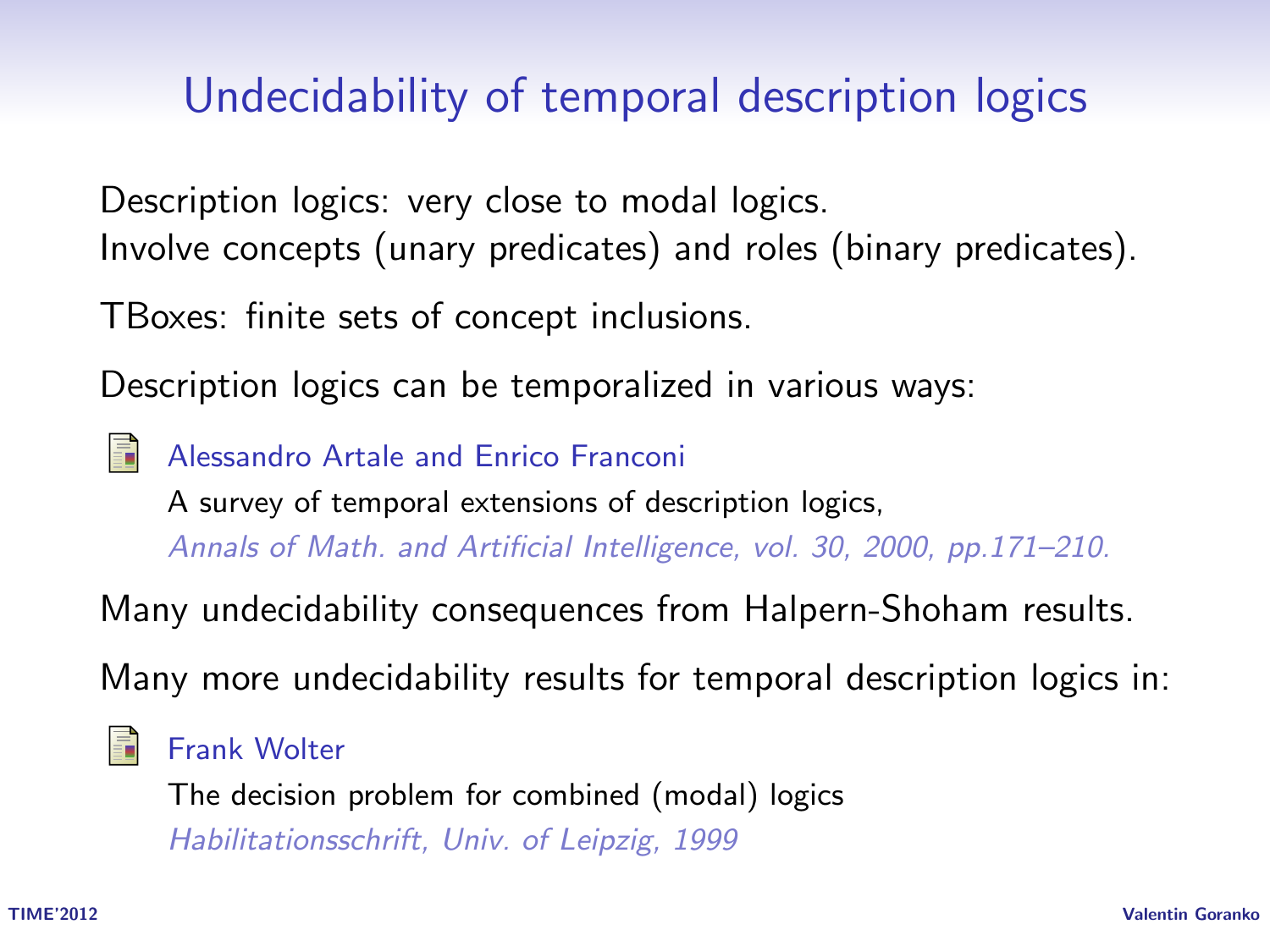#### Undecidability of temporal description logics

Description logics: very close to modal logics. Involve concepts (unary predicates) and roles (binary predicates).

TBoxes: finite sets of concept inclusions.

Description logics can be temporalized in various ways:

Alessandro Artale and Enrico Franconi A survey of temporal extensions of description logics, Annals of Math. and Artificial Intelligence, vol. 30, 2000, pp.171–210.

Many undecidability consequences from Halpern-Shoham results.

Many more undecidability results for temporal description logics in:

#### Frank Wolter

The decision problem for combined (modal) logics Habilitationsschrift, Univ. of Leipzig, 1999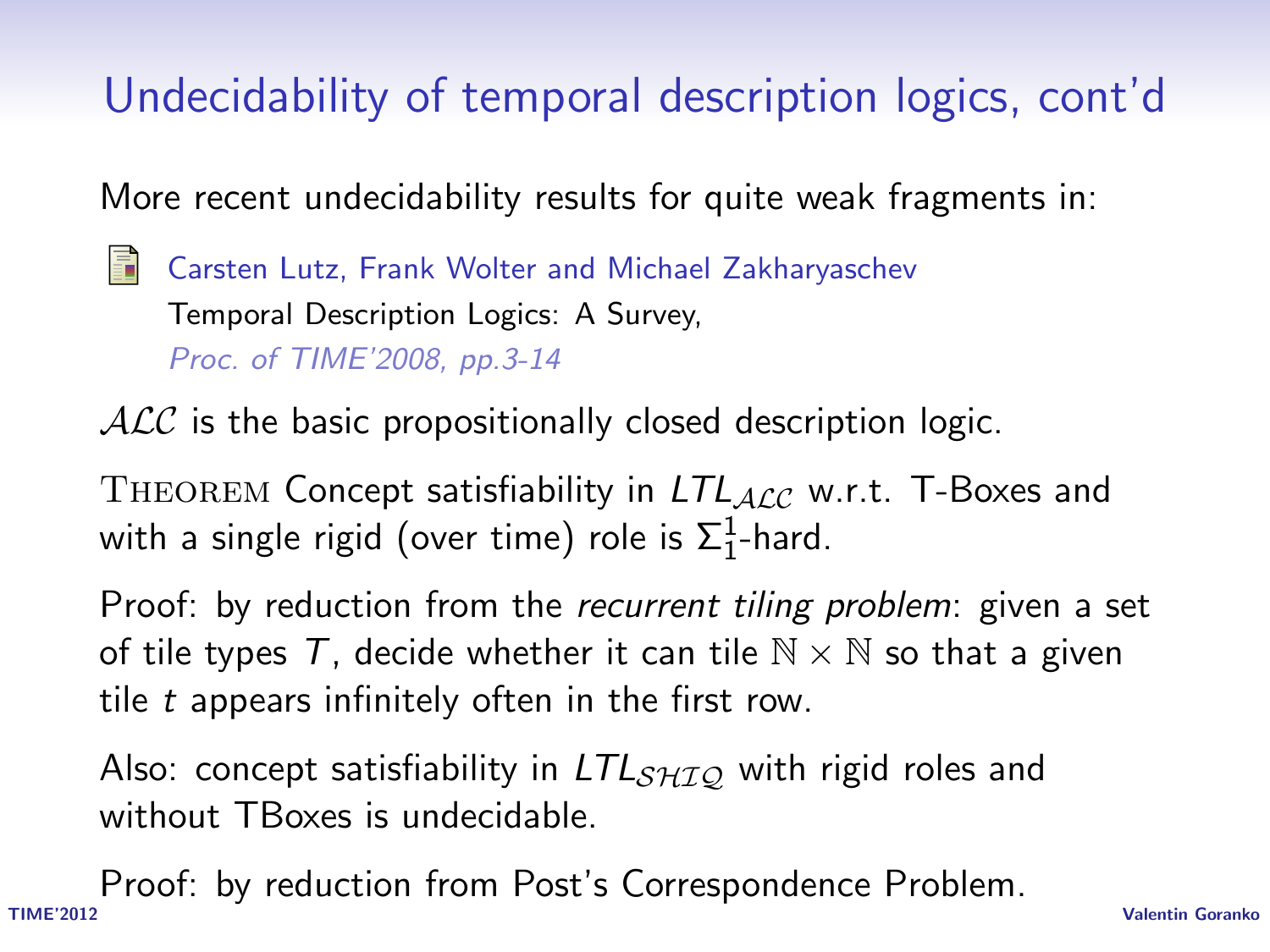# Undecidability of temporal description logics, cont'd

More recent undecidability results for quite weak fragments in:

Carsten Lutz, Frank Wolter and Michael Zakharyaschev Temporal Description Logics: A Survey, Proc. of TIME'2008, pp.3-14

 $ALC$  is the basic propositionally closed description logic.

THEOREM Concept satisfiability in  $LTL_{ALC}$  w.r.t. T-Boxes and with a single rigid (over time) role is  $\Sigma^1_1$ -hard.

Proof: by reduction from the *recurrent tiling problem*: given a set of tile types T, decide whether it can tile  $\mathbb{N} \times \mathbb{N}$  so that a given tile  $t$  appears infinitely often in the first row.

Also: concept satisfiability in  $LTL<sub>SHIO</sub>$  with rigid roles and without TBoxes is undecidable.

TIME'2012 Valentin Goranko Proof: by reduction from Post's Correspondence Problem.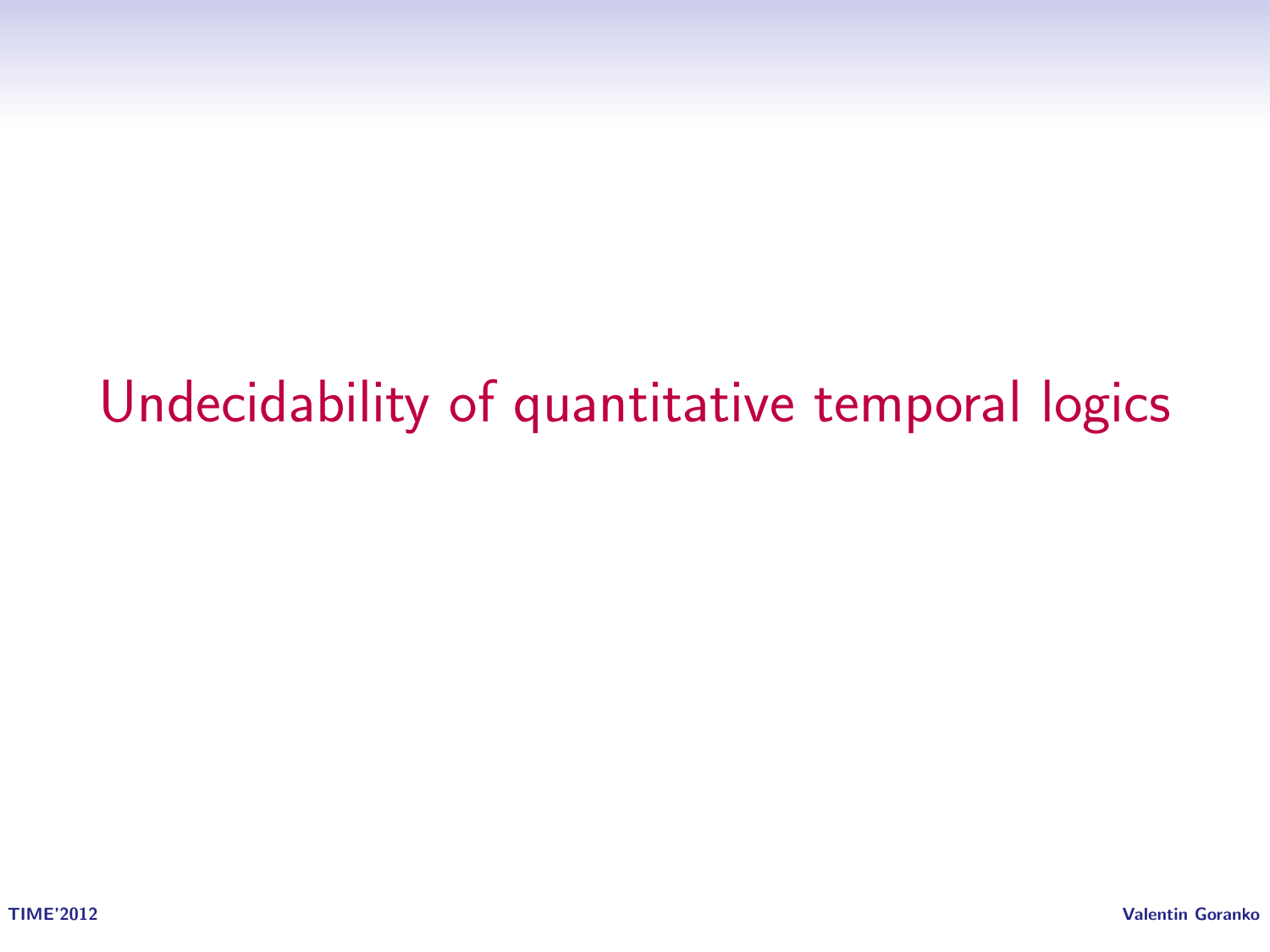# Undecidability of quantitative temporal logics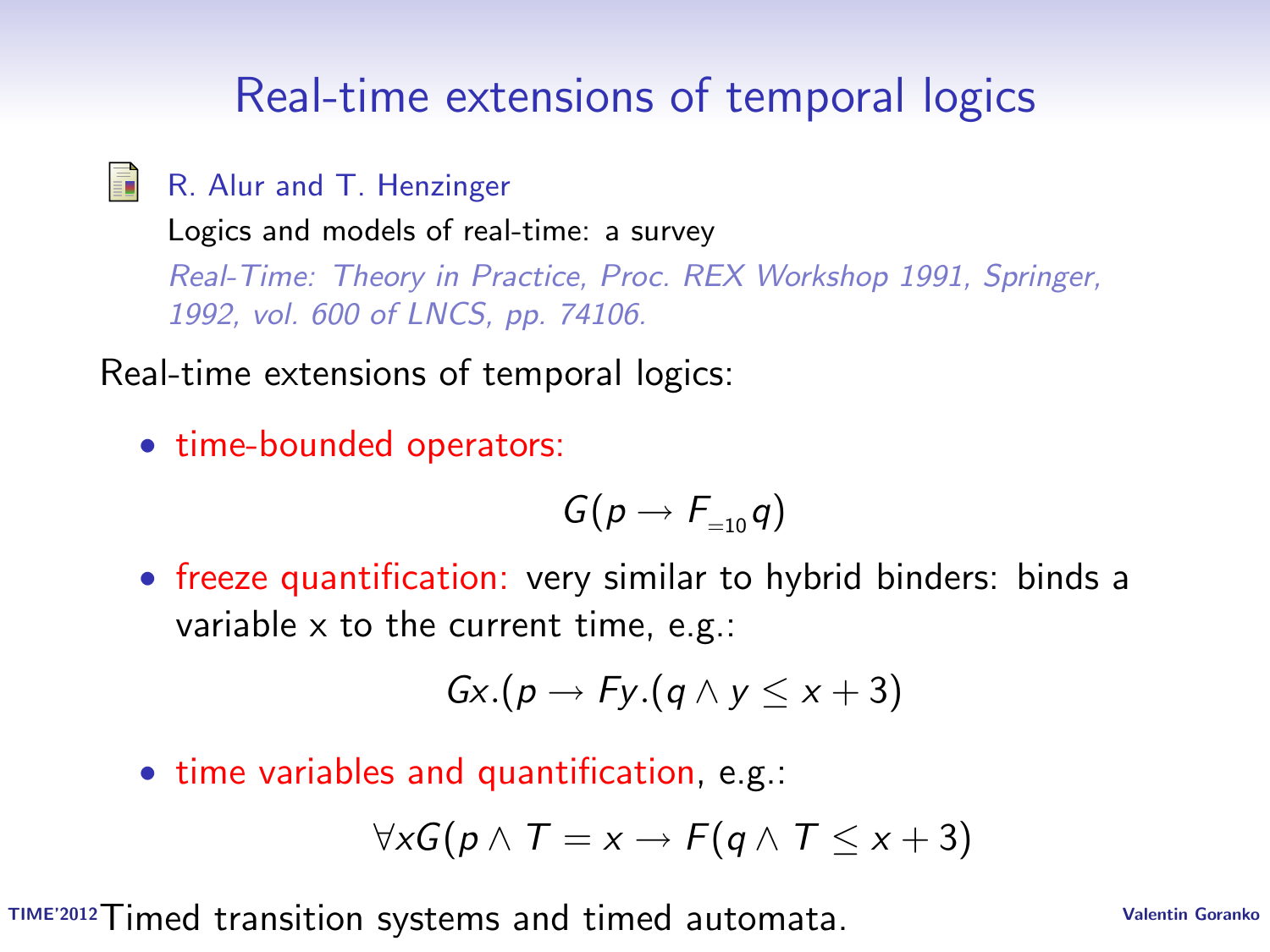#### Real-time extensions of temporal logics

晶 R. Alur and T. Henzinger

> Logics and models of real-time: a survey Real-Time: Theory in Practice, Proc. REX Workshop 1991, Springer, 1992, vol. 600 of LNCS, pp. 74106.

Real-time extensions of temporal logics:

• time-bounded operators:

$$
G(p\to F_{=10}q)
$$

• freeze quantification: very similar to hybrid binders: binds a variable  $\times$  to the current time, e.g.:

$$
Gx.(p \rightarrow Fy.(q \land y \leq x + 3))
$$

• time variables and quantification, e.g.:

$$
\forall x G(p \wedge T = x \rightarrow F(q \wedge T \leq x+3)
$$

TIME'2012 Valentin Goranko Timed transition systems and timed automata.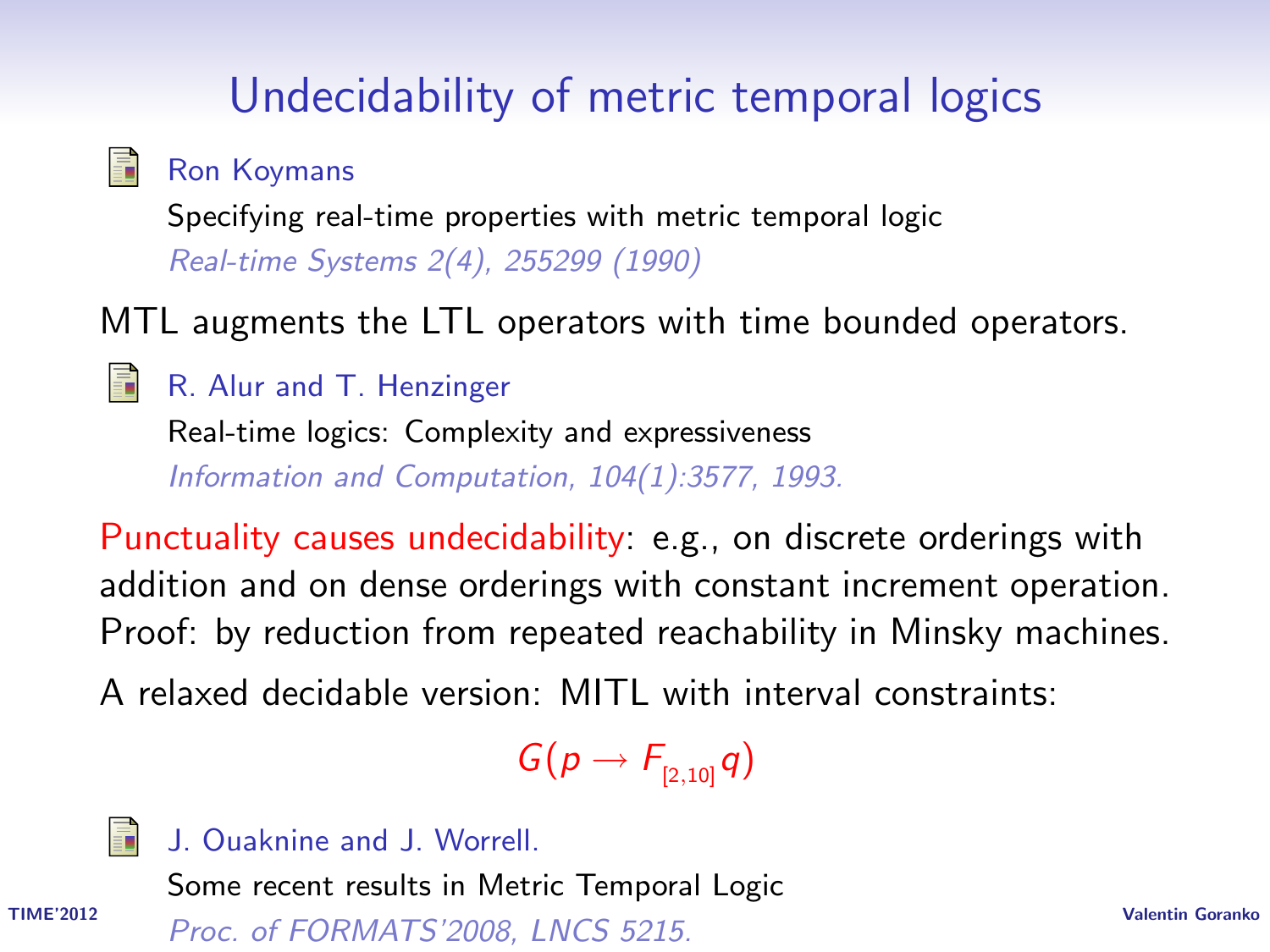### Undecidability of metric temporal logics

畐 Ron Koymans

> Specifying real-time properties with metric temporal logic Real-time Systems 2(4), 255299 (1990)

MTL augments the LTL operators with time bounded operators.

R. Alur and T. Henzinger

Real-time logics: Complexity and expressiveness Information and Computation, 104(1):3577, 1993.

Punctuality causes undecidability: e.g., on discrete orderings with addition and on dense orderings with constant increment operation. Proof: by reduction from repeated reachability in Minsky machines. A relaxed decidable version: MITL with interval constraints:

 $G(p \rightarrow F_{p_1,101}q)$ 



J. Ouaknine and J. Worrell.

Some recent results in Metric Temporal Logic

TIME'2012 Valentin Goranko Proc. of FORMATS'2008, LNCS 5215.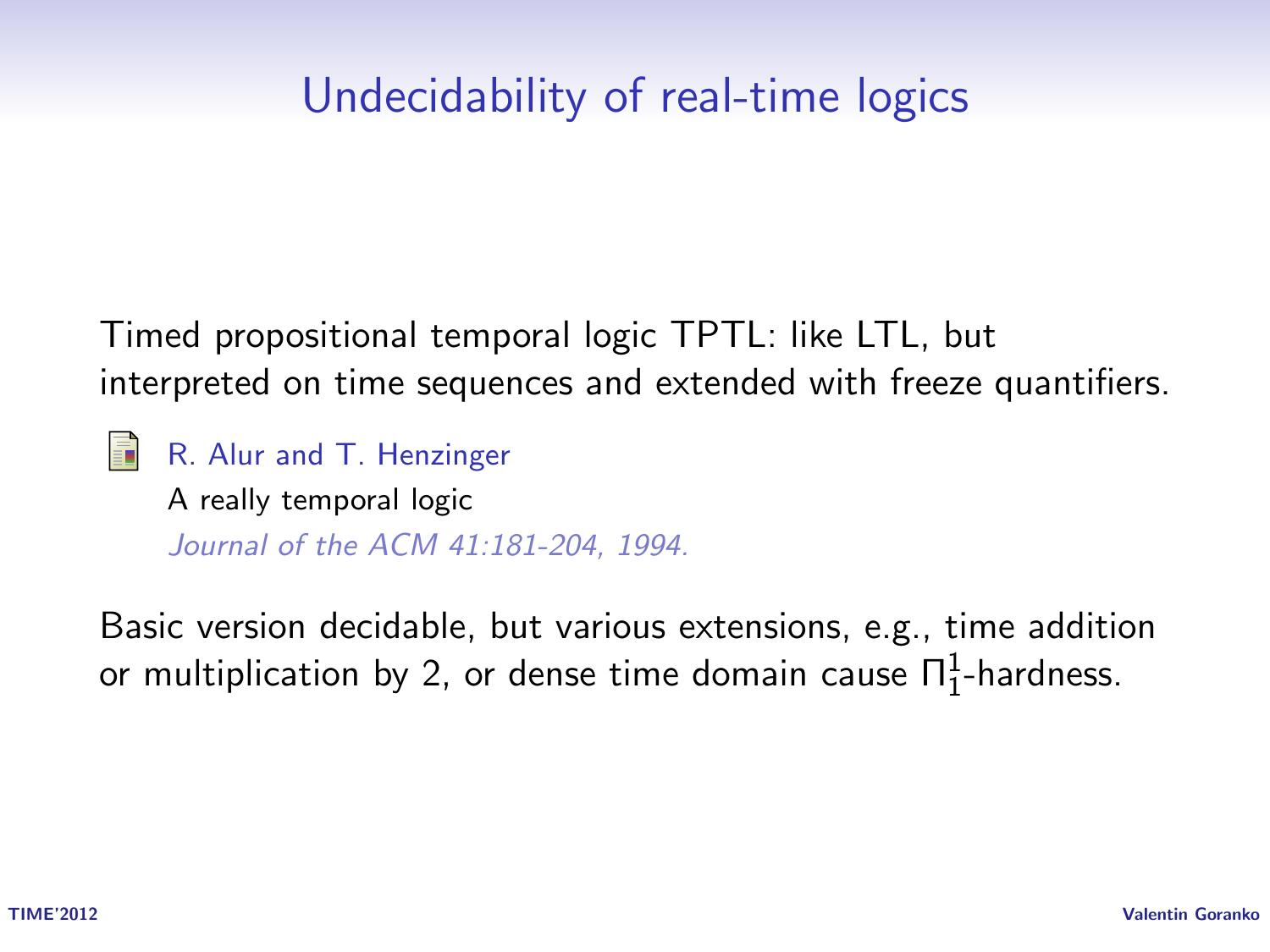#### Undecidability of real-time logics

Timed propositional temporal logic TPTL: like LTL, but interpreted on time sequences and extended with freeze quantifiers.

R. Alur and T. Henzinger A really temporal logic

Journal of the ACM 41:181-204, 1994.

Basic version decidable, but various extensions, e.g., time addition or multiplication by 2, or dense time domain cause  $\Pi^1_1$ -hardness.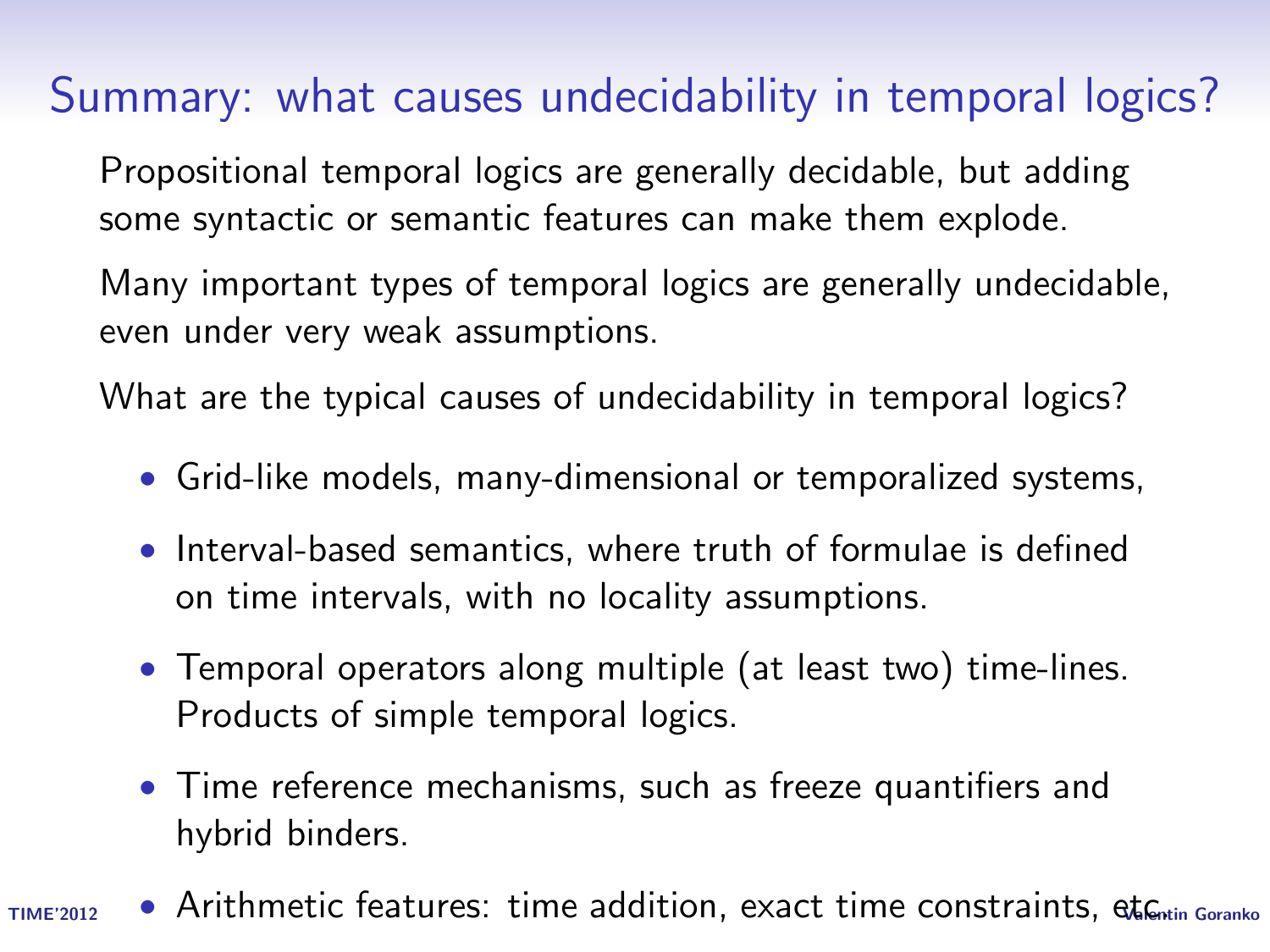#### Summary: what causes undecidability in temporal logics?

Propositional temporal logics are generally decidable, but adding some syntactic or semantic features can make them explode.

Many important types of temporal logics are generally undecidable, even under very weak assumptions.

What are the typical causes of undecidability in temporal logics?

- Grid-like models, many-dimensional or temporalized systems,
- Interval-based semantics, where truth of formulae is defined on time intervals, with no locality assumptions.
- Temporal operators along multiple (at least two) time-lines. Products of simple temporal logics.
- Time reference mechanisms, such as freeze quantifiers and hybrid binders.
- TIME'2012 Arithmetic features: time addition, exact time constraints, et Centin Goranko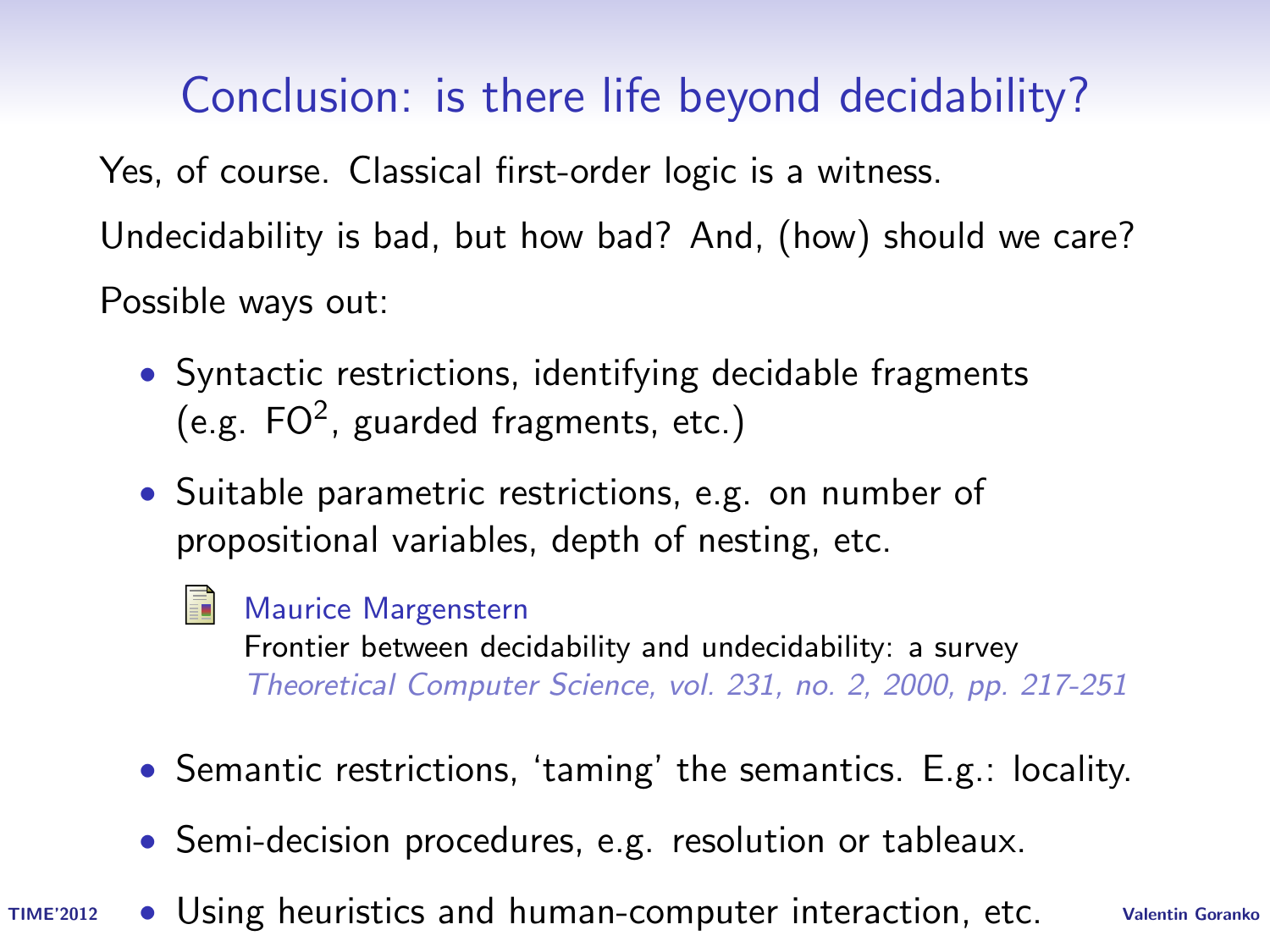Conclusion: is there life beyond decidability?

Yes, of course. Classical first-order logic is a witness. Undecidability is bad, but how bad? And, (how) should we care? Possible ways out:

- Syntactic restrictions, identifying decidable fragments (e.g.  $FO^2$ , guarded fragments, etc.)
- Suitable parametric restrictions, e.g. on number of propositional variables, depth of nesting, etc.
	- Maurice Margenstern

Frontier between decidability and undecidability: a survey Theoretical Computer Science, vol. 231, no. 2, 2000, pp. 217-251

- Semantic restrictions, 'taming' the semantics. E.g.: locality.
- Semi-decision procedures, e.g. resolution or tableaux.
- TIME'2012 . Using heuristics and human-computer interaction, etc. Valentin Goranko